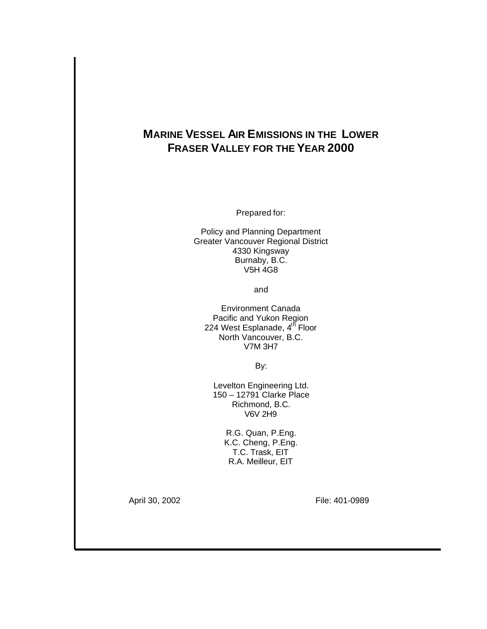# **MARINE VESSEL AIR EMISSIONS IN THE LOWER FRASER VALLEY FOR THE YEAR 2000**

Prepared for:

Policy and Planning Department Greater Vancouver Regional District 4330 Kingsway Burnaby, B.C. V5H 4G8

and

Environment Canada Pacific and Yukon Region 224 West Esplanade, 4<sup>th</sup> Floor North Vancouver, B.C. V7M 3H7

By:

Levelton Engineering Ltd. 150 – 12791 Clarke Place Richmond, B.C. V6V 2H9

> R.G. Quan, P.Eng. K.C. Cheng, P.Eng. T.C. Trask, EIT R.A. Meilleur, EIT

April 30, 2002 **File: 401-0989**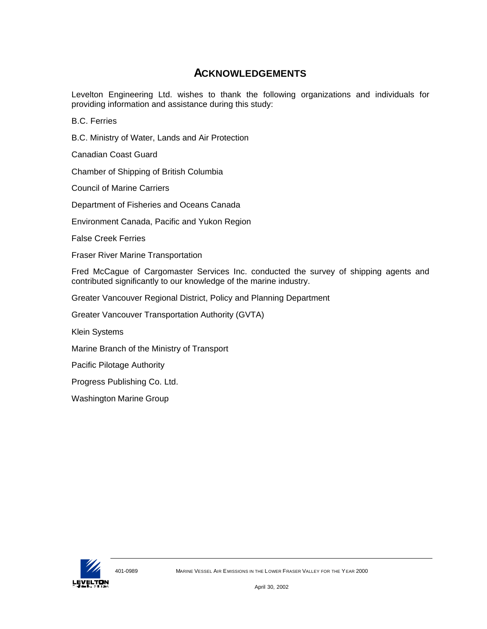# **ACKNOWLEDGEMENTS**

Levelton Engineering Ltd. wishes to thank the following organizations and individuals for providing information and assistance during this study:

B.C. Ferries

B.C. Ministry of Water, Lands and Air Protection

Canadian Coast Guard

Chamber of Shipping of British Columbia

Council of Marine Carriers

Department of Fisheries and Oceans Canada

Environment Canada, Pacific and Yukon Region

False Creek Ferries

Fraser River Marine Transportation

Fred McCague of Cargomaster Services Inc. conducted the survey of shipping agents and contributed significantly to our knowledge of the marine industry.

Greater Vancouver Regional District, Policy and Planning Department

Greater Vancouver Transportation Authority (GVTA)

Klein Systems

Marine Branch of the Ministry of Transport

Pacific Pilotage Authority

Progress Publishing Co. Ltd.

Washington Marine Group

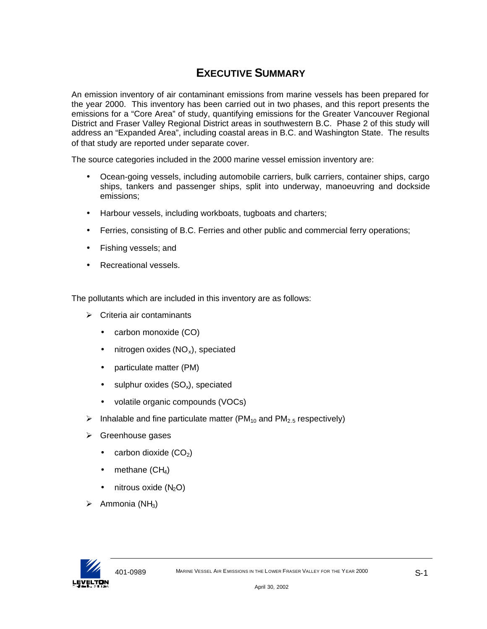# **EXECUTIVE SUMMARY**

An emission inventory of air contaminant emissions from marine vessels has been prepared for the year 2000. This inventory has been carried out in two phases, and this report presents the emissions for a "Core Area" of study, quantifying emissions for the Greater Vancouver Regional District and Fraser Valley Regional District areas in southwestern B.C. Phase 2 of this study will address an "Expanded Area", including coastal areas in B.C. and Washington State. The results of that study are reported under separate cover.

The source categories included in the 2000 marine vessel emission inventory are:

- Ocean-going vessels, including automobile carriers, bulk carriers, container ships, cargo ships, tankers and passenger ships, split into underway, manoeuvring and dockside emissions;
- Harbour vessels, including workboats, tugboats and charters;
- Ferries, consisting of B.C. Ferries and other public and commercial ferry operations;
- Fishing vessels; and
- Recreational vessels.

The pollutants which are included in this inventory are as follows:

- $\triangleright$  Criteria air contaminants
	- carbon monoxide (CO)
	- $\bullet$  nitrogen oxides (NO<sub>x</sub>), speciated
	- particulate matter (PM)
	- sulphur oxides  $(SO_x)$ , speciated
	- volatile organic compounds (VOCs)
- $\triangleright$  Inhalable and fine particulate matter (PM<sub>10</sub> and PM<sub>2.5</sub> respectively)
- $\triangleright$  Greenhouse gases
	- carbon dioxide  $(CO<sub>2</sub>)$
	- methane  $(CH_4)$
	- $\bullet$  nitrous oxide (N<sub>2</sub>O)
- $\triangleright$  Ammonia (NH<sub>3</sub>)

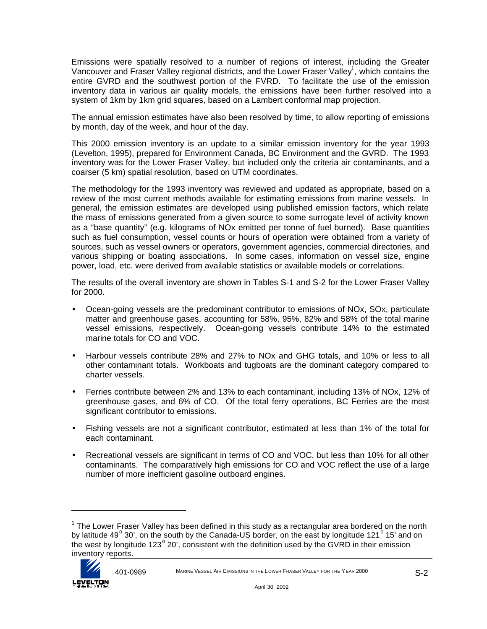Emissions were spatially resolved to a number of regions of interest, including the Greater Vancouver and Fraser Valley regional districts, and the Lower Fraser Valley<sup>1</sup>, which contains the entire GVRD and the southwest portion of the FVRD. To facilitate the use of the emission inventory data in various air quality models, the emissions have been further resolved into a system of 1km by 1km grid squares, based on a Lambert conformal map projection.

The annual emission estimates have also been resolved by time, to allow reporting of emissions by month, day of the week, and hour of the day.

This 2000 emission inventory is an update to a similar emission inventory for the year 1993 (Levelton, 1995), prepared for Environment Canada, BC Environment and the GVRD. The 1993 inventory was for the Lower Fraser Valley, but included only the criteria air contaminants, and a coarser (5 km) spatial resolution, based on UTM coordinates.

The methodology for the 1993 inventory was reviewed and updated as appropriate, based on a review of the most current methods available for estimating emissions from marine vessels. In general, the emission estimates are developed using published emission factors, which relate the mass of emissions generated from a given source to some surrogate level of activity known as a "base quantity" (e.g. kilograms of NOx emitted per tonne of fuel burned). Base quantities such as fuel consumption, vessel counts or hours of operation were obtained from a variety of sources, such as vessel owners or operators, government agencies, commercial directories, and various shipping or boating associations. In some cases, information on vessel size, engine power, load, etc. were derived from available statistics or available models or correlations.

The results of the overall inventory are shown in Tables S-1 and S-2 for the Lower Fraser Valley for 2000.

- Ocean-going vessels are the predominant contributor to emissions of NOx, SOx, particulate matter and greenhouse gases, accounting for 58%, 95%, 82% and 58% of the total marine vessel emissions, respectively. Ocean-going vessels contribute 14% to the estimated marine totals for CO and VOC.
- Harbour vessels contribute 28% and 27% to NOx and GHG totals, and 10% or less to all other contaminant totals. Workboats and tugboats are the dominant category compared to charter vessels.
- Ferries contribute between 2% and 13% to each contaminant, including 13% of NOx, 12% of greenhouse gases, and 6% of CO. Of the total ferry operations, BC Ferries are the most significant contributor to emissions.
- Fishing vessels are not a significant contributor, estimated at less than 1% of the total for each contaminant.
- Recreational vessels are significant in terms of CO and VOC, but less than 10% for all other contaminants. The comparatively high emissions for CO and VOC reflect the use of a large number of more inefficient gasoline outboard engines.

 $^{\text{1}}$  The Lower Fraser Valley has been defined in this study as a rectangular area bordered on the north by latitude 49<sup>°</sup> 30', on the south by the Canada-US border, on the east by longitude 121<sup>°</sup> 15' and on the west by longitude 123 $^{\circ}$  20', consistent with the definition used by the GVRD in their emission inventory reports.



 $\overline{a}$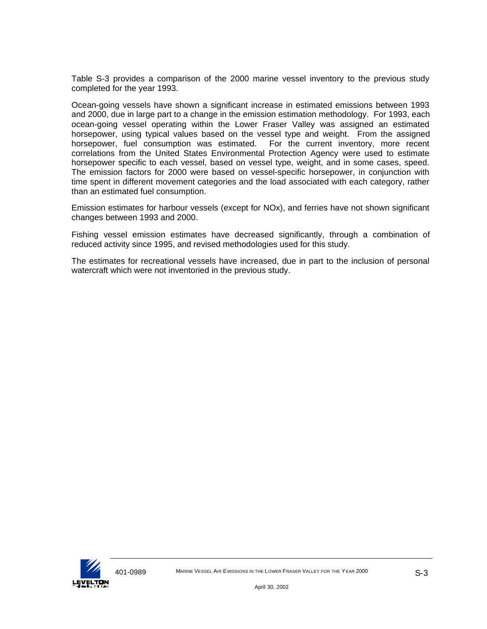Table S-3 provides a comparison of the 2000 marine vessel inventory to the previous study completed for the year 1993.

Ocean-going vessels have shown a significant increase in estimated emissions between 1993 and 2000, due in large part to a change in the emission estimation methodology. For 1993, each ocean-going vessel operating within the Lower Fraser Valley was assigned an estimated horsepower, using typical values based on the vessel type and weight. From the assigned horsepower, fuel consumption was estimated. For the current inventory, more recent correlations from the United States Environmental Protection Agency were used to estimate horsepower specific to each vessel, based on vessel type, weight, and in some cases, speed. The emission factors for 2000 were based on vessel-specific horsepower, in conjunction with time spent in different movement categories and the load associated with each category, rather than an estimated fuel consumption.

Emission estimates for harbour vessels (except for NOx), and ferries have not shown significant changes between 1993 and 2000.

Fishing vessel emission estimates have decreased significantly, through a combination of reduced activity since 1995, and revised methodologies used for this study.

The estimates for recreational vessels have increased, due in part to the inclusion of personal watercraft which were not inventoried in the previous study.

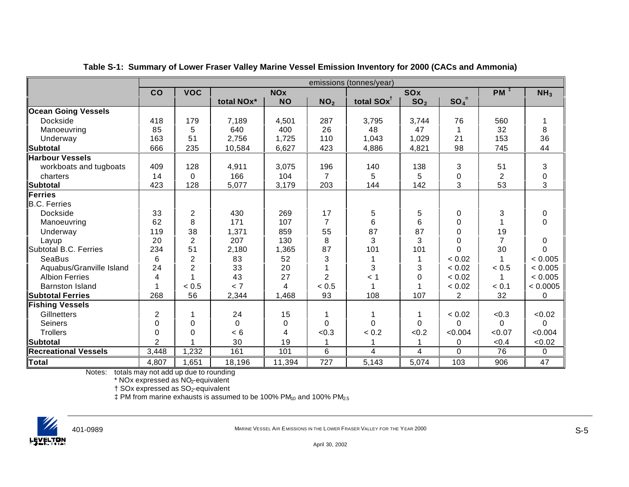|                             | emissions (tonnes/year) |                |            |            |                 |                        |                 |                |                 |                 |
|-----------------------------|-------------------------|----------------|------------|------------|-----------------|------------------------|-----------------|----------------|-----------------|-----------------|
|                             | CO                      | <b>VOC</b>     |            | <b>NOx</b> |                 |                        | SOx             |                | $PM^{\ddagger}$ | NH <sub>3</sub> |
|                             |                         |                | total NOx* | <b>NO</b>  | NO <sub>2</sub> | total SOx <sup>1</sup> | SO <sub>2</sub> | $SO_4^-$       |                 |                 |
| <b>Ocean Going Vessels</b>  |                         |                |            |            |                 |                        |                 |                |                 |                 |
| Dockside                    | 418                     | 179            | 7,189      | 4,501      | 287             | 3,795                  | 3,744           | 76             | 560             |                 |
| Manoeuvring                 | 85                      | 5              | 640        | 400        | 26              | 48                     | 47              |                | 32              | 8               |
| Underway                    | 163                     | 51             | 2,756      | 1,725      | 110             | 1,043                  | 1,029           | 21             | 153             | 36              |
| Subtotal                    | 666                     | 235            | 10,584     | 6,627      | 423             | 4,886                  | 4,821           | 98             | 745             | 44              |
| <b>Harbour Vessels</b>      |                         |                |            |            |                 |                        |                 |                |                 |                 |
| workboats and tugboats      | 409                     | 128            | 4,911      | 3,075      | 196             | 140                    | 138             | 3              | 51              | 3               |
| charters                    | 14                      | $\Omega$       | 166        | 104        | $\overline{7}$  | 5                      | 5               | 0              | $\overline{c}$  | $\pmb{0}$       |
| <b>Subtotal</b>             | 423                     | 128            | 5,077      | 3,179      | 203             | 144                    | 142             | 3              | 53              | 3               |
| Ferries                     |                         |                |            |            |                 |                        |                 |                |                 |                 |
| <b>B.C. Ferries</b>         |                         |                |            |            |                 |                        |                 |                |                 |                 |
| Dockside                    | 33                      | 2              | 430        | 269        | 17              | 5                      | 5               | 0              | 3               | 0               |
| Manoeuvring                 | 62                      | 8              | 171        | 107        | $\overline{7}$  | 6                      | 6               | 0              |                 | 0               |
| Underway                    | 119                     | 38             | 1,371      | 859        | 55              | 87                     | 87              | 0              | 19              |                 |
| Layup                       | 20                      | $\overline{2}$ | 207        | 130        | 8               | 3                      | 3               | 0              | $\overline{7}$  | 0               |
| Subtotal B.C. Ferries       | 234                     | 51             | 2,180      | 1,365      | 87              | 101                    | 101             | $\Omega$       | 30              | $\Omega$        |
| <b>SeaBus</b>               | 6                       | $\overline{2}$ | 83         | 52         | 3               |                        |                 | < 0.02         |                 | < 0.005         |
| Aquabus/Granville Island    | 24                      | $\overline{2}$ | 33         | 20         |                 | 3                      | 3               | < 0.02         | < 0.5           | < 0.005         |
| <b>Albion Ferries</b>       | 4                       |                | 43         | 27         | $\overline{2}$  | $<$ 1                  | $\Omega$        | < 0.02         |                 | < 0.005         |
| <b>Barnston Island</b>      |                         | < 0.5          | < 7        | 4          | < 0.5           | 1                      |                 | < 0.02         | < 0.1           | < 0.0005        |
| <b>Subtotal Ferries</b>     | 268                     | 56             | 2,344      | 1,468      | 93              | 108                    | 107             | $\overline{c}$ | 32              | 0               |
| <b>Fishing Vessels</b>      |                         |                |            |            |                 |                        |                 |                |                 |                 |
| Gillnetters                 | $\overline{c}$          |                | 24         | 15         |                 |                        |                 | < 0.02         | < 0.3           | <0.02           |
| Seiners                     | 0                       | 0              | 0          | 0          | 0               | 0                      | $\Omega$        | 0              | $\Omega$        | 0               |
| <b>Trollers</b>             | 0                       | 0              | < 6        | 4          | < 0.3           | < 0.2                  | < 0.2           | < 0.004        | < 0.07          | < 0.004         |
| <b>Subtotal</b>             | $\overline{2}$          |                | 30         | 19         |                 |                        |                 | 0              | < 0.4           | <0.02           |
| <b>Recreational Vessels</b> | 3,448                   | 1,232          | 161        | 101        | $6\phantom{1}6$ | 4                      | 4               | $\Omega$       | 76              | 0               |
| <b>Total</b>                | 4,807                   | 1,651          | 18,196     | 11,394     | 727             | 5,143                  | 5,074           | 103            | 906             | 47              |

**Table S-1: Summary of Lower Fraser Valley Marine Vessel Emission Inventory for 2000 (CACs and Ammonia)**

Notes: totals may not add up due to rounding

\* NOx expressed as NO2-equivalent

† SOx expressed as SO2-equivalent

 $\ddagger$  PM from marine exhausts is assumed to be 100% PM<sub>10</sub> and 100% PM<sub>2.5</sub>

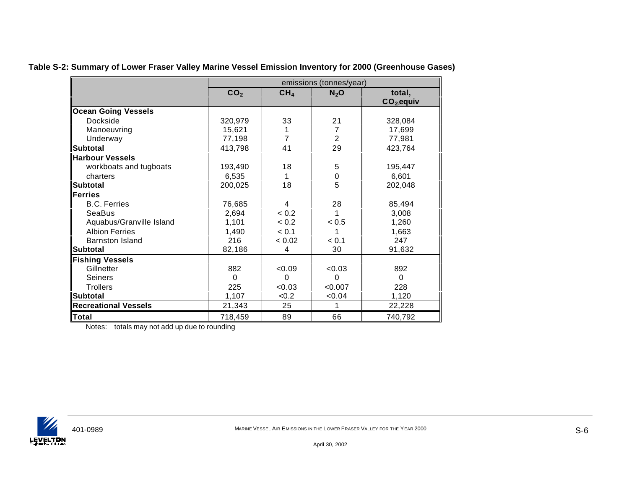|                             | emissions (tonnes/year) |                 |                |             |  |  |
|-----------------------------|-------------------------|-----------------|----------------|-------------|--|--|
|                             | CO <sub>2</sub>         | CH <sub>4</sub> | $N_2$ O        | total,      |  |  |
|                             |                         |                 |                | $CO2$ equiv |  |  |
| <b>Ocean Going Vessels</b>  |                         |                 |                |             |  |  |
| Dockside                    | 320,979                 | 33              | 21             | 328,084     |  |  |
| Manoeuvring                 | 15,621                  | 1               | 7              | 17,699      |  |  |
| Underway                    | 77,198                  | 7               | $\overline{2}$ | 77,981      |  |  |
| <b>Subtotal</b>             | 413,798                 | 41              | 29             | 423,764     |  |  |
| <b>Harbour Vessels</b>      |                         |                 |                |             |  |  |
| workboats and tugboats      | 193,490                 | 18              | 5              | 195,447     |  |  |
| charters                    | 6,535                   | 1               | 0              | 6,601       |  |  |
| <b>Subtotal</b>             | 200,025                 | 18              | 5              | 202,048     |  |  |
| <b>Ferries</b>              |                         |                 |                |             |  |  |
| <b>B.C. Ferries</b>         | 76,685                  | 4               | 28             | 85,494      |  |  |
| SeaBus                      | 2,694                   | < 0.2           |                | 3,008       |  |  |
| Aquabus/Granville Island    | 1,101                   | < 0.2           | < 0.5          | 1,260       |  |  |
| <b>Albion Ferries</b>       | 1,490                   | < 0.1           |                | 1,663       |  |  |
| <b>Barnston Island</b>      | 216                     | < 0.02          | < 0.1          | 247         |  |  |
| Subtotal                    | 82,186                  | 4               | 30             | 91,632      |  |  |
| <b>Fishing Vessels</b>      |                         |                 |                |             |  |  |
| Gillnetter                  | 882                     | < 0.09          | < 0.03         | 892         |  |  |
| Seiners                     | $\Omega$                | $\Omega$        | $\Omega$       | $\Omega$    |  |  |
| <b>Trollers</b>             | 225                     | < 0.03          | < 0.007        | 228         |  |  |
| <b>Subtotal</b>             | 1,107                   | < 0.2           | <0.04          | 1,120       |  |  |
| <b>Recreational Vessels</b> | 21,343                  | 25              |                | 22,228      |  |  |
| Total                       | 718,459                 | 89              | 66             | 740,792     |  |  |

**Table S-2: Summary of Lower Fraser Valley Marine Vessel Emission Inventory for 2000 (Greenhouse Gases)**

Notes: totals may not add up due to rounding



April 30, 2002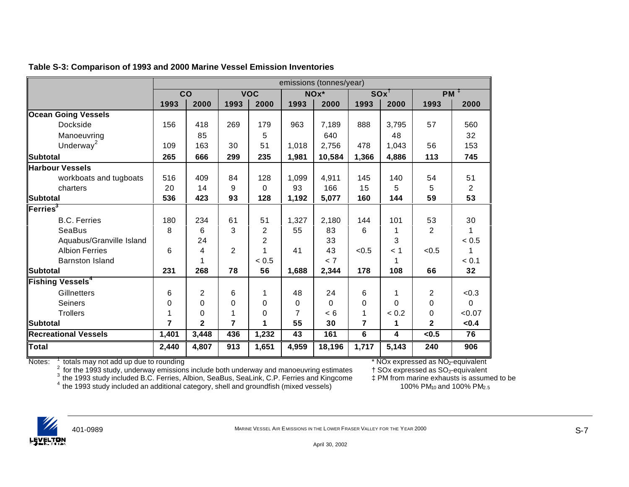|                               |       | emissions (tonnes/year) |                |                |       |          |                 |          |                |                |
|-------------------------------|-------|-------------------------|----------------|----------------|-------|----------|-----------------|----------|----------------|----------------|
|                               | CO    |                         |                | <b>VOC</b>     |       | NOx*     | $SOX^{\dagger}$ |          | $PM^T$         |                |
|                               | 1993  | 2000                    | 1993           | 2000           | 1993  | 2000     | 1993            | 2000     | 1993           | 2000           |
| <b>Ocean Going Vessels</b>    |       |                         |                |                |       |          |                 |          |                |                |
| Dockside                      | 156   | 418                     | 269            | 179            | 963   | 7,189    | 888             | 3,795    | 57             | 560            |
| Manoeuvring                   |       | 85                      |                | 5              |       | 640      |                 | 48       |                | 32             |
| Underway <sup>2</sup>         | 109   | 163                     | 30             | 51             | 1,018 | 2,756    | 478             | 1,043    | 56             | 153            |
| Subtotal                      | 265   | 666                     | 299            | 235            | 1,981 | 10,584   | 1,366           | 4,886    | 113            | 745            |
| <b>Harbour Vessels</b>        |       |                         |                |                |       |          |                 |          |                |                |
| workboats and tugboats        | 516   | 409                     | 84             | 128            | 1,099 | 4,911    | 145             | 140      | 54             | 51             |
| charters                      | 20    | 14                      | 9              | $\Omega$       | 93    | 166      | 15              | 5        | 5              | $\overline{2}$ |
| Subtotal                      | 536   | 423                     | 93             | 128            | 1,192 | 5,077    | 160             | 144      | 59             | 53             |
| $F$ erries <sup>3</sup>       |       |                         |                |                |       |          |                 |          |                |                |
| <b>B.C. Ferries</b>           | 180   | 234                     | 61             | 51             | 1,327 | 2,180    | 144             | 101      | 53             | 30             |
| SeaBus                        | 8     | 6                       | 3              | $\overline{2}$ | 55    | 83       | 6               |          | $\overline{2}$ |                |
| Aquabus/Granville Island      |       | 24                      |                | 2              |       | 33       |                 | 3        |                | < 0.5          |
| <b>Albion Ferries</b>         | 6     | 4                       | $\overline{2}$ |                | 41    | 43       | < 0.5           | < 1      | < 0.5          |                |
| <b>Barnston Island</b>        |       |                         |                | < 0.5          |       | < 7      |                 |          |                | < 0.1          |
| Subtotal                      | 231   | 268                     | 78             | 56             | 1,688 | 2,344    | 178             | 108      | 66             | 32             |
| Fishing Vessels $^\mathtt{4}$ |       |                         |                |                |       |          |                 |          |                |                |
| Gillnetters                   | 6     | $\overline{c}$          | 6              | 1              | 48    | 24       | 6               |          | $\overline{2}$ | < 0.3          |
| <b>Seiners</b>                | 0     | 0                       | $\Omega$       | 0              | 0     | $\Omega$ | 0               | $\Omega$ | 0              | 0              |
| <b>Trollers</b>               |       | $\mathbf 0$             |                | 0              | 7     | < 6      | 1               | < 0.2    | 0              | < 0.07         |
| <b>Subtotal</b>               | 7     | $\overline{2}$          | $\overline{7}$ | 1              | 55    | 30       | $\overline{7}$  | 1        | $\overline{2}$ | < 0.4          |
| Recreational Vessels          | 1,401 | 3,448                   | 436            | 1,232          | 43    | 161      | 6               | 4        | < 0.5          | 76             |
| <b>Total</b>                  | 2,440 | 4,807                   | 913            | 1,651          | 4,959 | 18,196   | 1,717           | 5,143    | 240            | 906            |

## **Table S-3: Comparison of 1993 and 2000 Marine Vessel Emission Inventories**

Notes:

<sup>1</sup> totals may not add up due to rounding<br><sup>2</sup> for the 1993 study, underway emissions include both underway and manoeuvring estimates † SOx expressed as SO<sub>2</sub>-equivalent<br><sup>3</sup> the 1993 study included B.C. Ferries, Albion,

 $^4$  the 1993 study included an additional category, shell and groundfish (mixed vessels)  $100\%$  PM<sub>10</sub> and 100% PM<sub>2.5</sub>

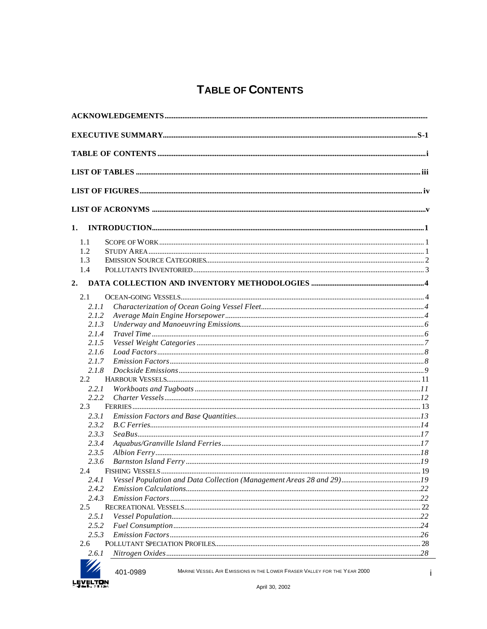# **TABLE OF CONTENTS**

| 1.                       |       |  |
|--------------------------|-------|--|
|                          |       |  |
| 1.1                      |       |  |
| 1.2                      |       |  |
| 1.3                      |       |  |
| 1.4                      |       |  |
|                          |       |  |
| 2.1                      |       |  |
|                          | 2.1.1 |  |
|                          | 2.1.2 |  |
|                          | 2.1.3 |  |
|                          | 2.1.4 |  |
|                          | 2.1.5 |  |
|                          | 2.1.6 |  |
|                          | 2.1.7 |  |
|                          | 2.1.8 |  |
| $2.2^{\circ}$            |       |  |
|                          | 2.2.1 |  |
|                          | 2.2.2 |  |
| 2.3                      |       |  |
|                          | 2.3.1 |  |
|                          | 2.3.2 |  |
|                          | 2.3.3 |  |
|                          | 2.3.4 |  |
|                          | 2.3.5 |  |
|                          | 2.3.6 |  |
| 2.4                      |       |  |
|                          | 2.4.1 |  |
|                          | 2.4.2 |  |
|                          | 2.4.3 |  |
| 2.5                      |       |  |
|                          | 2.5.1 |  |
|                          | 2.5.2 |  |
|                          | 2.5.3 |  |
| 2.6                      |       |  |
| $\overline{\phantom{a}}$ | 2.6.1 |  |
|                          |       |  |



MARINE VESSEL AIR EMISSIONS IN THE LOWER FRASER VALLEY FOR THE YEAR 2000

401-0989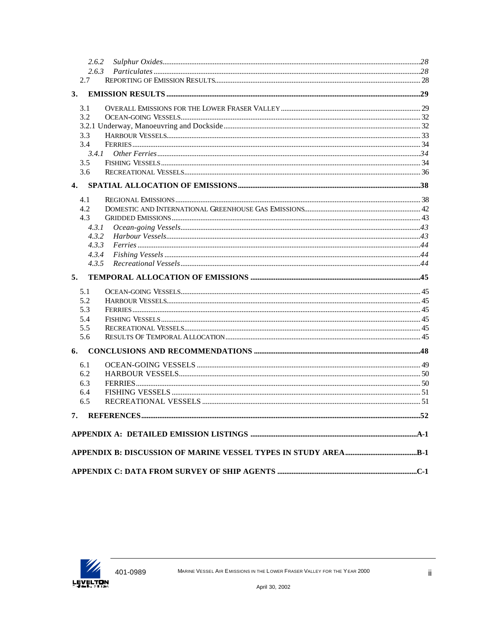| 2.6.2        |  |
|--------------|--|
| 2.6.3        |  |
| 2.7          |  |
| 3.           |  |
| 3.1          |  |
| 3.2          |  |
|              |  |
| 3.3          |  |
| 3.4          |  |
| 3.4.1        |  |
| 3.5          |  |
| 3.6          |  |
| $\mathbf{4}$ |  |
| 4.1          |  |
| 4.2          |  |
| 4.3          |  |
| 4.3.1        |  |
| 4.3.2        |  |
| 4.3.3        |  |
| 4.3.4        |  |
| 4.3.5        |  |
| 5.           |  |
| 5.1          |  |
| 5.2          |  |
| 5.3          |  |
| 5.4          |  |
| 5.5          |  |
| 5.6          |  |
| 6.           |  |
| 6.1          |  |
| 6.2          |  |
| 6.3          |  |
| 6.4          |  |
| 6.5          |  |
| 7.           |  |
|              |  |
|              |  |
|              |  |
|              |  |

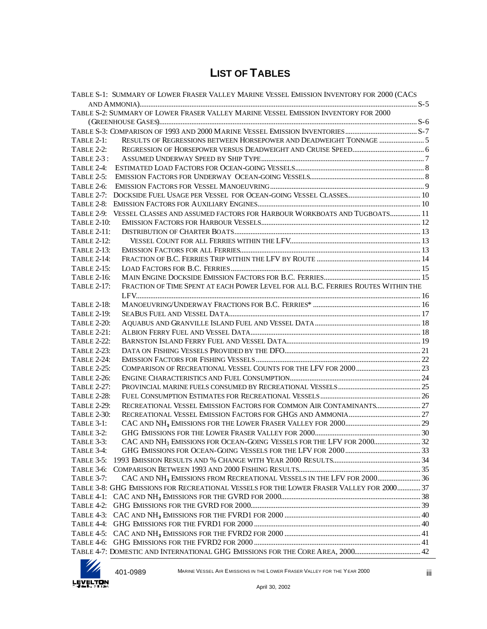# **LIST OF TABLES**

|                    | TABLE S-1: SUMMARY OF LOWER FRASER VALLEY MARINE VESSEL EMISSION INVENTORY FOR 2000 (CACS |  |
|--------------------|-------------------------------------------------------------------------------------------|--|
|                    |                                                                                           |  |
|                    | TABLE S-2: SUMMARY OF LOWER FRASER VALLEY MARINE VESSEL EMISSION INVENTORY FOR 2000       |  |
|                    |                                                                                           |  |
| TABLE 2-1:         |                                                                                           |  |
| <b>TABLE 2-2:</b>  |                                                                                           |  |
| <b>TABLE 2-3:</b>  |                                                                                           |  |
| TABLE 2-4:         |                                                                                           |  |
| <b>TABLE 2-5:</b>  |                                                                                           |  |
| <b>TABLE 2-6:</b>  |                                                                                           |  |
| <b>TABLE 2-7:</b>  |                                                                                           |  |
| TABLE 2-8:         |                                                                                           |  |
|                    | TABLE 2-9: VESSEL CLASSES AND ASSUMED FACTORS FOR HARBOUR WORKBOATS AND TUGBOATS 11       |  |
| <b>TABLE 2-10:</b> |                                                                                           |  |
| <b>TABLE 2-11:</b> |                                                                                           |  |
| <b>TABLE 2-12:</b> |                                                                                           |  |
| <b>TABLE 2-13:</b> |                                                                                           |  |
| <b>TABLE 2-14:</b> |                                                                                           |  |
| <b>TABLE 2-15:</b> |                                                                                           |  |
| <b>TABLE 2-16:</b> |                                                                                           |  |
| TABLE 2-17:        | FRACTION OF TIME SPENT AT EACH POWER LEVEL FOR ALL B.C. FERRIES ROUTES WITHIN THE         |  |
|                    |                                                                                           |  |
| <b>TABLE 2-18:</b> |                                                                                           |  |
| <b>TABLE 2-19:</b> |                                                                                           |  |
| <b>TABLE 2-20:</b> |                                                                                           |  |
| <b>TABLE 2-21:</b> |                                                                                           |  |
| <b>TABLE 2-22:</b> |                                                                                           |  |
| <b>TABLE 2-23:</b> |                                                                                           |  |
| <b>TABLE 2-24:</b> |                                                                                           |  |
| <b>TABLE 2-25:</b> |                                                                                           |  |
| <b>TABLE 2-26:</b> |                                                                                           |  |
| TABLE 2-27:        |                                                                                           |  |
| <b>TABLE 2-28:</b> |                                                                                           |  |
| <b>TABLE 2-29:</b> |                                                                                           |  |
| <b>TABLE 2-30:</b> |                                                                                           |  |
| <b>TABLE 3-1:</b>  |                                                                                           |  |
| TABLE 3-2:         |                                                                                           |  |
| TABLE 3-3:         |                                                                                           |  |
| TABLE 3-4:         |                                                                                           |  |
| TABLE 3-5:         |                                                                                           |  |
| TABLE 3-6:         |                                                                                           |  |
| <b>TABLE 3-7:</b>  |                                                                                           |  |
|                    | TABLE 3-8: GHG EMISSIONS FOR RECREATIONAL VESSELS FOR THE LOWER FRASER VALLEY FOR 2000 37 |  |
|                    |                                                                                           |  |
|                    |                                                                                           |  |
| TABLE 4-3:         |                                                                                           |  |
|                    |                                                                                           |  |
|                    |                                                                                           |  |
|                    |                                                                                           |  |
|                    |                                                                                           |  |



401-0989 MARINE VESSEL AIR E MISSIONS IN THE LOWER FRASER VALLEY FOR THE YEAR 2000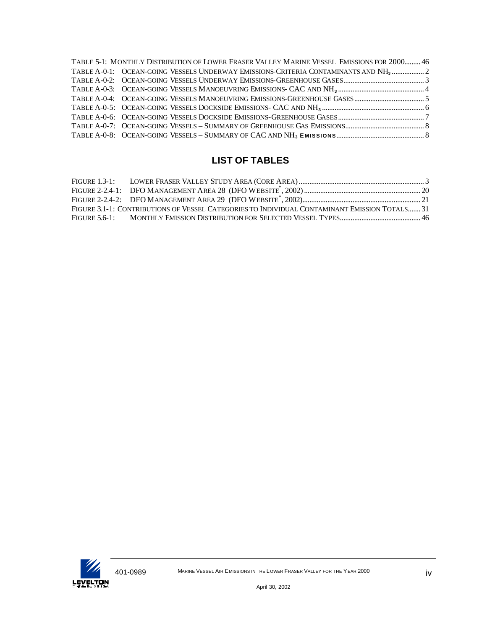| TABLE 5-1: MONTHLY DISTRIBUTION OF LOWER FRASER VALLEY MARINE VESSEL EMISSIONS FOR 2000 46      |  |
|-------------------------------------------------------------------------------------------------|--|
| TABLE A-0-1: OCEAN-GOING VESSELS UNDERWAY EMISSIONS-CRITERIA CONTAMINANTS AND NH <sub>3</sub> 2 |  |
|                                                                                                 |  |
|                                                                                                 |  |
|                                                                                                 |  |
|                                                                                                 |  |
|                                                                                                 |  |
|                                                                                                 |  |
|                                                                                                 |  |

# **LIST OF TABLES**

| FIGURE 3.1-1: CONTRIBUTIONS OF VESSEL CATEGORIES TO INDIVIDUAL CONTAMINANT EMISSION TOTALS 31 |  |
|-----------------------------------------------------------------------------------------------|--|
|                                                                                               |  |

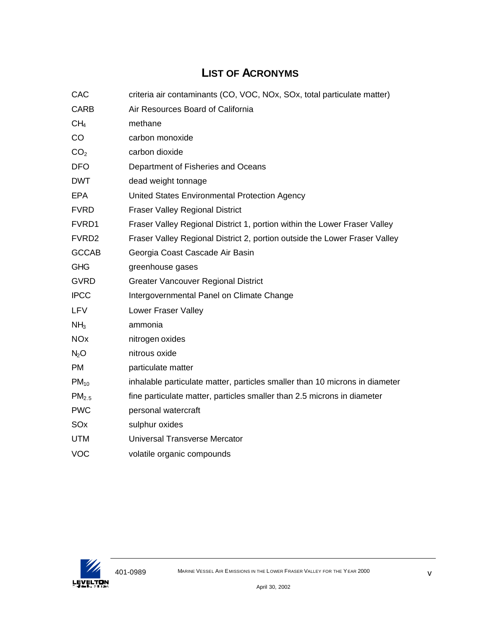# **LIST OF ACRONYMS**

| CAC                   | criteria air contaminants (CO, VOC, NOx, SOx, total particulate matter)     |
|-----------------------|-----------------------------------------------------------------------------|
| <b>CARB</b>           | Air Resources Board of California                                           |
| CH <sub>4</sub>       | methane                                                                     |
| CO                    | carbon monoxide                                                             |
| CO <sub>2</sub>       | carbon dioxide                                                              |
| <b>DFO</b>            | Department of Fisheries and Oceans                                          |
| <b>DWT</b>            | dead weight tonnage                                                         |
| <b>EPA</b>            | United States Environmental Protection Agency                               |
| <b>FVRD</b>           | <b>Fraser Valley Regional District</b>                                      |
| FVRD1                 | Fraser Valley Regional District 1, portion within the Lower Fraser Valley   |
| FVRD <sub>2</sub>     | Fraser Valley Regional District 2, portion outside the Lower Fraser Valley  |
| <b>GCCAB</b>          | Georgia Coast Cascade Air Basin                                             |
| <b>GHG</b>            | greenhouse gases                                                            |
| <b>GVRD</b>           | <b>Greater Vancouver Regional District</b>                                  |
| <b>IPCC</b>           | Intergovernmental Panel on Climate Change                                   |
| LFV                   | Lower Fraser Valley                                                         |
| NH <sub>3</sub>       | ammonia                                                                     |
| <b>NO<sub>x</sub></b> | nitrogen oxides                                                             |
| N <sub>2</sub> O      | nitrous oxide                                                               |
| <b>PM</b>             | particulate matter                                                          |
| $PM_{10}$             | inhalable particulate matter, particles smaller than 10 microns in diameter |
| PM <sub>2.5</sub>     | fine particulate matter, particles smaller than 2.5 microns in diameter     |
| <b>PWC</b>            | personal watercraft                                                         |
| SO <sub>x</sub>       | sulphur oxides                                                              |
| <b>UTM</b>            | Universal Transverse Mercator                                               |
| <b>VOC</b>            | volatile organic compounds                                                  |

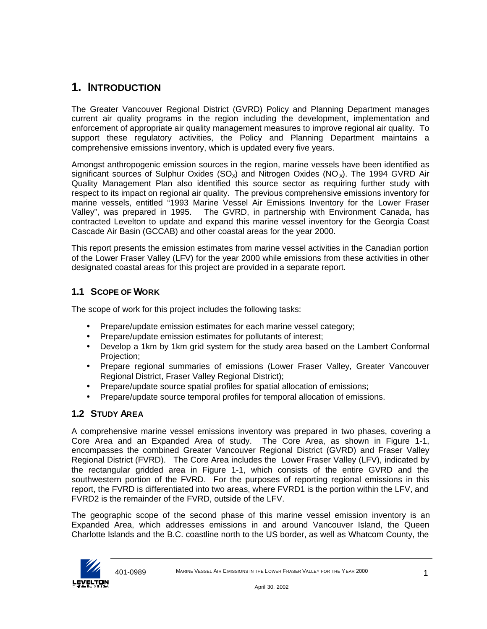# **1. INTRODUCTION**

The Greater Vancouver Regional District (GVRD) Policy and Planning Department manages current air quality programs in the region including the development, implementation and enforcement of appropriate air quality management measures to improve regional air quality. To support these regulatory activities, the Policy and Planning Department maintains a comprehensive emissions inventory, which is updated every five years.

Amongst anthropogenic emission sources in the region, marine vessels have been identified as significant sources of Sulphur Oxides (SO<sub>x</sub>) and Nitrogen Oxides (NO<sub>x</sub>). The 1994 GVRD Air Quality Management Plan also identified this source sector as requiring further study with respect to its impact on regional air quality. The previous comprehensive emissions inventory for marine vessels, entitled "1993 Marine Vessel Air Emissions Inventory for the Lower Fraser Valley", was prepared in 1995. The GVRD, in partnership with Environment Canada, has contracted Levelton to update and expand this marine vessel inventory for the Georgia Coast Cascade Air Basin (GCCAB) and other coastal areas for the year 2000.

This report presents the emission estimates from marine vessel activities in the Canadian portion of the Lower Fraser Valley (LFV) for the year 2000 while emissions from these activities in other designated coastal areas for this project are provided in a separate report.

# **1.1 SCOPE OF WORK**

The scope of work for this project includes the following tasks:

- Prepare/update emission estimates for each marine vessel category;
- Prepare/update emission estimates for pollutants of interest;
- Develop a 1km by 1km grid system for the study area based on the Lambert Conformal Projection;
- Prepare regional summaries of emissions (Lower Fraser Valley, Greater Vancouver Regional District, Fraser Valley Regional District);
- Prepare/update source spatial profiles for spatial allocation of emissions;
- Prepare/update source temporal profiles for temporal allocation of emissions.

# **1.2 STUDY AREA**

A comprehensive marine vessel emissions inventory was prepared in two phases, covering a Core Area and an Expanded Area of study. The Core Area, as shown in Figure 1-1, encompasses the combined Greater Vancouver Regional District (GVRD) and Fraser Valley Regional District (FVRD). The Core Area includes the Lower Fraser Valley (LFV), indicated by the rectangular gridded area in Figure 1-1, which consists of the entire GVRD and the southwestern portion of the FVRD. For the purposes of reporting regional emissions in this report, the FVRD is differentiated into two areas, where FVRD1 is the portion within the LFV, and FVRD2 is the remainder of the FVRD, outside of the LFV.

The geographic scope of the second phase of this marine vessel emission inventory is an Expanded Area, which addresses emissions in and around Vancouver Island, the Queen Charlotte Islands and the B.C. coastline north to the US border, as well as Whatcom County, the

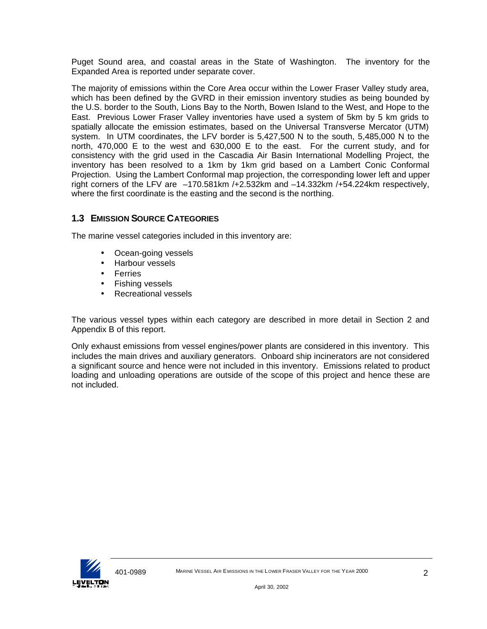Puget Sound area, and coastal areas in the State of Washington. The inventory for the Expanded Area is reported under separate cover.

The majority of emissions within the Core Area occur within the Lower Fraser Valley study area, which has been defined by the GVRD in their emission inventory studies as being bounded by the U.S. border to the South, Lions Bay to the North, Bowen Island to the West, and Hope to the East. Previous Lower Fraser Valley inventories have used a system of 5km by 5 km grids to spatially allocate the emission estimates, based on the Universal Transverse Mercator (UTM) system. In UTM coordinates, the LFV border is 5,427,500 N to the south, 5,485,000 N to the north, 470,000 E to the west and 630,000 E to the east. For the current study, and for consistency with the grid used in the Cascadia Air Basin International Modelling Project, the inventory has been resolved to a 1km by 1km grid based on a Lambert Conic Conformal Projection. Using the Lambert Conformal map projection, the corresponding lower left and upper right corners of the LFV are –170.581km /+2.532km and –14.332km /+54.224km respectively, where the first coordinate is the easting and the second is the northing.

# **1.3 EMISSION SOURCE CATEGORIES**

The marine vessel categories included in this inventory are:

- Ocean-going vessels
- Harbour vessels
- Ferries
- Fishing vessels
- Recreational vessels

The various vessel types within each category are described in more detail in Section 2 and Appendix B of this report.

Only exhaust emissions from vessel engines/power plants are considered in this inventory. This includes the main drives and auxiliary generators. Onboard ship incinerators are not considered a significant source and hence were not included in this inventory. Emissions related to product loading and unloading operations are outside of the scope of this project and hence these are not included.

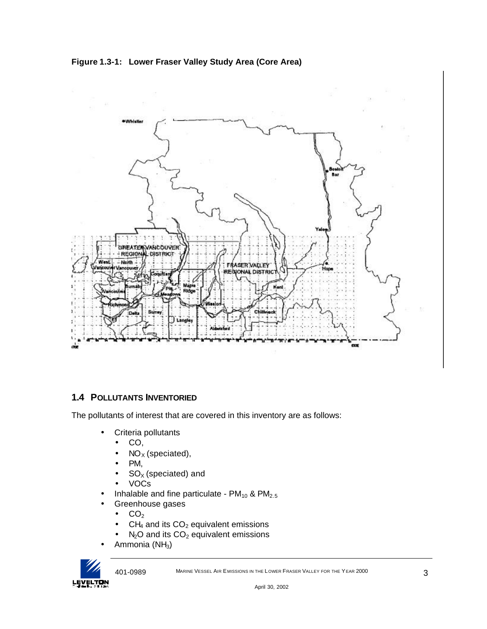**Figure 1.3-1: Lower Fraser Valley Study Area (Core Area)**



# **1.4 POLLUTANTS INVENTORIED**

The pollutants of interest that are covered in this inventory are as follows:

- Criteria pollutants
	- CO,
		- $NO<sub>x</sub>$  (speciated),
	- PM,
	- $SO<sub>X</sub>$  (speciated) and
	- VOCs
- Inhalable and fine particulate  $PM_{10}$  &  $PM_{2.5}$
- Greenhouse gases
	- $CO<sub>2</sub>$
	- $CH<sub>4</sub>$  and its  $CO<sub>2</sub>$  equivalent emissions
	- $N<sub>2</sub>O$  and its  $CO<sub>2</sub>$  equivalent emissions
- Ammonia (NH<sub>3</sub>)



401-0989 MARINE VESSEL AIR E MISSIONS IN THE LOWER FRASER VALLEY FOR THE YEAR 2000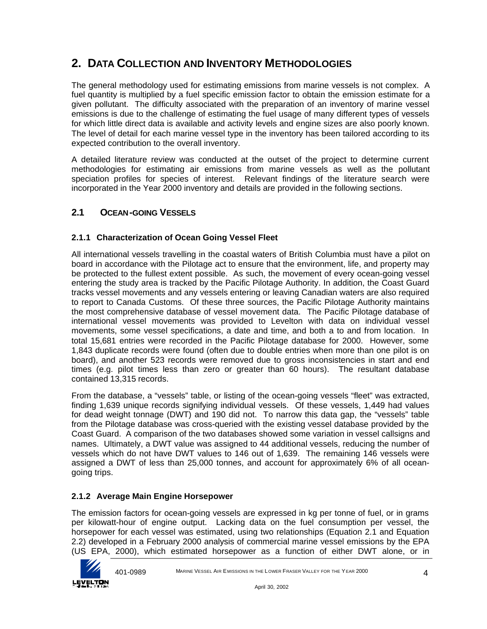# **2. DATA COLLECTION AND INVENTORY METHODOLOGIES**

The general methodology used for estimating emissions from marine vessels is not complex. A fuel quantity is multiplied by a fuel specific emission factor to obtain the emission estimate for a given pollutant. The difficulty associated with the preparation of an inventory of marine vessel emissions is due to the challenge of estimating the fuel usage of many different types of vessels for which little direct data is available and activity levels and engine sizes are also poorly known. The level of detail for each marine vessel type in the inventory has been tailored according to its expected contribution to the overall inventory.

A detailed literature review was conducted at the outset of the project to determine current methodologies for estimating air emissions from marine vessels as well as the pollutant speciation profiles for species of interest. Relevant findings of the literature search were incorporated in the Year 2000 inventory and details are provided in the following sections.

# **2.1 OCEAN-GOING VESSELS**

# **2.1.1 Characterization of Ocean Going Vessel Fleet**

All international vessels travelling in the coastal waters of British Columbia must have a pilot on board in accordance with the Pilotage act to ensure that the environment, life, and property may be protected to the fullest extent possible. As such, the movement of every ocean-going vessel entering the study area is tracked by the Pacific Pilotage Authority. In addition, the Coast Guard tracks vessel movements and any vessels entering or leaving Canadian waters are also required to report to Canada Customs. Of these three sources, the Pacific Pilotage Authority maintains the most comprehensive database of vessel movement data. The Pacific Pilotage database of international vessel movements was provided to Levelton with data on individual vessel movements, some vessel specifications, a date and time, and both a to and from location. In total 15,681 entries were recorded in the Pacific Pilotage database for 2000. However, some 1,843 duplicate records were found (often due to double entries when more than one pilot is on board), and another 523 records were removed due to gross inconsistencies in start and end times (e.g. pilot times less than zero or greater than 60 hours). The resultant database contained 13,315 records.

From the database, a "vessels" table, or listing of the ocean-going vessels "fleet" was extracted, finding 1,639 unique records signifying individual vessels. Of these vessels, 1,449 had values for dead weight tonnage (DWT) and 190 did not. To narrow this data gap, the "vessels" table from the Pilotage database was cross-queried with the existing vessel database provided by the Coast Guard. A comparison of the two databases showed some variation in vessel callsigns and names. Ultimately, a DWT value was assigned to 44 additional vessels, reducing the number of vessels which do not have DWT values to 146 out of 1,639. The remaining 146 vessels were assigned a DWT of less than 25,000 tonnes, and account for approximately 6% of all oceangoing trips.

## **2.1.2 Average Main Engine Horsepower**

The emission factors for ocean-going vessels are expressed in kg per tonne of fuel, or in grams per kilowatt-hour of engine output. Lacking data on the fuel consumption per vessel, the horsepower for each vessel was estimated, using two relationships (Equation 2.1 and Equation 2.2) developed in a February 2000 analysis of commercial marine vessel emissions by the EPA (US EPA, 2000), which estimated horsepower as a function of either DWT alone, or in

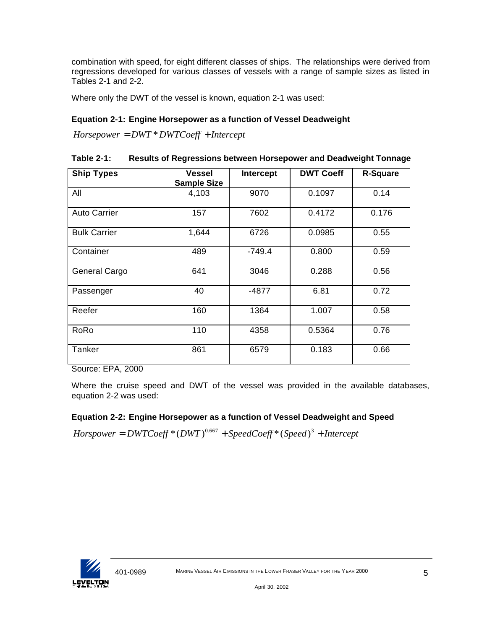combination with speed, for eight different classes of ships. The relationships were derived from regressions developed for various classes of vessels with a range of sample sizes as listed in Tables 2-1 and 2-2.

Where only the DWT of the vessel is known, equation 2-1 was used:

## **Equation 2-1: Engine Horsepower as a function of Vessel Deadweight**

*Horsepower* = *DWT* \**DWTCoeff* + *Intercept*

| <b>Table 2-1:</b> |  | <b>Results of Regressions between Horsepower and Deadweight Tonnage</b> |
|-------------------|--|-------------------------------------------------------------------------|
|                   |  |                                                                         |

| <b>Ship Types</b>   | <b>Vessel</b><br><b>Sample Size</b> | Intercept | <b>DWT Coeff</b> | <b>R-Square</b> |
|---------------------|-------------------------------------|-----------|------------------|-----------------|
| All                 | 4,103                               | 9070      | 0.1097           | 0.14            |
| <b>Auto Carrier</b> | 157                                 | 7602      | 0.4172           | 0.176           |
| <b>Bulk Carrier</b> | 1,644                               | 6726      | 0.0985           | 0.55            |
| Container           | 489                                 | $-749.4$  | 0.800            | 0.59            |
| General Cargo       | 641                                 | 3046      | 0.288            | 0.56            |
| Passenger           | 40                                  | -4877     | 6.81             | 0.72            |
| Reefer              | 160                                 | 1364      | 1.007            | 0.58            |
| RoRo                | 110                                 | 4358      | 0.5364           | 0.76            |
| Tanker              | 861                                 | 6579      | 0.183            | 0.66            |

Source: EPA, 2000

Where the cruise speed and DWT of the vessel was provided in the available databases, equation 2-2 was used:

## **Equation 2-2: Engine Horsepower as a function of Vessel Deadweight and Speed**

 $Horspower = DWTCoeff * (DWT)^{0.667} + SpeedCoeff * (Speed)^3 + Intercept$ 

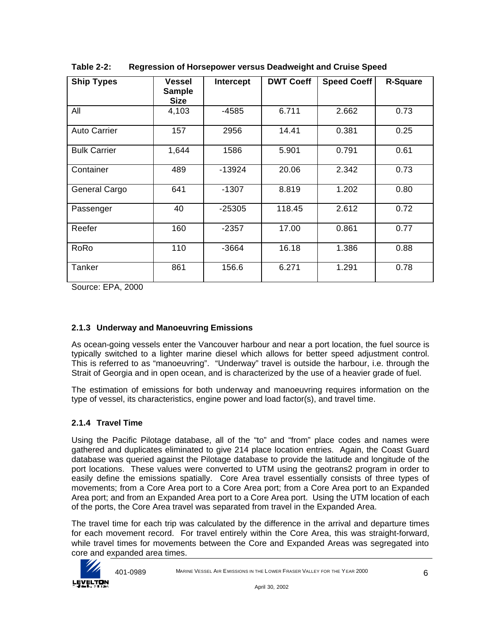| <b>Ship Types</b>   | Vessel<br><b>Sample</b><br><b>Size</b> | Intercept | <b>DWT Coeff</b> | <b>Speed Coeff</b> | <b>R-Square</b> |
|---------------------|----------------------------------------|-----------|------------------|--------------------|-----------------|
| All                 | 4,103                                  | $-4585$   | 6.711            | 2.662              | 0.73            |
| <b>Auto Carrier</b> | 157                                    | 2956      | 14.41            | 0.381              | 0.25            |
| <b>Bulk Carrier</b> | 1,644                                  | 1586      | 5.901            | 0.791              | 0.61            |
| Container           | 489                                    | $-13924$  | 20.06            | 2.342              | 0.73            |
| General Cargo       | 641                                    | -1307     | 8.819            | 1.202              | 0.80            |
| Passenger           | 40                                     | $-25305$  | 118.45           | 2.612              | 0.72            |
| Reefer              | 160                                    | $-2357$   | 17.00            | 0.861              | 0.77            |
| RoRo                | 110                                    | $-3664$   | 16.18            | 1.386              | 0.88            |
| Tanker              | 861                                    | 156.6     | 6.271            | 1.291              | 0.78            |

**Table 2-2: Regression of Horsepower versus Deadweight and Cruise Speed**

Source: EPA, 2000

# **2.1.3 Underway and Manoeuvring Emissions**

As ocean-going vessels enter the Vancouver harbour and near a port location, the fuel source is typically switched to a lighter marine diesel which allows for better speed adjustment control. This is referred to as "manoeuvring". "Underway" travel is outside the harbour, i.e. through the Strait of Georgia and in open ocean, and is characterized by the use of a heavier grade of fuel.

The estimation of emissions for both underway and manoeuvring requires information on the type of vessel, its characteristics, engine power and load factor(s), and travel time.

## **2.1.4 Travel Time**

Using the Pacific Pilotage database, all of the "to" and "from" place codes and names were gathered and duplicates eliminated to give 214 place location entries. Again, the Coast Guard database was queried against the Pilotage database to provide the latitude and longitude of the port locations. These values were converted to UTM using the geotrans2 program in order to easily define the emissions spatially. Core Area travel essentially consists of three types of movements; from a Core Area port to a Core Area port; from a Core Area port to an Expanded Area port; and from an Expanded Area port to a Core Area port. Using the UTM location of each of the ports, the Core Area travel was separated from travel in the Expanded Area.

The travel time for each trip was calculated by the difference in the arrival and departure times for each movement record. For travel entirely within the Core Area, this was straight-forward, while travel times for movements between the Core and Expanded Areas was segregated into core and expanded area times.

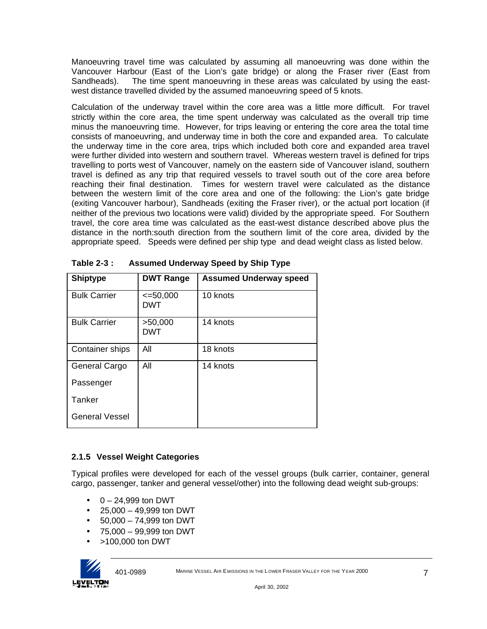Manoeuvring travel time was calculated by assuming all manoeuvring was done within the Vancouver Harbour (East of the Lion's gate bridge) or along the Fraser river (East from Sandheads). The time spent manoeuvring in these areas was calculated by using the eastwest distance travelled divided by the assumed manoeuvring speed of 5 knots.

Calculation of the underway travel within the core area was a little more difficult. For travel strictly within the core area, the time spent underway was calculated as the overall trip time minus the manoeuvring time. However, for trips leaving or entering the core area the total time consists of manoeuvring, and underway time in both the core and expanded area. To calculate the underway time in the core area, trips which included both core and expanded area travel were further divided into western and southern travel. Whereas western travel is defined for trips travelling to ports west of Vancouver, namely on the eastern side of Vancouver island, southern travel is defined as any trip that required vessels to travel south out of the core area before reaching their final destination. Times for western travel were calculated as the distance between the western limit of the core area and one of the following: the Lion's gate bridge (exiting Vancouver harbour), Sandheads (exiting the Fraser river), or the actual port location (if neither of the previous two locations were valid) divided by the appropriate speed. For Southern travel, the core area time was calculated as the east-west distance described above plus the distance in the north:south direction from the southern limit of the core area, divided by the appropriate speed. Speeds were defined per ship type and dead weight class as listed below.

| <b>Shiptype</b>       | <b>DWT Range</b>     | <b>Assumed Underway speed</b> |
|-----------------------|----------------------|-------------------------------|
| <b>Bulk Carrier</b>   | $\leq 50,000$<br>DWT | 10 knots                      |
| <b>Bulk Carrier</b>   | >50,000<br>DWT       | 14 knots                      |
| Container ships       | All                  | 18 knots                      |
| General Cargo         | All                  | 14 knots                      |
| Passenger             |                      |                               |
| Tanker                |                      |                               |
| <b>General Vessel</b> |                      |                               |

**Table 2-3 : Assumed Underway Speed by Ship Type**

# **2.1.5 Vessel Weight Categories**

Typical profiles were developed for each of the vessel groups (bulk carrier, container, general cargo, passenger, tanker and general vessel/other) into the following dead weight sub-groups:

- $\bullet$  0 24,999 ton DWT
- 25,000 49,999 ton DWT
- $\bullet$  50,000 74,999 ton DWT
- 75,000 99,999 ton DWT
- >100,000 ton DWT

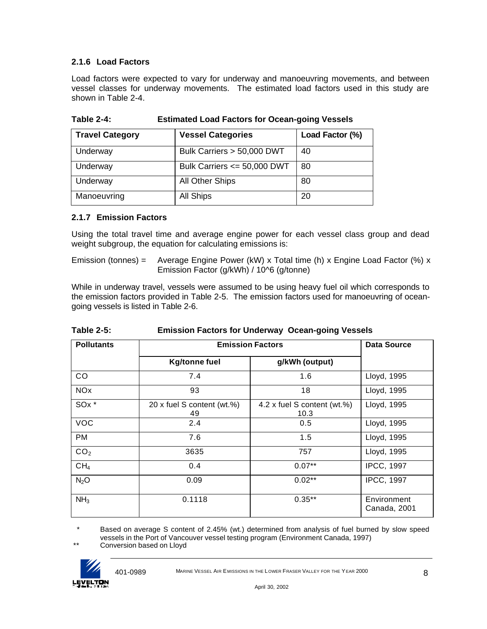# **2.1.6 Load Factors**

Load factors were expected to vary for underway and manoeuvring movements, and between vessel classes for underway movements. The estimated load factors used in this study are shown in Table 2-4.

| <b>Travel Category</b> | <b>Vessel Categories</b>        | Load Factor (%) |
|------------------------|---------------------------------|-----------------|
| Underway               | Bulk Carriers > 50,000 DWT      | 40              |
| Underway               | Bulk Carriers $\leq$ 50,000 DWT | 80              |
| Underway               | All Other Ships                 | 80              |
| Manoeuvring            | All Ships                       | 20              |

**Table 2-4: Estimated Load Factors for Ocean-going Vessels**

## **2.1.7 Emission Factors**

Using the total travel time and average engine power for each vessel class group and dead weight subgroup, the equation for calculating emissions is:

Emission (tonnes) = Average Engine Power (kW) x Total time (h) x Engine Load Factor (%) x Emission Factor (g/kWh) / 10^6 (g/tonne)

While in underway travel, vessels were assumed to be using heavy fuel oil which corresponds to the emission factors provided in Table 2-5. The emission factors used for manoeuvring of oceangoing vessels is listed in Table 2-6.

| <b>Table 2-5:</b> | <b>Emission Factors for Underway Ocean-going Vessels</b> |  |
|-------------------|----------------------------------------------------------|--|
|                   |                                                          |  |

| <b>Pollutants</b>     | <b>Emission Factors</b>          |                                     | <b>Data Source</b>          |
|-----------------------|----------------------------------|-------------------------------------|-----------------------------|
|                       | <b>Kg/tonne fuel</b>             | g/kWh (output)                      |                             |
| CO                    | 7.4                              | 1.6                                 | Lloyd, 1995                 |
| <b>NO<sub>x</sub></b> | 93                               | 18                                  | Lloyd, 1995                 |
| SO <sub>x</sub> *     | 20 x fuel S content (wt.%)<br>49 | 4.2 x fuel S content (wt.%)<br>10.3 | Lloyd, 1995                 |
| <b>VOC</b>            | 2.4                              | 0.5                                 | Lloyd, 1995                 |
| <b>PM</b>             | 7.6                              | 1.5                                 | Lloyd, 1995                 |
| CO <sub>2</sub>       | 3635                             | 757                                 | Lloyd, 1995                 |
| CH <sub>4</sub>       | 0.4                              | $0.07**$                            | <b>IPCC, 1997</b>           |
| $N_2O$                | 0.09                             | $0.02**$                            | <b>IPCC, 1997</b>           |
| NH <sub>3</sub>       | 0.1118                           | $0.35***$                           | Environment<br>Canada, 2001 |

 \* Based on average S content of 2.45% (wt.) determined from analysis of fuel burned by slow speed vessels in the Port of Vancouver vessel testing program (Environment Canada, 1997)

\*\* Conversion based on Lloyd

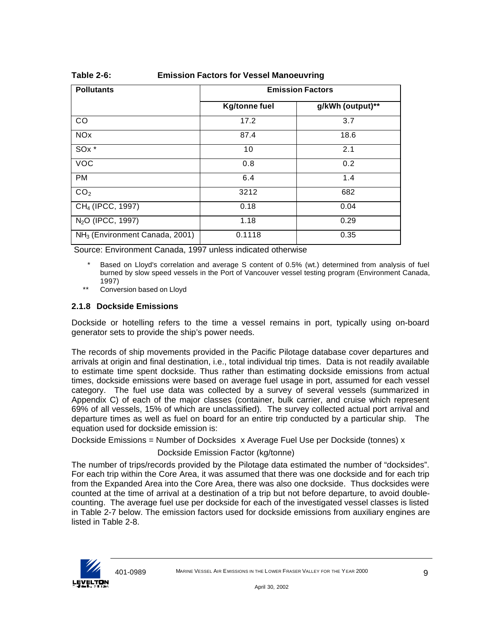| <b>Pollutants</b>                          | <b>Emission Factors</b> |                  |  |
|--------------------------------------------|-------------------------|------------------|--|
|                                            | <b>Kg/tonne fuel</b>    | g/kWh (output)** |  |
| CO                                         | 17.2                    | 3.7              |  |
| <b>NO<sub>x</sub></b>                      | 87.4                    | 18.6             |  |
| SO <sub>x</sub> *                          | 10                      | 2.1              |  |
| <b>VOC</b>                                 | 0.8                     | 0.2              |  |
| <b>PM</b>                                  | 6.4                     | 1.4              |  |
| CO <sub>2</sub>                            | 3212                    | 682              |  |
| CH <sub>4</sub> (IPCC, 1997)               | 0.18                    | 0.04             |  |
| N <sub>2</sub> O (IPCC, 1997)              | 1.18                    | 0.29             |  |
| NH <sub>3</sub> (Environment Canada, 2001) | 0.1118                  | 0.35             |  |

#### **Table 2-6: Emission Factors for Vessel Manoeuvring**

Source: Environment Canada, 1997 unless indicated otherwise

Based on Lloyd's correlation and average S content of 0.5% (wt.) determined from analysis of fuel burned by slow speed vessels in the Port of Vancouver vessel testing program (Environment Canada, 1997)

\*\* Conversion based on Lloyd

#### **2.1.8 Dockside Emissions**

Dockside or hotelling refers to the time a vessel remains in port, typically using on-board generator sets to provide the ship's power needs.

The records of ship movements provided in the Pacific Pilotage database cover departures and arrivals at origin and final destination, i.e., total individual trip times. Data is not readily available to estimate time spent dockside. Thus rather than estimating dockside emissions from actual times, dockside emissions were based on average fuel usage in port, assumed for each vessel category. The fuel use data was collected by a survey of several vessels (summarized in Appendix C) of each of the major classes (container, bulk carrier, and cruise which represent 69% of all vessels, 15% of which are unclassified). The survey collected actual port arrival and departure times as well as fuel on board for an entire trip conducted by a particular ship. The equation used for dockside emission is:

Dockside Emissions = Number of Docksides x Average Fuel Use per Dockside (tonnes) x

#### Dockside Emission Factor (kg/tonne)

The number of trips/records provided by the Pilotage data estimated the number of "docksides". For each trip within the Core Area, it was assumed that there was one dockside and for each trip from the Expanded Area into the Core Area, there was also one dockside. Thus docksides were counted at the time of arrival at a destination of a trip but not before departure, to avoid doublecounting. The average fuel use per dockside for each of the investigated vessel classes is listed in Table 2-7 below. The emission factors used for dockside emissions from auxiliary engines are listed in Table 2-8.

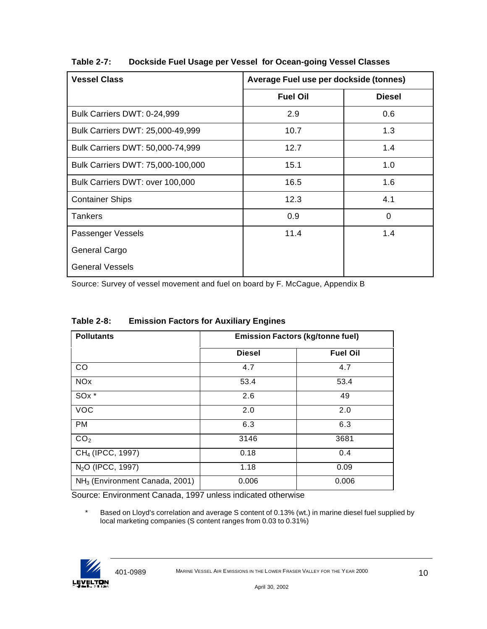| <b>Vessel Class</b>               | Average Fuel use per dockside (tonnes) |               |
|-----------------------------------|----------------------------------------|---------------|
|                                   | <b>Fuel Oil</b>                        | <b>Diesel</b> |
| Bulk Carriers DWT: 0-24,999       | 2.9                                    | 0.6           |
| Bulk Carriers DWT: 25,000-49,999  | 10.7                                   | 1.3           |
| Bulk Carriers DWT: 50,000-74,999  | 12.7                                   | 1.4           |
| Bulk Carriers DWT: 75,000-100,000 | 15.1                                   | 1.0           |
| Bulk Carriers DWT: over 100,000   | 16.5                                   | 1.6           |
| <b>Container Ships</b>            | 12.3                                   | 4.1           |
| <b>Tankers</b>                    | 0.9                                    | 0             |
| Passenger Vessels                 | 11.4                                   | 1.4           |
| General Cargo                     |                                        |               |
| <b>General Vessels</b>            |                                        |               |

**Table 2-7: Dockside Fuel Usage per Vessel for Ocean-going Vessel Classes**

Source: Survey of vessel movement and fuel on board by F. McCague, Appendix B

| <b>Table 2-8:</b> | <b>Emission Factors for Auxiliary Engines</b> |
|-------------------|-----------------------------------------------|
|-------------------|-----------------------------------------------|

| <b>Pollutants</b>                          | <b>Emission Factors (kg/tonne fuel)</b> |                 |
|--------------------------------------------|-----------------------------------------|-----------------|
|                                            | <b>Diesel</b>                           | <b>Fuel Oil</b> |
| CO                                         | 4.7                                     | 4.7             |
| <b>NOx</b>                                 | 53.4                                    | 53.4            |
| SO <sub>x</sub> *                          | 2.6                                     | 49              |
| <b>VOC</b>                                 | 2.0                                     | 2.0             |
| <b>PM</b>                                  | 6.3                                     | 6.3             |
| CO <sub>2</sub>                            | 3146                                    | 3681            |
| CH <sub>4</sub> (IPCC, 1997)               | 0.18                                    | 0.4             |
| N <sub>2</sub> O (IPCC, 1997)              | 1.18                                    | 0.09            |
| NH <sub>3</sub> (Environment Canada, 2001) | 0.006                                   | 0.006           |

Source: Environment Canada, 1997 unless indicated otherwise

 \* Based on Lloyd's correlation and average S content of 0.13% (wt.) in marine diesel fuel supplied by local marketing companies (S content ranges from 0.03 to 0.31%)

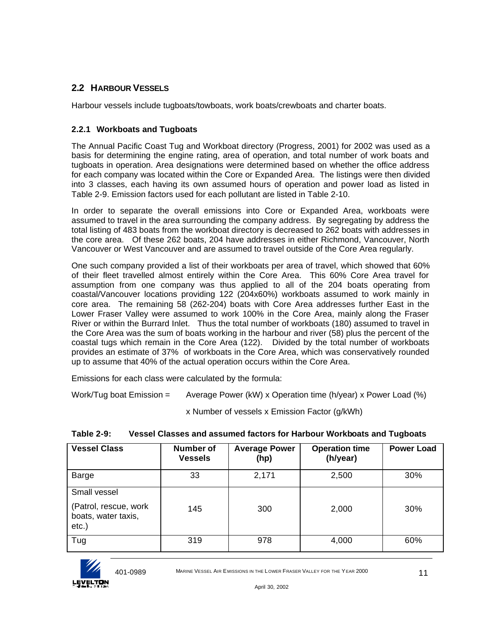# **2.2 HARBOUR VESSELS**

Harbour vessels include tugboats/towboats, work boats/crewboats and charter boats.

## **2.2.1 Workboats and Tugboats**

The Annual Pacific Coast Tug and Workboat directory (Progress, 2001) for 2002 was used as a basis for determining the engine rating, area of operation, and total number of work boats and tugboats in operation. Area designations were determined based on whether the office address for each company was located within the Core or Expanded Area. The listings were then divided into 3 classes, each having its own assumed hours of operation and power load as listed in Table 2-9. Emission factors used for each pollutant are listed in Table 2-10.

In order to separate the overall emissions into Core or Expanded Area, workboats were assumed to travel in the area surrounding the company address. By segregating by address the total listing of 483 boats from the workboat directory is decreased to 262 boats with addresses in the core area. Of these 262 boats, 204 have addresses in either Richmond, Vancouver, North Vancouver or West Vancouver and are assumed to travel outside of the Core Area regularly.

One such company provided a list of their workboats per area of travel, which showed that 60% of their fleet travelled almost entirely within the Core Area. This 60% Core Area travel for assumption from one company was thus applied to all of the 204 boats operating from coastal/Vancouver locations providing 122 (204x60%) workboats assumed to work mainly in core area. The remaining 58 (262-204) boats with Core Area addresses further East in the Lower Fraser Valley were assumed to work 100% in the Core Area, mainly along the Fraser River or within the Burrard Inlet. Thus the total number of workboats (180) assumed to travel in the Core Area was the sum of boats working in the harbour and river (58) plus the percent of the coastal tugs which remain in the Core Area (122). Divided by the total number of workboats provides an estimate of 37% of workboats in the Core Area, which was conservatively rounded up to assume that 40% of the actual operation occurs within the Core Area.

Emissions for each class were calculated by the formula:

Work/Tug boat Emission = Average Power (kW) x Operation time (h/year) x Power Load (%)

x Number of vessels x Emission Factor (g/kWh)

| <b>Vessel Class</b>                                                      | Number of<br><b>Vessels</b> | <b>Average Power</b><br>(hp) | <b>Operation time</b><br>(h/year) | <b>Power Load</b> |
|--------------------------------------------------------------------------|-----------------------------|------------------------------|-----------------------------------|-------------------|
| Barge                                                                    | 33                          | 2,171                        | 2,500                             | 30%               |
| Small vessel<br>(Patrol, rescue, work<br>boats, water taxis,<br>$etc.$ ) | 145                         | 300                          | 2,000                             | 30%               |
| Tug                                                                      | 319                         | 978                          | 4,000                             | 60%               |

**Table 2-9: Vessel Classes and assumed factors for Harbour Workboats and Tugboats**

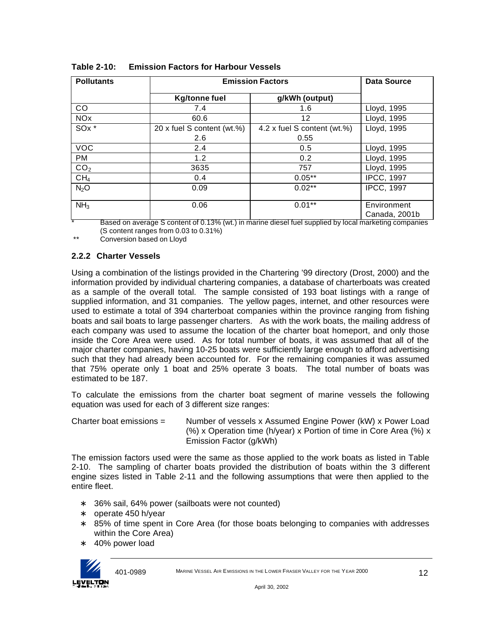| <b>Pollutants</b>     | <b>Emission Factors</b>    |                             | <b>Data Source</b>           |
|-----------------------|----------------------------|-----------------------------|------------------------------|
|                       | <b>Kg/tonne fuel</b>       | g/kWh (output)              |                              |
| CO.                   | 7.4                        | 1.6                         | Lloyd, 1995                  |
| <b>NO<sub>x</sub></b> | 60.6                       | 12                          | Lloyd, 1995                  |
| SO <sub>x</sub> *     | 20 x fuel S content (wt.%) | 4.2 x fuel S content (wt.%) | Lloyd, 1995                  |
|                       | 2.6                        | 0.55                        |                              |
| <b>VOC</b>            | 2.4                        | 0.5                         | Lloyd, 1995                  |
| <b>PM</b>             | 1.2                        | 0.2                         | Lloyd, 1995                  |
| CO <sub>2</sub>       | 3635                       | 757                         | Lloyd, 1995                  |
| CH <sub>4</sub>       | 0.4                        | $0.05***$                   | <b>IPCC, 1997</b>            |
| N <sub>2</sub> O      | 0.09                       | $0.02**$                    | <b>IPCC, 1997</b>            |
| NH <sub>3</sub>       | 0.06                       | $0.01**$                    | Environment<br>Canada, 2001b |

**Table 2-10: Emission Factors for Harbour Vessels**

Based on average S content of 0.13% (wt.) in marine diesel fuel supplied by local marketing companies (S content ranges from 0.03 to 0.31%)

\*\* Conversion based on Lloyd

## **2.2.2 Charter Vessels**

Using a combination of the listings provided in the Chartering '99 directory (Drost, 2000) and the information provided by individual chartering companies, a database of charterboats was created as a sample of the overall total. The sample consisted of 193 boat listings with a range of supplied information, and 31 companies. The yellow pages, internet, and other resources were used to estimate a total of 394 charterboat companies within the province ranging from fishing boats and sail boats to large passenger charters. As with the work boats, the mailing address of each company was used to assume the location of the charter boat homeport, and only those inside the Core Area were used. As for total number of boats, it was assumed that all of the major charter companies, having 10-25 boats were sufficiently large enough to afford advertising such that they had already been accounted for. For the remaining companies it was assumed that 75% operate only 1 boat and 25% operate 3 boats. The total number of boats was estimated to be 187.

To calculate the emissions from the charter boat segment of marine vessels the following equation was used for each of 3 different size ranges:

Charter boat emissions = Number of vessels x Assumed Engine Power (kW) x Power Load (%) x Operation time (h/year) x Portion of time in Core Area (%) x Emission Factor (g/kWh)

The emission factors used were the same as those applied to the work boats as listed in Table 2-10. The sampling of charter boats provided the distribution of boats within the 3 different engine sizes listed in Table 2-11 and the following assumptions that were then applied to the entire fleet.

- 36% sail, 64% power (sailboats were not counted)
- ∗ operate 450 h/year
- ∗ 85% of time spent in Core Area (for those boats belonging to companies with addresses within the Core Area)
- ∗ 40% power load

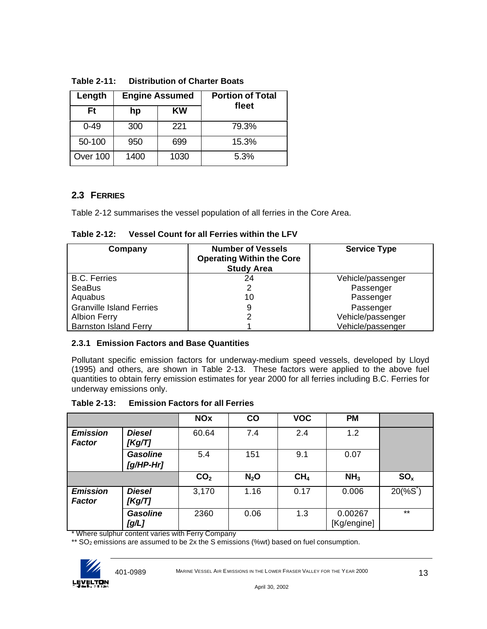| Length   |      | <b>Engine Assumed</b> | <b>Portion of Total</b> |
|----------|------|-----------------------|-------------------------|
| Ft       | hp   | KW                    | fleet                   |
| $0 - 49$ | 300  | 221                   | 79.3%                   |
| 50-100   | 950  | 699                   | 15.3%                   |
| Over 100 | 1400 | 1030                  | 5.3%                    |

**Table 2-11: Distribution of Charter Boats**

# **2.3 FERRIES**

Table 2-12 summarises the vessel population of all ferries in the Core Area.

**Table 2-12: Vessel Count for all Ferries within the LFV**

| Company                         | <b>Number of Vessels</b><br><b>Operating Within the Core</b><br><b>Study Area</b> | <b>Service Type</b> |
|---------------------------------|-----------------------------------------------------------------------------------|---------------------|
| <b>B.C. Ferries</b>             | 24                                                                                | Vehicle/passenger   |
| <b>SeaBus</b>                   |                                                                                   | Passenger           |
| Aquabus                         | 10                                                                                | Passenger           |
| <b>Granville Island Ferries</b> |                                                                                   | Passenger           |
| <b>Albion Ferry</b>             |                                                                                   | Vehicle/passenger   |
| <b>Barnston Island Ferry</b>    |                                                                                   | Vehicle/passenger   |

## **2.3.1 Emission Factors and Base Quantities**

Pollutant specific emission factors for underway-medium speed vessels, developed by Lloyd (1995) and others, are shown in Table 2-13. These factors were applied to the above fuel quantities to obtain ferry emission estimates for year 2000 for all ferries including B.C. Ferries for underway emissions only.

|                                  |                              | <b>NOx</b>      | $\mathbf{CO}$ | <b>VOC</b>      | <b>PM</b>              |                          |
|----------------------------------|------------------------------|-----------------|---------------|-----------------|------------------------|--------------------------|
| <b>Emission</b><br><b>Factor</b> | <b>Diesel</b><br>[Kg/T]      | 60.64           | 7.4           | 2.4             | 1.2                    |                          |
|                                  | <b>Gasoline</b><br>[g/HP-Hr] | 5.4             | 151           | 9.1             | 0.07                   |                          |
|                                  |                              | CO <sub>2</sub> | $N_2$ O       | CH <sub>4</sub> | NH <sub>3</sub>        | SO <sub>x</sub>          |
| <b>Emission</b><br><b>Factor</b> | <b>Diesel</b><br>[Kg/T]      | 3,170           | 1.16          | 0.17            | 0.006                  | $20$ (% $S$ <sup>*</sup> |
|                                  | <b>Gasoline</b><br>[g/L]     | 2360            | 0.06          | 1.3             | 0.00267<br>[Kg/engine] | $***$                    |

\* Where sulphur content varies with Ferry Company

\*\* SO<sub>2</sub> emissions are assumed to be 2x the S emissions (%wt) based on fuel consumption.

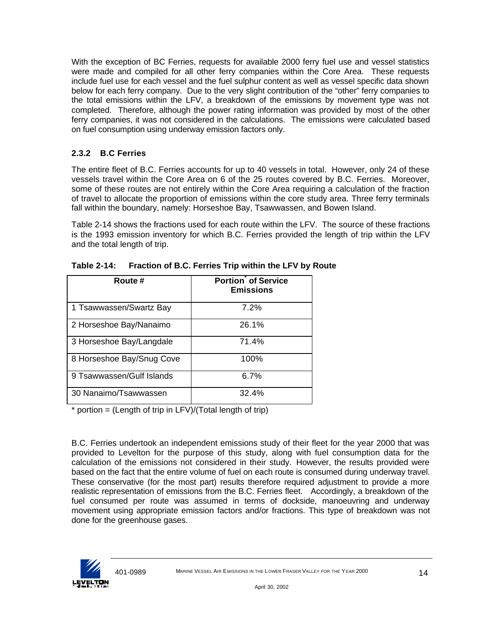With the exception of BC Ferries, requests for available 2000 ferry fuel use and vessel statistics were made and compiled for all other ferry companies within the Core Area. These requests include fuel use for each vessel and the fuel sulphur content as well as vessel specific data shown below for each ferry company. Due to the very slight contribution of the "other" ferry companies to the total emissions within the LFV, a breakdown of the emissions by movement type was not completed. Therefore, although the power rating information was provided by most of the other ferry companies, it was not considered in the calculations. The emissions were calculated based on fuel consumption using underway emission factors only.

# **2.3.2 B.C Ferries**

The entire fleet of B.C. Ferries accounts for up to 40 vessels in total. However, only 24 of these vessels travel within the Core Area on 6 of the 25 routes covered by B.C. Ferries. Moreover, some of these routes are not entirely within the Core Area requiring a calculation of the fraction of travel to allocate the proportion of emissions within the core study area. Three ferry terminals fall within the boundary, namely: Horseshoe Bay, Tsawwassen, and Bowen Island.

Table 2-14 shows the fractions used for each route within the LFV. The source of these fractions is the 1993 emission inventory for which B.C. Ferries provided the length of trip within the LFV and the total length of trip.

| Route #                   | Portion <sup>o</sup> of Service<br><b>Emissions</b> |
|---------------------------|-----------------------------------------------------|
| 1 Tsawwassen/Swartz Bay   | 7.2%                                                |
| 2 Horseshoe Bay/Nanaimo   | 26.1%                                               |
| 3 Horseshoe Bay/Langdale  | 71.4%                                               |
| 8 Horseshoe Bay/Snug Cove | 100%                                                |
| 9 Tsawwassen/Gulf Islands | 6.7%                                                |
| 30 Nanaimo/Tsawwassen     | 32.4%                                               |

**Table 2-14: Fraction of B.C. Ferries Trip within the LFV by Route**

 $*$  portion = (Length of trip in LFV)/(Total length of trip)

B.C. Ferries undertook an independent emissions study of their fleet for the year 2000 that was provided to Levelton for the purpose of this study, along with fuel consumption data for the calculation of the emissions not considered in their study. However, the results provided were based on the fact that the entire volume of fuel on each route is consumed during underway travel. These conservative (for the most part) results therefore required adjustment to provide a more realistic representation of emissions from the B.C. Ferries fleet. Accordingly, a breakdown of the fuel consumed per route was assumed in terms of dockside, manoeuvring and underway movement using appropriate emission factors and/or fractions. This type of breakdown was not done for the greenhouse gases.

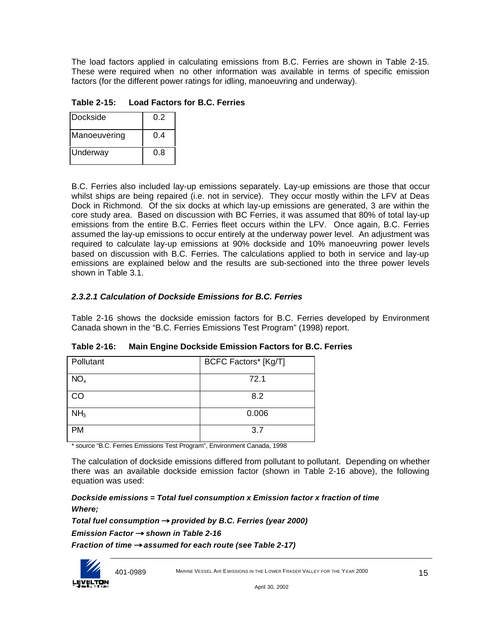The load factors applied in calculating emissions from B.C. Ferries are shown in Table 2-15. These were required when no other information was available in terms of specific emission factors (for the different power ratings for idling, manoeuvring and underway).

**Table 2-15: Load Factors for B.C. Ferries**

| l Dockside   | 0 2 |
|--------------|-----|
| Manoeuvering | 0.4 |
| Underway     | 0.8 |

B.C. Ferries also included lay-up emissions separately. Lay-up emissions are those that occur whilst ships are being repaired (i.e. not in service). They occur mostly within the LFV at Deas Dock in Richmond. Of the six docks at which lay-up emissions are generated, 3 are within the core study area. Based on discussion with BC Ferries, it was assumed that 80% of total lay-up emissions from the entire B.C. Ferries fleet occurs within the LFV. Once again, B.C. Ferries assumed the lay-up emissions to occur entirely at the underway power level. An adjustment was required to calculate lay-up emissions at 90% dockside and 10% manoeuvring power levels based on discussion with B.C. Ferries. The calculations applied to both in service and lay-up emissions are explained below and the results are sub-sectioned into the three power levels shown in Table 3.1.

# *2.3.2.1 Calculation of Dockside Emissions for B.C. Ferries*

Table 2-16 shows the dockside emission factors for B.C. Ferries developed by Environment Canada shown in the "B.C. Ferries Emissions Test Program" (1998) report.

| Pollutant       | BCFC Factors* [Kg/T] |
|-----------------|----------------------|
| NO <sub>x</sub> | 72.1                 |
| CO              | 8.2                  |
| NH <sub>3</sub> | 0.006                |
| <b>PM</b>       | 3.7                  |

**Table 2-16: Main Engine Dockside Emission Factors for B.C. Ferries**

\* source "B.C. Ferries Emissions Test Program", Environment Canada, 1998

The calculation of dockside emissions differed from pollutant to pollutant. Depending on whether there was an available dockside emission factor (shown in Table 2-16 above), the following equation was used:

*Dockside emissions = Total fuel consumption x Emission factor x fraction of time Where;*

*Total fuel consumption ® provided by B.C. Ferries (year 2000)*

*Emission Factor ® shown in Table 2-16*

*Fraction of time ® assumed for each route (see Table 2-17)*

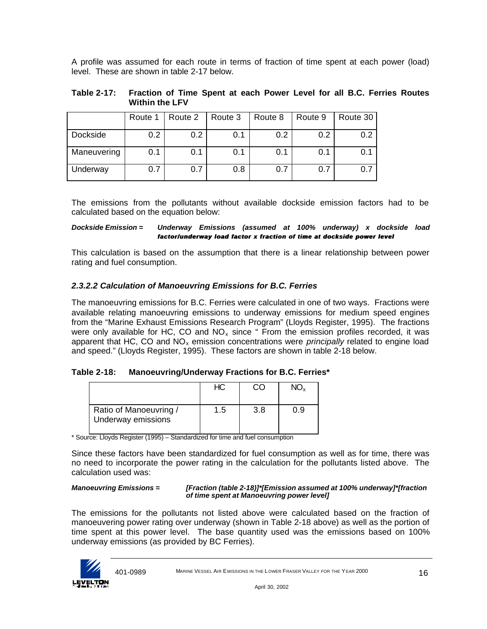A profile was assumed for each route in terms of fraction of time spent at each power (load) level. These are shown in table 2-17 below.

**Table 2-17: Fraction of Time Spent at each Power Level for all B.C. Ferries Routes Within the LFV**

|             | Route 1 | Route 2          | Route 3 | Route 8 | Route 9 | Route 30 |
|-------------|---------|------------------|---------|---------|---------|----------|
| Dockside    | 0.2     | 0.2 <sub>0</sub> | 0.1     | 0.2     | 0.2     | 0.2      |
| Maneuvering | 0.1     | 0.1              | 0.1     | 0.1     | 0.1     | 0.1      |
| Underway    | 0.7     | 0.7              | 0.8     | 0.7     | 0.7     | 0.7      |

The emissions from the pollutants without available dockside emission factors had to be calculated based on the equation below:

#### *Dockside Emission = Underway Emissions (assumed at 100% underway) x dockside load factor/underway load factor x fraction of time at dockside power level*

This calculation is based on the assumption that there is a linear relationship between power rating and fuel consumption.

## *2.3.2.2 Calculation of Manoeuvring Emissions for B.C. Ferries*

The manoeuvring emissions for B.C. Ferries were calculated in one of two ways. Fractions were available relating manoeuvring emissions to underway emissions for medium speed engines from the "Marine Exhaust Emissions Research Program" (Lloyds Register, 1995). The fractions were only available for HC, CO and  $NO<sub>x</sub>$  since " From the emission profiles recorded, it was apparent that HC, CO and NO<sub>x</sub> emission concentrations were *principally* related to engine load and speed." (Lloyds Register, 1995). These factors are shown in table 2-18 below.

## **Table 2-18: Manoeuvring/Underway Fractions for B.C. Ferries\***

|                                              | HС  |     |     |
|----------------------------------------------|-----|-----|-----|
| Ratio of Manoeuvring /<br>Underway emissions | 1.5 | 3.8 | ი ი |

\* Source: Lloyds Register (1995) – Standardized for time and fuel consumption

Since these factors have been standardized for fuel consumption as well as for time, there was no need to incorporate the power rating in the calculation for the pollutants listed above. The calculation used was:

#### *Manoeuvring Emissions = [Fraction (table 2-18)]\*[Emission assumed at 100% underway]\*[fraction of time spent at Manoeuvring power level]*

The emissions for the pollutants not listed above were calculated based on the fraction of manoeuvering power rating over underway (shown in Table 2-18 above) as well as the portion of time spent at this power level. The base quantity used was the emissions based on 100% underway emissions (as provided by BC Ferries).

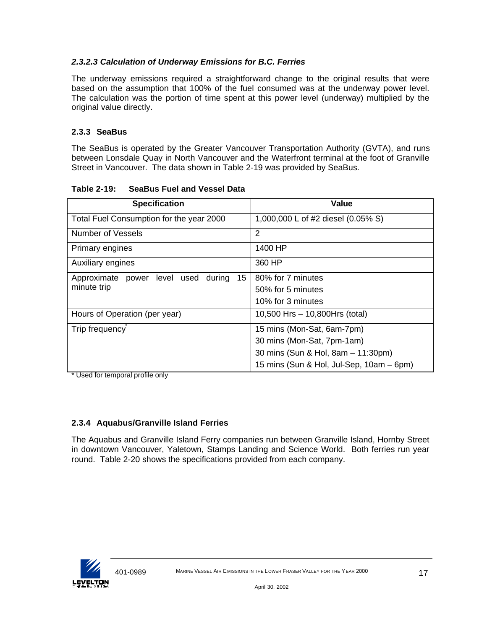# *2.3.2.3 Calculation of Underway Emissions for B.C. Ferries*

The underway emissions required a straightforward change to the original results that were based on the assumption that 100% of the fuel consumed was at the underway power level. The calculation was the portion of time spent at this power level (underway) multiplied by the original value directly.

# **2.3.3 SeaBus**

The SeaBus is operated by the Greater Vancouver Transportation Authority (GVTA), and runs between Lonsdale Quay in North Vancouver and the Waterfront terminal at the foot of Granville Street in Vancouver. The data shown in Table 2-19 was provided by SeaBus.

| <b>Specification</b>                            | <b>Value</b>                             |
|-------------------------------------------------|------------------------------------------|
| Total Fuel Consumption for the year 2000        | 1,000,000 L of #2 diesel (0.05% S)       |
| Number of Vessels                               | 2                                        |
| Primary engines                                 | 1400 HP                                  |
| Auxiliary engines                               | 360 HP                                   |
| 15<br>during<br>Approximate power level<br>used | 80% for 7 minutes                        |
| minute trip                                     | 50% for 5 minutes                        |
|                                                 | 10% for 3 minutes                        |
| Hours of Operation (per year)                   | 10,500 Hrs - 10,800Hrs (total)           |
| Trip frequency                                  | 15 mins (Mon-Sat, 6am-7pm)               |
|                                                 | 30 mins (Mon-Sat, 7pm-1am)               |
|                                                 | 30 mins (Sun & Hol, 8am - 11:30pm)       |
|                                                 | 15 mins (Sun & Hol, Jul-Sep, 10am – 6pm) |

**Table 2-19: SeaBus Fuel and Vessel Data**

\* Used for temporal profile only

# **2.3.4 Aquabus/Granville Island Ferries**

The Aquabus and Granville Island Ferry companies run between Granville Island, Hornby Street in downtown Vancouver, Yaletown, Stamps Landing and Science World. Both ferries run year round. Table 2-20 shows the specifications provided from each company.

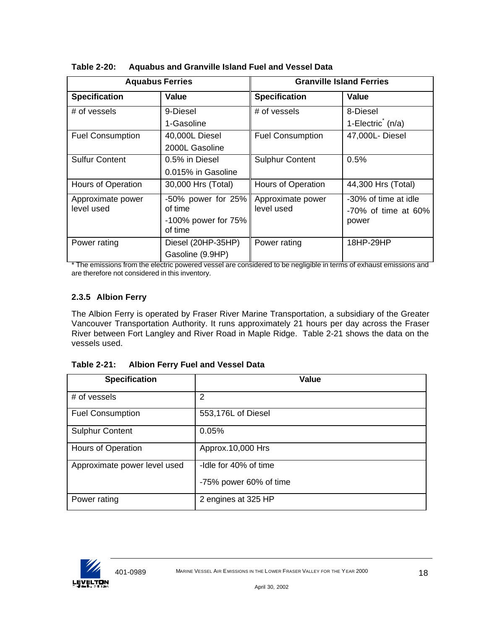| <b>Aquabus Ferries</b>          |                                                                    | <b>Granville Island Ferries</b> |                                                         |  |
|---------------------------------|--------------------------------------------------------------------|---------------------------------|---------------------------------------------------------|--|
| <b>Specification</b>            | Value                                                              | <b>Specification</b>            | Value                                                   |  |
| # of vessels                    | 9-Diesel<br>1-Gasoline                                             | # of vessels                    | 8-Diesel<br>1-Electric $(n/a)$                          |  |
| <b>Fuel Consumption</b>         | 40,000L Diesel<br>2000L Gasoline                                   | <b>Fuel Consumption</b>         | 47,000L- Diesel                                         |  |
| <b>Sulfur Content</b>           | 0.5% in Diesel<br>0.015% in Gasoline                               | <b>Sulphur Content</b>          | 0.5%                                                    |  |
| Hours of Operation              | 30,000 Hrs (Total)                                                 | Hours of Operation              | 44,300 Hrs (Total)                                      |  |
| Approximate power<br>level used | $-50\%$ power for 25%<br>of time<br>-100% power for 75%<br>of time | Approximate power<br>level used | -30% of time at idle<br>$-70\%$ of time at 60%<br>power |  |
| Power rating                    | Diesel (20HP-35HP)<br>Gasoline (9.9HP)                             | Power rating                    | 18HP-29HP                                               |  |

**Table 2-20: Aquabus and Granville Island Fuel and Vessel Data**

\* The emissions from the electric powered vessel are considered to be negligible in terms of exhaust emissions and are therefore not considered in this inventory.

# **2.3.5 Albion Ferry**

The Albion Ferry is operated by Fraser River Marine Transportation, a subsidiary of the Greater Vancouver Transportation Authority. It runs approximately 21 hours per day across the Fraser River between Fort Langley and River Road in Maple Ridge. Table 2-21 shows the data on the vessels used.

| <b>Table 2-21:</b> | <b>Albion Ferry Fuel and Vessel Data</b> |
|--------------------|------------------------------------------|
|--------------------|------------------------------------------|

| <b>Specification</b>         | Value                  |
|------------------------------|------------------------|
| # of vessels                 | 2                      |
| <b>Fuel Consumption</b>      | 553,176L of Diesel     |
| <b>Sulphur Content</b>       | 0.05%                  |
| Hours of Operation           | Approx.10,000 Hrs      |
| Approximate power level used | -Idle for 40% of time  |
|                              | -75% power 60% of time |
| Power rating                 | 2 engines at 325 HP    |

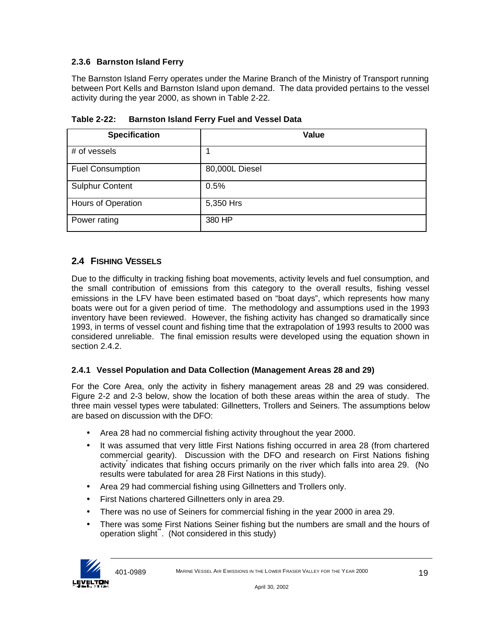# **2.3.6 Barnston Island Ferry**

The Barnston Island Ferry operates under the Marine Branch of the Ministry of Transport running between Port Kells and Barnston Island upon demand. The data provided pertains to the vessel activity during the year 2000, as shown in Table 2-22.

| <b>Specification</b>    | <b>Value</b>   |
|-------------------------|----------------|
| # of vessels            |                |
| <b>Fuel Consumption</b> | 80,000L Diesel |
| <b>Sulphur Content</b>  | 0.5%           |
| Hours of Operation      | 5,350 Hrs      |
| Power rating            | 380 HP         |

**Table 2-22: Barnston Island Ferry Fuel and Vessel Data**

# **2.4 FISHING VESSELS**

Due to the difficulty in tracking fishing boat movements, activity levels and fuel consumption, and the small contribution of emissions from this category to the overall results, fishing vessel emissions in the LFV have been estimated based on "boat days", which represents how many boats were out for a given period of time. The methodology and assumptions used in the 1993 inventory have been reviewed. However, the fishing activity has changed so dramatically since 1993, in terms of vessel count and fishing time that the extrapolation of 1993 results to 2000 was considered unreliable. The final emission results were developed using the equation shown in section 2.4.2.

# **2.4.1 Vessel Population and Data Collection (Management Areas 28 and 29)**

For the Core Area, only the activity in fishery management areas 28 and 29 was considered. Figure 2-2 and 2-3 below, show the location of both these areas within the area of study. The three main vessel types were tabulated: Gillnetters, Trollers and Seiners. The assumptions below are based on discussion with the DFO:

- Area 28 had no commercial fishing activity throughout the year 2000.
- It was assumed that very little First Nations fishing occurred in area 28 (from chartered commercial gearity). Discussion with the DFO and research on First Nations fishing activity indicates that fishing occurs primarily on the river which falls into area 29. (No results were tabulated for area 28 First Nations in this study).
- Area 29 had commercial fishing using Gillnetters and Trollers only.
- First Nations chartered Gillnetters only in area 29.
- There was no use of Seiners for commercial fishing in the year 2000 in area 29.
- There was some First Nations Seiner fishing but the numbers are small and the hours of operation slight". (Not considered in this study)

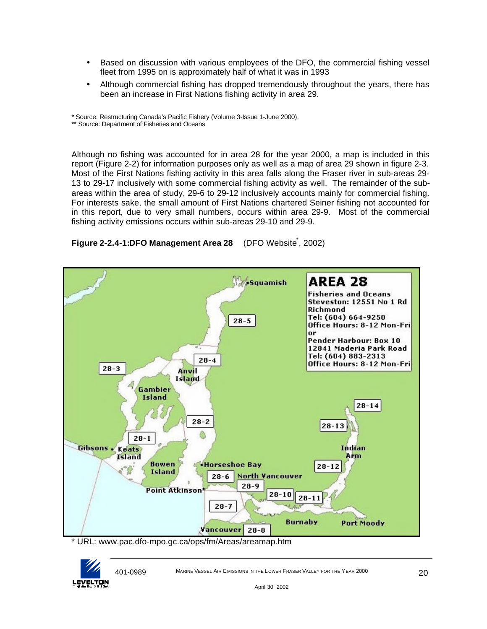- Based on discussion with various employees of the DFO, the commercial fishing vessel fleet from 1995 on is approximately half of what it was in 1993
- Although commercial fishing has dropped tremendously throughout the years, there has been an increase in First Nations fishing activity in area 29.

\* Source: Restructuring Canada's Pacific Fishery (Volume 3-Issue 1-June 2000).

\*\* Source: Department of Fisheries and Oceans

Although no fishing was accounted for in area 28 for the year 2000, a map is included in this report (Figure 2-2) for information purposes only as well as a map of area 29 shown in figure 2-3. Most of the First Nations fishing activity in this area falls along the Fraser river in sub-areas 29- 13 to 29-17 inclusively with some commercial fishing activity as well. The remainder of the subareas within the area of study, 29-6 to 29-12 inclusively accounts mainly for commercial fishing. For interests sake, the small amount of First Nations chartered Seiner fishing not accounted for in this report, due to very small numbers, occurs within area 29-9. Most of the commercial fishing activity emissions occurs within sub-areas 29-10 and 29-9.



**Figure 2-2.4-1:DFO Management Area 28** (DFO Website, 2002)

\* URL: www.pac.dfo-mpo.gc.ca/ops/fm/Areas/areamap.htm

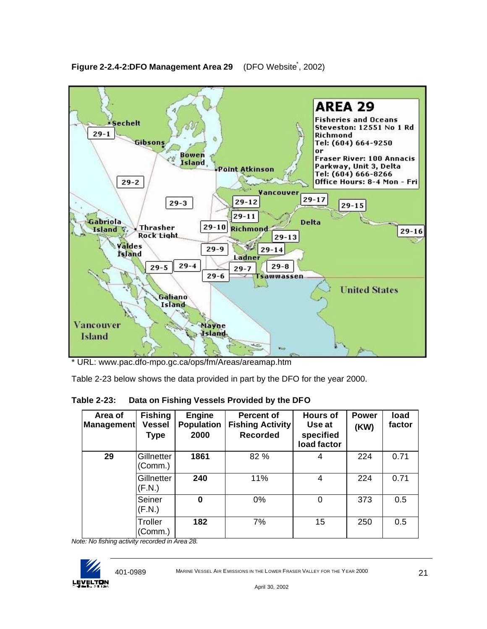

Figure 2-2.4-2:DFO Management Area 29 (DFO Website<sup>\*</sup>, 2002)

Table 2-23 below shows the data provided in part by the DFO for the year 2000.

**Table 2-23: Data on Fishing Vessels Provided by the DFO**

| Area of<br><b>Management</b> | <b>Fishing</b><br><b>Vessel</b><br><b>Type</b> | Engine<br><b>Population</b><br>2000 | <b>Percent of</b><br><b>Fishing Activity</b><br><b>Recorded</b> | <b>Hours of</b><br>Use at<br>specified<br>load factor | <b>Power</b><br>(KW) | load<br>factor |
|------------------------------|------------------------------------------------|-------------------------------------|-----------------------------------------------------------------|-------------------------------------------------------|----------------------|----------------|
| 29                           | Gillnetter<br>(Comm.)                          | 1861                                | 82 %                                                            | 4                                                     | 224                  | 0.71           |
|                              | Gillnetter<br>(F.N.)                           | 240                                 | 11%                                                             | 4                                                     | 224                  | 0.71           |
|                              | Seiner<br>(F.N.)                               | 0                                   | 0%                                                              | $\Omega$                                              | 373                  | 0.5            |
|                              | Troller<br>(Comm.)                             | 182                                 | 7%                                                              | 15                                                    | 250                  | 0.5            |

*Note: No fishing activity recorded in Area 28.*



<sup>\*</sup> URL: www.pac.dfo-mpo.gc.ca/ops/fm/Areas/areamap.htm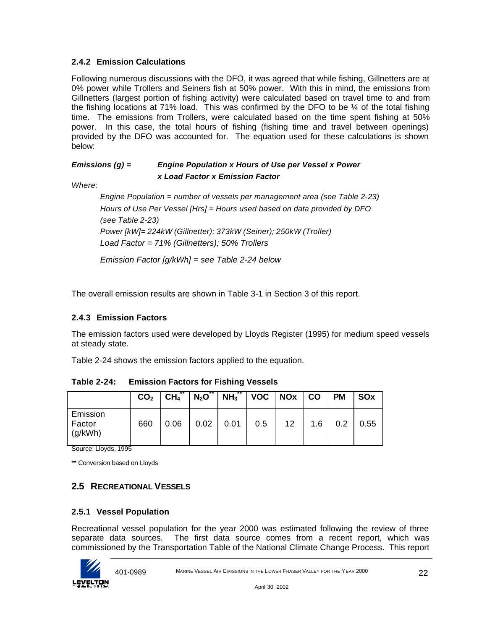# **2.4.2 Emission Calculations**

Following numerous discussions with the DFO, it was agreed that while fishing, Gillnetters are at 0% power while Trollers and Seiners fish at 50% power. With this in mind, the emissions from Gillnetters (largest portion of fishing activity) were calculated based on travel time to and from the fishing locations at 71% load. This was confirmed by the DFO to be ¼ of the total fishing time. The emissions from Trollers, were calculated based on the time spent fishing at 50% power. In this case, the total hours of fishing (fishing time and travel between openings) provided by the DFO was accounted for. The equation used for these calculations is shown below:

# *Emissions (g) = Engine Population x Hours of Use per Vessel x Power x Load Factor x Emission Factor*

*Where:*

*Engine Population = number of vessels per management area (see Table 2-23) Hours of Use Per Vessel [Hrs] = Hours used based on data provided by DFO (see Table 2-23) Power [kW]= 224kW (Gillnetter); 373kW (Seiner); 250kW (Troller) Load Factor = 71% (Gillnetters); 50% Trollers Emission Factor [g/kWh] = see Table 2-24 below*

The overall emission results are shown in Table 3-1 in Section 3 of this report.

## **2.4.3 Emission Factors**

The emission factors used were developed by Lloyds Register (1995) for medium speed vessels at steady state.

Table 2-24 shows the emission factors applied to the equation.

|                               | CO <sub>2</sub> | CH <sub>4</sub> | $N_2O$ | $\vert$ NH <sub>3</sub> <sup>**</sup>   VOC   NOx   CO |     |                 |     | <b>PM</b> | <b>SOx</b> |
|-------------------------------|-----------------|-----------------|--------|--------------------------------------------------------|-----|-----------------|-----|-----------|------------|
| Emission<br>Factor<br>(g/kWh) | 660             | 0.06            | 0.02   | 0.01                                                   | 0.5 | 12 <sup>7</sup> | 1.6 | 0.2       | 0.55       |

**Table 2-24: Emission Factors for Fishing Vessels**

Source: Lloyds, 1995

\*\* Conversion based on Lloyds

# **2.5 RECREATIONAL VESSELS**

# **2.5.1 Vessel Population**

Recreational vessel population for the year 2000 was estimated following the review of three separate data sources. The first data source comes from a recent report, which was commissioned by the Transportation Table of the National Climate Change Process. This report

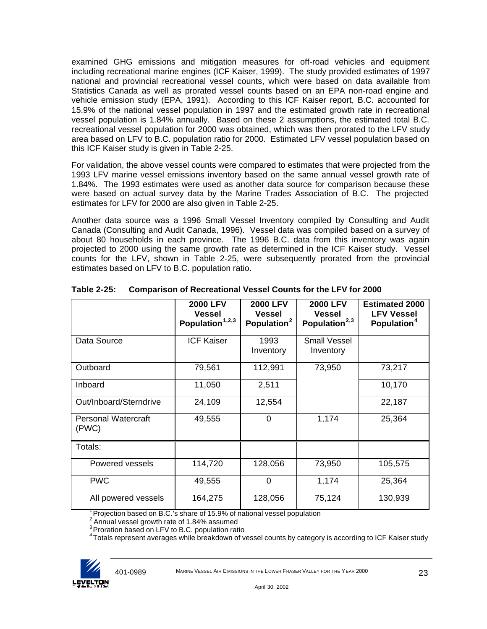examined GHG emissions and mitigation measures for off-road vehicles and equipment including recreational marine engines (ICF Kaiser, 1999). The study provided estimates of 1997 national and provincial recreational vessel counts, which were based on data available from Statistics Canada as well as prorated vessel counts based on an EPA non-road engine and vehicle emission study (EPA, 1991). According to this ICF Kaiser report, B.C. accounted for 15.9% of the national vessel population in 1997 and the estimated growth rate in recreational vessel population is 1.84% annually. Based on these 2 assumptions, the estimated total B.C. recreational vessel population for 2000 was obtained, which was then prorated to the LFV study area based on LFV to B.C. population ratio for 2000. Estimated LFV vessel population based on this ICF Kaiser study is given in Table 2-25.

For validation, the above vessel counts were compared to estimates that were projected from the 1993 LFV marine vessel emissions inventory based on the same annual vessel growth rate of 1.84%. The 1993 estimates were used as another data source for comparison because these were based on actual survey data by the Marine Trades Association of B.C. The projected estimates for LFV for 2000 are also given in Table 2-25.

Another data source was a 1996 Small Vessel Inventory compiled by Consulting and Audit Canada (Consulting and Audit Canada, 1996). Vessel data was compiled based on a survey of about 80 households in each province. The 1996 B.C. data from this inventory was again projected to 2000 using the same growth rate as determined in the ICF Kaiser study. Vessel counts for the LFV, shown in Table 2-25, were subsequently prorated from the provincial estimates based on LFV to B.C. population ratio.

|                                     | <b>2000 LFV</b><br><b>Vessel</b><br>Population <sup>1,2,3</sup> | <b>2000 LFV</b><br>Vessel<br>Population <sup>2</sup> | <b>2000 LFV</b><br><b>Vessel</b><br>Population $^{2,3}$ | <b>Estimated 2000</b><br><b>LFV Vessel</b><br>Population <sup>4</sup> |
|-------------------------------------|-----------------------------------------------------------------|------------------------------------------------------|---------------------------------------------------------|-----------------------------------------------------------------------|
| Data Source                         | <b>ICF Kaiser</b>                                               | 1993<br>Inventory                                    | <b>Small Vessel</b><br>Inventory                        |                                                                       |
| Outboard                            | 79,561                                                          | 112,991                                              | 73,950                                                  | 73,217                                                                |
| Inboard                             | 11,050                                                          | 2,511                                                |                                                         | 10,170                                                                |
| Out/Inboard/Sterndrive              | 24,109                                                          | 12,554                                               |                                                         | 22,187                                                                |
| <b>Personal Watercraft</b><br>(PWC) | 49,555                                                          | $\Omega$                                             | 1,174                                                   | 25,364                                                                |
| Totals:                             |                                                                 |                                                      |                                                         |                                                                       |
| Powered vessels                     | 114,720                                                         | 128,056                                              | 73,950                                                  | 105,575                                                               |
| <b>PWC</b>                          | 49,555                                                          | 0                                                    | 1,174                                                   | 25,364                                                                |
| All powered vessels                 | 164,275                                                         | 128,056                                              | 75,124                                                  | 130,939                                                               |

**Table 2-25: Comparison of Recreational Vessel Counts for the LFV for 2000**

<sup>1</sup> Projection based on B.C.'s share of 15.9% of national vessel population

 $2$  Annual vessel growth rate of 1.84% assumed

<sup>3</sup> Proration based on LFV to B.C. population ratio

<sup>4</sup> Totals represent averages while breakdown of vessel counts by category is according to ICF Kaiser study

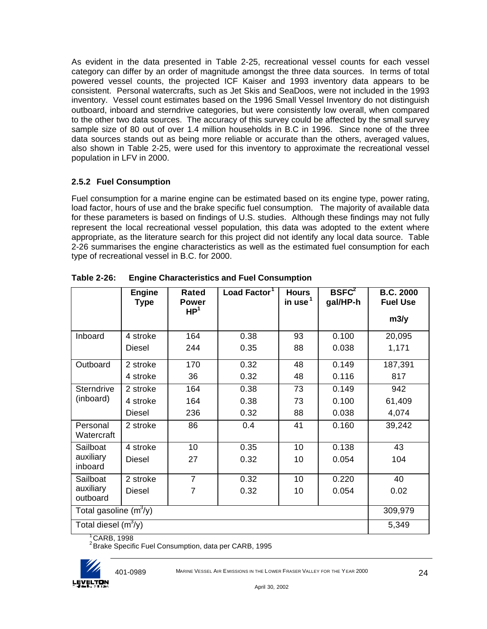As evident in the data presented in Table 2-25, recreational vessel counts for each vessel category can differ by an order of magnitude amongst the three data sources. In terms of total powered vessel counts, the projected ICF Kaiser and 1993 inventory data appears to be consistent. Personal watercrafts, such as Jet Skis and SeaDoos, were not included in the 1993 inventory. Vessel count estimates based on the 1996 Small Vessel Inventory do not distinguish outboard, inboard and sterndrive categories, but were consistently low overall, when compared to the other two data sources. The accuracy of this survey could be affected by the small survey sample size of 80 out of over 1.4 million households in B.C in 1996. Since none of the three data sources stands out as being more reliable or accurate than the others, averaged values, also shown in Table 2-25, were used for this inventory to approximate the recreational vessel population in LFV in 2000.

## **2.5.2 Fuel Consumption**

Fuel consumption for a marine engine can be estimated based on its engine type, power rating, load factor, hours of use and the brake specific fuel consumption. The majority of available data for these parameters is based on findings of U.S. studies. Although these findings may not fully represent the local recreational vessel population, this data was adopted to the extent where appropriate, as the literature search for this project did not identify any local data source. Table 2-26 summarises the engine characteristics as well as the estimated fuel consumption for each type of recreational vessel in B.C. for 2000.

|                          | <b>Engine</b><br><b>Type</b> | <b>Rated</b><br><b>Power</b><br>HP <sup>1</sup> | Load Factor <sup>1</sup> | <b>Hours</b><br>in use $1$ | BSEC <sup>2</sup><br>gal/HP-h | <b>B.C. 2000</b><br><b>Fuel Use</b> |
|--------------------------|------------------------------|-------------------------------------------------|--------------------------|----------------------------|-------------------------------|-------------------------------------|
|                          |                              |                                                 |                          |                            |                               | m3/y                                |
| Inboard                  | 4 stroke                     | 164                                             | 0.38                     | 93                         | 0.100                         | 20,095                              |
|                          | <b>Diesel</b>                | 244                                             | 0.35                     | 88                         | 0.038                         | 1,171                               |
| Outboard                 | 2 stroke                     | 170                                             | 0.32                     | 48                         | 0.149                         | 187,391                             |
|                          | 4 stroke                     | 36                                              | 0.32                     | 48                         | 0.116                         | 817                                 |
| Sterndrive               | 2 stroke                     | 164                                             | 0.38                     | 73                         | 0.149                         | 942                                 |
| (inboard)                | 4 stroke                     | 164                                             | 0.38                     | 73                         | 0.100                         | 61,409                              |
|                          | Diesel                       | 236                                             | 0.32                     | 88                         | 0.038                         | 4,074                               |
| Personal<br>Watercraft   | 2 stroke                     | 86                                              | 0.4                      | 41                         | 0.160                         | 39,242                              |
| Sailboat                 | 4 stroke                     | 10                                              | 0.35                     | 10                         | 0.138                         | 43                                  |
| auxiliary<br>inboard     | <b>Diesel</b>                | 27                                              | 0.32                     | 10                         | 0.054                         | 104                                 |
| Sailboat                 | 2 stroke                     | $\overline{7}$                                  | 0.32                     | 10 <sup>1</sup>            | 0.220                         | 40                                  |
| auxiliary<br>outboard    | <b>Diesel</b>                | $\overline{7}$                                  | 0.32                     | 10                         | 0.054                         | 0.02                                |
| Total gasoline $(m^3/y)$ | 309,979                      |                                                 |                          |                            |                               |                                     |
| Total diesel $(m^3/y)$   | 5,349                        |                                                 |                          |                            |                               |                                     |

**Table 2-26: Engine Characteristics and Fuel Consumption**

 $1^{\circ}$ CARB, 1998

<sup>2</sup> Brake Specific Fuel Consumption, data per CARB, 1995

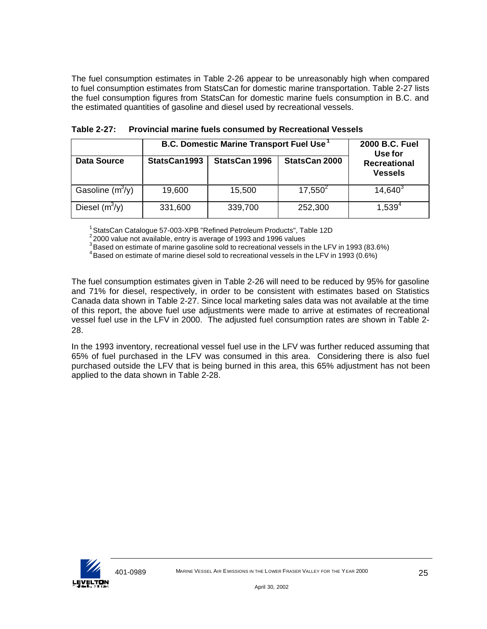The fuel consumption estimates in Table 2-26 appear to be unreasonably high when compared to fuel consumption estimates from StatsCan for domestic marine transportation. Table 2-27 lists the fuel consumption figures from StatsCan for domestic marine fuels consumption in B.C. and the estimated quantities of gasoline and diesel used by recreational vessels.

|                    | <b>B.C. Domestic Marine Transport Fuel Use</b> | 2000 B.C. Fuel<br>Use for |               |              |  |  |  |  |
|--------------------|------------------------------------------------|---------------------------|---------------|--------------|--|--|--|--|
| <b>Data Source</b> | StatsCan1993                                   | <b>StatsCan 1996</b>      | StatsCan 2000 |              |  |  |  |  |
| Gasoline $(m^3/y)$ | 19,600                                         | 15,500                    | $17,550^2$    | $14,640^{3}$ |  |  |  |  |
| Diesel $(m^3/y)$   | 331,600                                        | 339,700                   | 252,300       | $1,539^{4}$  |  |  |  |  |

**Table 2-27: Provincial marine fuels consumed by Recreational Vessels**

<sup>1</sup> StatsCan Catalogue 57-003-XPB "Refined Petroleum Products", Table 12D

<sup>2</sup>2000 value not available, entry is average of 1993 and 1996 values

<sup>3</sup>Based on estimate of marine gasoline sold to recreational vessels in the LFV in 1993 (83.6%)

<sup>4</sup> Based on estimate of marine diesel sold to recreational vessels in the LFV in 1993 (0.6%)

The fuel consumption estimates given in Table 2-26 will need to be reduced by 95% for gasoline and 71% for diesel, respectively, in order to be consistent with estimates based on Statistics Canada data shown in Table 2-27. Since local marketing sales data was not available at the time of this report, the above fuel use adjustments were made to arrive at estimates of recreational vessel fuel use in the LFV in 2000. The adjusted fuel consumption rates are shown in Table 2- 28.

In the 1993 inventory, recreational vessel fuel use in the LFV was further reduced assuming that 65% of fuel purchased in the LFV was consumed in this area. Considering there is also fuel purchased outside the LFV that is being burned in this area, this 65% adjustment has not been applied to the data shown in Table 2-28.

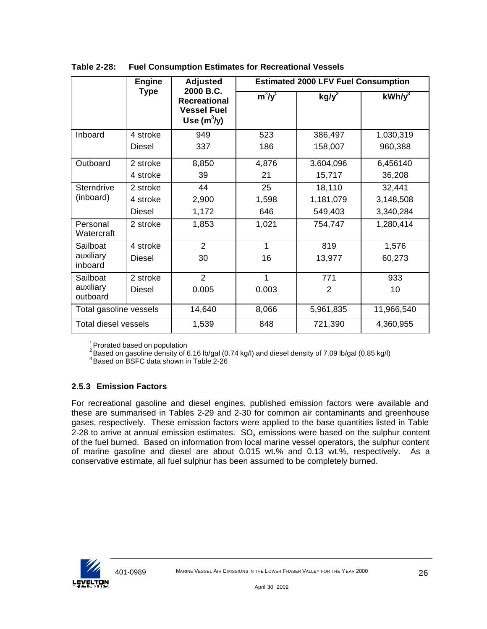|                        | <b>Engine</b> | <b>Adjusted</b>                                                         |           | <b>Estimated 2000 LFV Fuel Consumption</b> |            |
|------------------------|---------------|-------------------------------------------------------------------------|-----------|--------------------------------------------|------------|
|                        | <b>Type</b>   | 2000 B.C.<br><b>Recreational</b><br><b>Vessel Fuel</b><br>Use $(m^3/y)$ | $m^3/y^1$ | $kg/y^2$                                   | $kWh/v^3$  |
| Inboard                | 4 stroke      | 949                                                                     | 523       | 386,497                                    | 1,030,319  |
|                        | Diesel        | 337                                                                     | 186       | 158,007                                    | 960,388    |
| Outboard               | 2 stroke      | 8,850                                                                   | 4,876     | 3,604,096                                  | 6,456140   |
|                        | 4 stroke      | 39                                                                      | 21        | 15,717                                     | 36,208     |
| <b>Sterndrive</b>      | 2 stroke      | 44                                                                      | 25        | 18,110                                     | 32,441     |
| (inboard)              | 4 stroke      | 2,900                                                                   | 1,598     | 1,181,079                                  | 3,148,508  |
|                        | <b>Diesel</b> | 1,172                                                                   | 646       | 549,403                                    | 3,340,284  |
| Personal<br>Watercraft | 2 stroke      | 1,853                                                                   | 1,021     | 754,747                                    | 1,280,414  |
| Sailboat               | 4 stroke      | $\overline{2}$                                                          | 1         | 819                                        | 1,576      |
| auxiliary<br>inboard   | Diesel        | 30                                                                      | 16        | 13,977                                     | 60,273     |
| Sailboat               | 2 stroke      | $\overline{2}$                                                          | 1         | 771                                        | 933        |
| auxiliary<br>outboard  | Diesel        | 0.005                                                                   | 0.003     | 2                                          | 10         |
| Total gasoline vessels |               | 14,640                                                                  | 8,066     | 5,961,835                                  | 11,966,540 |
| Total diesel vessels   |               | 1,539                                                                   | 848       | 721,390                                    | 4,360,955  |

**Table 2-28: Fuel Consumption Estimates for Recreational Vessels**

 $1$ Prorated based on population

 $^2$ Based on gasoline density of 6.16 lb/gal (0.74 kg/l) and diesel density of 7.09 lb/gal (0.85 kg/l)

<sup>3</sup> Based on BSFC data shown in Table 2-26

## **2.5.3 Emission Factors**

For recreational gasoline and diesel engines, published emission factors were available and these are summarised in Tables 2-29 and 2-30 for common air contaminants and greenhouse gases, respectively. These emission factors were applied to the base quantities listed in Table 2-28 to arrive at annual emission estimates.  $SO_x$  emissions were based on the sulphur content of the fuel burned. Based on information from local marine vessel operators, the sulphur content of marine gasoline and diesel are about 0.015 wt.% and 0.13 wt.%, respectively. As a conservative estimate, all fuel sulphur has been assumed to be completely burned.

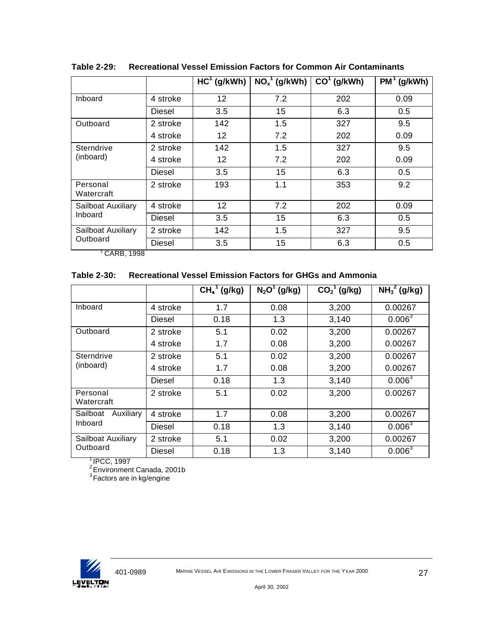|                         |          | $HC1$ (g/kWh)   | $\overline{\text{NO}_x}^1$ (g/kWh) | $CO1$ (g/kWh) | $PM^1$ (g/kWh) |
|-------------------------|----------|-----------------|------------------------------------|---------------|----------------|
| Inboard                 | 4 stroke | 12              | 7.2                                | 202           | 0.09           |
|                         | Diesel   | 3.5             | 15                                 | 6.3           | 0.5            |
| Outboard                | 2 stroke | 142             | 1.5                                | 327           | 9.5            |
|                         | 4 stroke | 12              | 7.2                                | 202           | 0.09           |
| Sterndrive<br>(inboard) | 2 stroke | 142             | 1.5                                | 327           | 9.5            |
|                         | 4 stroke | 12              | 7.2                                | 202           | 0.09           |
|                         | Diesel   | 3.5             | 15                                 | 6.3           | 0.5            |
| Personal<br>Watercraft  | 2 stroke | 193             | 1.1                                | 353           | 9.2            |
| Sailboat Auxiliary      | 4 stroke | 12 <sub>2</sub> | 7.2                                | 202           | 0.09           |
| Inboard                 | Diesel   | 3.5             | 15                                 | 6.3           | 0.5            |
| Sailboat Auxiliary      | 2 stroke | 142             | 1.5                                | 327           | 9.5            |
| Outboard<br>0.000100    | Diesel   | 3.5             | 15                                 | 6.3           | 0.5            |

**Table 2-29: Recreational Vessel Emission Factors for Common Air Contaminants**

1 CARB, 1998

#### **Table 2-30: Recreational Vessel Emission Factors for GHGs and Ammonia**

|                         |               | $\overline{CH_4}^1$ (g/kg) | $N_2O^1$ (g/kg) | $\overline{CO_2}^T$ (g/kg) | $\overline{\text{NH}_3}^2$ (g/kg) |
|-------------------------|---------------|----------------------------|-----------------|----------------------------|-----------------------------------|
| Inboard                 | 4 stroke      | 1.7                        | 0.08            | 3,200                      | 0.00267                           |
|                         | Diesel        | 0.18                       | 1.3             | 3,140                      | 0.006 <sup>3</sup>                |
| Outboard                | 2 stroke      | 5.1                        | 0.02            | 3,200                      | 0.00267                           |
|                         | 4 stroke      | 1.7                        | 0.08            | 3,200                      | 0.00267                           |
| Sterndrive<br>(inboard) | 2 stroke      | 5.1                        | 0.02            | 3,200                      | 0.00267                           |
|                         | 4 stroke      | 1.7                        | 0.08            | 3,200                      | 0.00267                           |
|                         | Diesel        | 0.18                       | 1.3             | 3,140                      | 0.006 <sup>3</sup>                |
| Personal<br>Watercraft  | 2 stroke      | 5.1                        | 0.02            | 3,200                      | 0.00267                           |
| Auxiliary<br>Sailboat   | 4 stroke      | 1.7                        | 0.08            | 3,200                      | 0.00267                           |
| Inboard                 | Diesel        | 0.18                       | 1.3             | 3,140                      | 0.006 <sup>3</sup>                |
| Sailboat Auxiliary      | 2 stroke      | 5.1                        | 0.02            | 3,200                      | 0.00267                           |
| Outboard                | <b>Diesel</b> | 0.18                       | 1.3             | 3,140                      | $0.006^{3}$                       |

 $^{\dagger}$ IPCC, 1997

<sup>2</sup> Environment Canada, 2001b

 $3$ Factors are in kg/engine

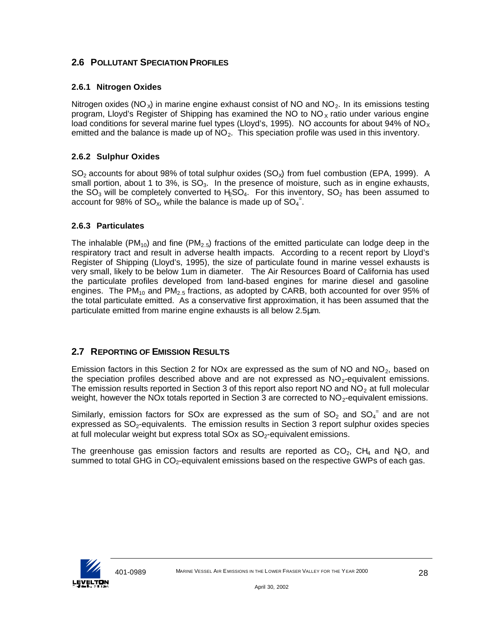## **2.6 POLLUTANT SPECIATION PROFILES**

### **2.6.1 Nitrogen Oxides**

Nitrogen oxides (NO<sub> $\lambda$ </sub>) in marine engine exhaust consist of NO and NO<sub>2</sub>. In its emissions testing program, Lloyd's Register of Shipping has examined the NO to  $NO<sub>X</sub>$  ratio under various engine load conditions for several marine fuel types (Lloyd's, 1995). NO accounts for about 94% of NO<sub>x</sub> emitted and the balance is made up of  $NO<sub>2</sub>$ . This speciation profile was used in this inventory.

### **2.6.2 Sulphur Oxides**

 $SO<sub>2</sub>$  accounts for about 98% of total sulphur oxides ( $SO<sub>X</sub>$ ) from fuel combustion (EPA, 1999). A small portion, about 1 to  $3\%$ , is  $SO_3$ . In the presence of moisture, such as in engine exhausts, the  $SO_3$  will be completely converted to H<sub>2</sub>SO<sub>4</sub>. For this inventory, SO<sub>2</sub> has been assumed to account for 98% of  $SO_{x}$ , while the balance is made up of  $SO_{4}^{-}$ .

#### **2.6.3 Particulates**

The inhalable (PM<sub>10</sub>) and fine (PM<sub>2.5</sub>) fractions of the emitted particulate can lodge deep in the respiratory tract and result in adverse health impacts. According to a recent report by Lloyd's Register of Shipping (Lloyd's, 1995), the size of particulate found in marine vessel exhausts is very small, likely to be below 1um in diameter. The Air Resources Board of California has used the particulate profiles developed from land-based engines for marine diesel and gasoline engines. The PM<sub>10</sub> and PM<sub>2.5</sub> fractions, as adopted by CARB, both accounted for over 95% of the total particulate emitted. As a conservative first approximation, it has been assumed that the particulate emitted from marine engine exhausts is all below 2.5μm.

## **2.7 REPORTING OF EMISSION RESULTS**

Emission factors in this Section 2 for NOx are expressed as the sum of NO and NO<sub>2</sub>, based on the speciation profiles described above and are not expressed as  $NO<sub>2</sub>$ -equivalent emissions. The emission results reported in Section 3 of this report also report NO and  $NO<sub>2</sub>$  at full molecular weight, however the NOx totals reported in Section 3 are corrected to  $NO<sub>2</sub>$ -equivalent emissions.

Similarly, emission factors for SOx are expressed as the sum of  $SO_2$  and  $SO_4$ <sup>=</sup> and are not expressed as SO<sub>2</sub>-equivalents. The emission results in Section 3 report sulphur oxides species at full molecular weight but express total  $SOX$  as  $SO<sub>2</sub>$ -equivalent emissions.

The greenhouse gas emission factors and results are reported as  $CO<sub>2</sub>$ , CH<sub>4</sub> and N<sub>2</sub>O, and summed to total GHG in  $CO<sub>2</sub>$ -equivalent emissions based on the respective GWPs of each gas.

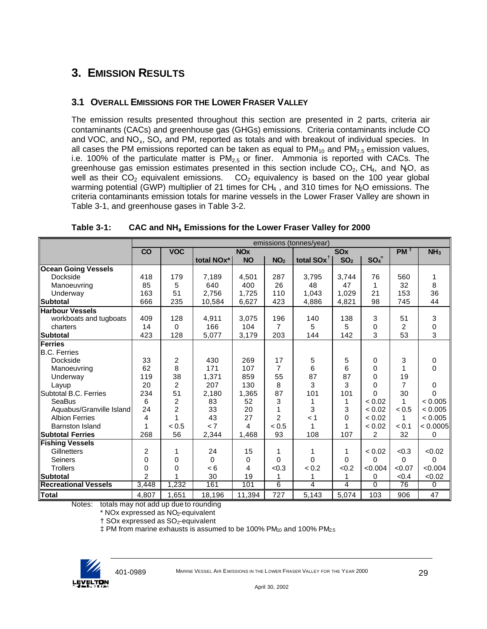# **3. EMISSION RESULTS**

## **3.1 OVERALL EMISSIONS FOR THE LOWER FRASER VALLEY**

The emission results presented throughout this section are presented in 2 parts, criteria air contaminants (CACs) and greenhouse gas (GHGs) emissions. Criteria contaminants include CO and VOC, and  $NO_x$ , SO<sub>x</sub> and PM, reported as totals and with breakout of individual species. In all cases the PM emissions reported can be taken as equal to  $PM_{10}$  and  $PM_{2.5}$  emission values, i.e. 100% of the particulate matter is  $PM<sub>2.5</sub>$  or finer. Ammonia is reported with CACs. The greenhouse gas emission estimates presented in this section include  $CO_2$ , CH<sub>4</sub>, and N<sub>2</sub>O, as well as their  $CO<sub>2</sub>$  equivalent emissions.  $CO<sub>2</sub>$  equivalency is based on the 100 year global warming potential (GWP) multiplier of 21 times for  $CH_4$ , and 310 times for  $N_2O$  emissions. The criteria contaminants emission totals for marine vessels in the Lower Fraser Valley are shown in Table 3-1, and greenhouse gases in Table 3-2.

|                             |                | emissions (tonnes/year) |            |                       |                 |                        |                 |                |                 |                 |
|-----------------------------|----------------|-------------------------|------------|-----------------------|-----------------|------------------------|-----------------|----------------|-----------------|-----------------|
|                             | CO             | <b>VOC</b>              |            | <b>NO<sub>x</sub></b> |                 |                        | <b>SOx</b>      |                | $PM+$           | NH <sub>3</sub> |
|                             |                |                         | total NOx* | <b>NO</b>             | NO <sub>2</sub> | total SOx <sup>1</sup> | SO <sub>2</sub> | $SO_4^-$       |                 |                 |
| <b>Ocean Going Vessels</b>  |                |                         |            |                       |                 |                        |                 |                |                 |                 |
| Dockside                    | 418            | 179                     | 7,189      | 4.501                 | 287             | 3.795                  | 3.744           | 76             | 560             | 1               |
| Manoeuvring                 | 85             | 5                       | 640        | 400                   | 26              | 48                     | 47              |                | 32              | 8               |
| Underway                    | 163            | 51                      | 2,756      | 1,725                 | 110             | 1,043                  | 1,029           | 21             | 153             | 36              |
| <b>Subtotal</b>             | 666            | 235                     | 10,584     | 6,627                 | 423             | 4,886                  | 4,821           | 98             | 745             | 44              |
| <b>Harbour Vessels</b>      |                |                         |            |                       |                 |                        |                 |                |                 |                 |
| workboats and tugboats      | 409            | 128                     | 4,911      | 3,075                 | 196             | 140                    | 138             | 3              | 51              | 3               |
| charters                    | 14             | 0                       | 166        | 104                   | $\overline{7}$  | 5                      | 5               | $\Omega$       | $\overline{c}$  | 0               |
| <b>Subtotal</b>             | 423            | 128                     | 5,077      | 3,179                 | 203             | 144                    | 142             | 3              | 53              | 3               |
| Ferries                     |                |                         |            |                       |                 |                        |                 |                |                 |                 |
| <b>B.C. Ferries</b>         |                |                         |            |                       |                 |                        |                 |                |                 |                 |
| Dockside                    | 33             | 2                       | 430        | 269                   | 17              | 5                      | $5\phantom{.0}$ | 0              | 3               | 0               |
| Manoeuvring                 | 62             | 8                       | 171        | 107                   | 7               | 6                      | 6               | $\Omega$       | 1               | $\Omega$        |
| Underway                    | 119            | 38                      | 1,371      | 859                   | 55              | 87                     | 87              | $\Omega$       | 19              |                 |
| Layup                       | 20             | $\overline{2}$          | 207        | 130                   | 8               | 3                      | 3               | $\Omega$       | 7               | 0               |
| Subtotal B.C. Ferries       | 234            | 51                      | 2,180      | 1,365                 | 87              | 101                    | 101             | $\Omega$       | 30              | 0               |
| SeaBus                      | 6              | $\overline{2}$          | 83         | 52                    | 3               | 1                      | 1               | < 0.02         | 1               | < 0.005         |
| Aquabus/Granville Island    | 24             | $\overline{c}$          | 33         | 20                    |                 | 3                      | 3               | < 0.02         | < 0.5           | < 0.005         |
| <b>Albion Ferries</b>       | 4              | 1                       | 43         | 27                    | $\overline{2}$  | < 1                    | $\Omega$        | < 0.02         | 1               | < 0.005         |
| <b>Barnston Island</b>      | 1              | < 0.5                   | < 7        | 4                     | < 0.5           | 1                      | 1               | < 0.02         | < 0.1           | < 0.0005        |
| <b>Subtotal Ferries</b>     | 268            | 56                      | 2,344      | 1,468                 | 93              | 108                    | 107             | $\overline{c}$ | 32              | 0               |
| <b>Fishing Vessels</b>      |                |                         |            |                       |                 |                        |                 |                |                 |                 |
| Gillnetters                 | $\overline{2}$ | 1                       | 24         | 15                    | 1               | 1                      | 1               | < 0.02         | < 0.3           | < 0.02          |
| <b>Seiners</b>              | 0              | 0                       | $\Omega$   | 0                     | $\Omega$        | $\Omega$               | $\Omega$        | $\Omega$       | $\Omega$        | 0               |
| <b>Trollers</b>             | 0              | 0                       | < 6        | 4                     | < 0.3           | < 0.2                  | < 0.2           | < 0.004        | < 0.07          | <0.004          |
| <b>Subtotal</b>             | $\overline{2}$ | 1                       | 30         | 19                    | 1               | 1                      | 1               | $\Omega$       | < 0.4           | <0.02           |
| <b>Recreational Vessels</b> | 3,448          | 1,232                   | 161        | 101                   | 6               | 4                      | 4               | $\Omega$       | $\overline{76}$ | 0               |
| <b>Total</b>                | 4,807          | 1,651                   | 18,196     | 11,394                | 727             | 5,143                  | 5,074           | 103            | 906             | $\overline{47}$ |

**Table 3-1: CAC and NH<sup>3</sup> Emissions for the Lower Fraser Valley for 2000**

Notes: totals may not add up due to rounding

\* NOx expressed as NO2-equivalent

 $\dagger$  SOx expressed as SO<sub>2</sub>-equivalent

 $\ddagger$  PM from marine exhausts is assumed to be 100% PM $_{10}$  and 100% PM $_{2.5}$ 

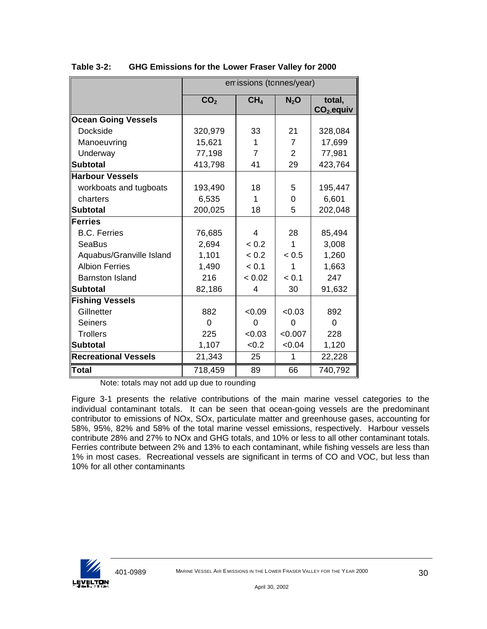|                             |                 | emissions (tonnes/year) |                |                        |
|-----------------------------|-----------------|-------------------------|----------------|------------------------|
|                             | CO <sub>2</sub> | CH <sub>4</sub>         | $N_2$ O        | total,<br>$CO2$ -equiv |
| <b>Ocean Going Vessels</b>  |                 |                         |                |                        |
| Dockside                    | 320,979         | 33                      | 21             | 328,084                |
| Manoeuvring                 | 15,621          | 1                       | $\overline{7}$ | 17,699                 |
| Underway                    | 77,198          | $\overline{7}$          | $\overline{2}$ | 77,981                 |
| <b>Subtotal</b>             | 413,798         | 41                      | 29             | 423,764                |
| <b>Harbour Vessels</b>      |                 |                         |                |                        |
| workboats and tugboats      | 193,490         | 18                      | 5              | 195,447                |
| charters                    | 6,535           | 1                       | 0              | 6,601                  |
| <b>Subtotal</b>             | 200,025         | 18                      | 5              | 202,048                |
| <b>Ferries</b>              |                 |                         |                |                        |
| <b>B.C. Ferries</b>         | 76,685          | $\overline{4}$          | 28             | 85,494                 |
| <b>SeaBus</b>               | 2,694           | < 0.2                   | 1              | 3,008                  |
| Aquabus/Granville Island    | 1,101           | < 0.2                   | < 0.5          | 1,260                  |
| <b>Albion Ferries</b>       | 1,490           | < 0.1                   | 1              | 1,663                  |
| <b>Barnston Island</b>      | 216             | < 0.02                  | < 0.1          | 247                    |
| <b>Subtotal</b>             | 82,186          | 4                       | 30             | 91,632                 |
| <b>Fishing Vessels</b>      |                 |                         |                |                        |
| Gillnetter                  | 882             | < 0.09                  | &0.03          | 892                    |
| <b>Seiners</b>              | $\Omega$        | 0                       | 0              | 0                      |
| <b>Trollers</b>             | 225             | < 0.03                  | < 0.007        | 228                    |
| <b>Subtotal</b>             | 1,107           | < 0.2                   | < 0.04         | 1,120                  |
| <b>Recreational Vessels</b> | 21,343          | 25                      | 1              | 22,228                 |
| <b>Total</b>                | 718,459         | 89                      | 66             | 740,792                |

**Table 3-2: GHG Emissions for the Lower Fraser Valley for 2000**

Note: totals may not add up due to rounding

Figure 3-1 presents the relative contributions of the main marine vessel categories to the individual contaminant totals. It can be seen that ocean-going vessels are the predominant contributor to emissions of NOx, SOx, particulate matter and greenhouse gases, accounting for 58%, 95%, 82% and 58% of the total marine vessel emissions, respectively. Harbour vessels contribute 28% and 27% to NOx and GHG totals, and 10% or less to all other contaminant totals. Ferries contribute between 2% and 13% to each contaminant, while fishing vessels are less than 1% in most cases. Recreational vessels are significant in terms of CO and VOC, but less than 10% for all other contaminants

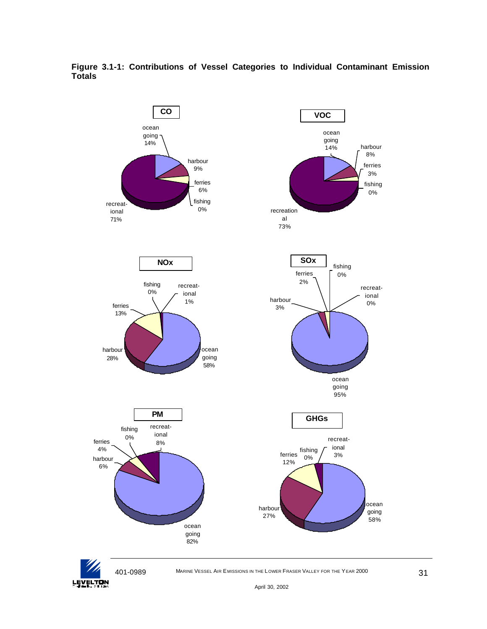

**Figure 3.1-1: Contributions of Vessel Categories to Individual Contaminant Emission Totals**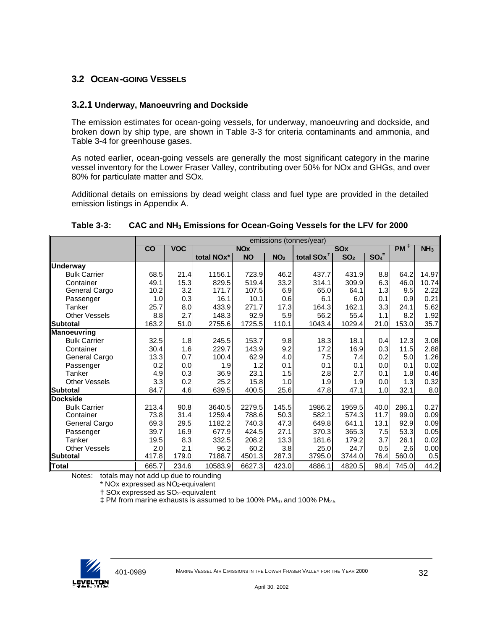### **3.2 OCEAN-GOING VESSELS**

#### **3.2.1 Underway, Manoeuvring and Dockside**

The emission estimates for ocean-going vessels, for underway, manoeuvring and dockside, and broken down by ship type, are shown in Table 3-3 for criteria contaminants and ammonia, and Table 3-4 for greenhouse gases.

As noted earlier, ocean-going vessels are generally the most significant category in the marine vessel inventory for the Lower Fraser Valley, contributing over 50% for NOx and GHGs, and over 80% for particulate matter and SOx.

Additional details on emissions by dead weight class and fuel type are provided in the detailed emission listings in Appendix A.

|                      |       | emissions (tonnes/year) |                         |                       |                 |                        |                       |          |                 |                 |
|----------------------|-------|-------------------------|-------------------------|-----------------------|-----------------|------------------------|-----------------------|----------|-----------------|-----------------|
|                      | CO    | <b>VOC</b>              |                         | <b>NO<sub>x</sub></b> |                 |                        | <b>SO<sub>x</sub></b> |          | PM <sub>1</sub> | NH <sub>3</sub> |
|                      |       |                         | total NO <sub>x</sub> * | <b>NO</b>             | NO <sub>2</sub> | total SOx <sup>1</sup> | SO <sub>2</sub>       | $SO_4^-$ |                 |                 |
| <b>Underway</b>      |       |                         |                         |                       |                 |                        |                       |          |                 |                 |
| <b>Bulk Carrier</b>  | 68.5  | 21.4                    | 1156.1                  | 723.9                 | 46.2            | 437.7                  | 431.9                 | 8.8      | 64.2            | 14.97           |
| Container            | 49.1  | 15.3                    | 829.5                   | 519.4                 | 33.2            | 314.1                  | 309.9                 | 6.3      | 46.0            | 10.74           |
| General Cargo        | 10.2  | 3.2                     | 171.7                   | 107.5                 | 6.9             | 65.0                   | 64.1                  | 1.3      | 9.5             | 2.22            |
| Passenger            | 1.0   | 0.3                     | 16.1                    | 10.1                  | 0.6             | 6.1                    | 6.0                   | 0.1      | 0.9             | 0.21            |
| Tanker               | 25.7  | 8.0                     | 433.9                   | 271.7                 | 17.3            | 164.3                  | 162.1                 | 3.3      | 24.1            | 5.62            |
| <b>Other Vessels</b> | 8.8   | 2.7                     | 148.3                   | 92.9                  | 5.9             | 56.2                   | 55.4                  | 1.1      | 8.2             | 1.92            |
| <b>Subtotal</b>      | 163.2 | 51.0                    | 2755.6                  | 1725.5                | 110.1           | 1043.4                 | 1029.4                | 21.0     | 153.0           | 35.7            |
| Manoeuvring          |       |                         |                         |                       |                 |                        |                       |          |                 |                 |
| <b>Bulk Carrier</b>  | 32.5  | 1.8                     | 245.5                   | 153.7                 | 9.8             | 18.3                   | 18.1                  | 0.4      | 12.3            | 3.08            |
| Container            | 30.4  | 1.6                     | 229.7                   | 143.9                 | 9.2             | 17.2                   | 16.9                  | 0.3      | 11.5            | 2.88            |
| General Cargo        | 13.3  | 0.7                     | 100.4                   | 62.9                  | 4.0             | 7.5                    | 7.4                   | 0.2      | 5.0             | 1.26            |
| Passenger            | 0.2   | 0.0                     | 1.9                     | 1.2                   | 0.1             | 0.1                    | 0.1                   | 0.0      | 0.1             | 0.02            |
| Tanker               | 4.9   | 0.3                     | 36.9                    | 23.1                  | 1.5             | 2.8                    | 2.7                   | 0.1      | 1.8             | 0.46            |
| <b>Other Vessels</b> | 3.3   | 0.2                     | 25.2                    | 15.8                  | 1.0             | 1.9                    | 1.9                   | 0.0      | 1.3             | 0.32            |
| <b>Subtotal</b>      | 84.7  | 4.6                     | 639.5                   | 400.5                 | 25.6            | 47.8                   | 47.1                  | 1.0      | 32.1            | 8.0             |
| <b>Dockside</b>      |       |                         |                         |                       |                 |                        |                       |          |                 |                 |
| <b>Bulk Carrier</b>  | 213.4 | 90.8                    | 3640.5                  | 2279.5                | 145.5           | 1986.2                 | 1959.5                | 40.0     | 286.1           | 0.27            |
| Container            | 73.8  | 31.4                    | 1259.4                  | 788.6                 | 50.3            | 582.1                  | 574.3                 | 11.7     | 99.0            | 0.09            |
| General Cargo        | 69.3  | 29.5                    | 1182.2                  | 740.3                 | 47.3            | 649.8                  | 641.1                 | 13.1     | 92.9            | 0.09            |
| Passenger            | 39.7  | 16.9                    | 677.9                   | 424.5                 | 27.1            | 370.3                  | 365.3                 | 7.5      | 53.3            | 0.05            |
| Tanker               | 19.5  | 8.3                     | 332.5                   | 208.2                 | 13.3            | 181.6                  | 179.2                 | 3.7      | 26.1            | 0.02            |
| <b>Other Vessels</b> | 2.0   | 2.1                     | 96.2                    | 60.2                  | 3.8             | 25.0                   | 24.7                  | 0.5      | 2.6             | 0.00            |
| <b>Subtotal</b>      | 417.8 | 179.0                   | 7188.7                  | 4501.3                | 287.3           | 3795.0                 | 3744.0                | 76.4     | 560.0           | 0.5             |
| <b>Total</b>         | 665.7 | 234.6                   | 10583.9                 | 6627.3                | 423.0           | 4886.1                 | 4820.5                | 98.4     | 745.0           | 44.2            |

#### **Table 3-3: CAC and NH3 Emissions for Ocean-Going Vessels for the LFV for 2000**

Notes: totals may not add up due to rounding

 $*$  NOx expressed as  $NO<sub>2</sub>$ -equivalent

 $\dagger$  SOx expressed as SO<sub>2</sub>-equivalent

 $\ddagger$  PM from marine exhausts is assumed to be 100% PM<sub>10</sub> and 100% PM<sub>2.5</sub>

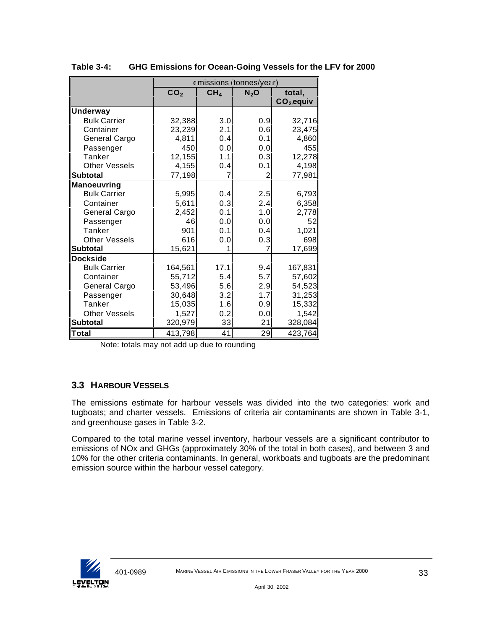|                      |                 |                 | emissions (tonnes/year) |             |
|----------------------|-----------------|-----------------|-------------------------|-------------|
|                      | CO <sub>2</sub> | CH <sub>4</sub> | $N_2$ O                 | total,      |
|                      |                 |                 |                         | $CO2$ equiv |
| <b>Underway</b>      |                 |                 |                         |             |
| <b>Bulk Carrier</b>  | 32,388          | 3.0             | 0.9                     | 32,716      |
| Container            | 23,239          | 2.1             | 0.6                     | 23,475      |
| General Cargo        | 4,811           | 0.4             | 0.1                     | 4,860       |
| Passenger            | 450             | 0.0             | 0.0                     | 455         |
| Tanker               | 12,155          | 1.1             | 0.3                     | 12,278      |
| <b>Other Vessels</b> | 4,155           | 0.4             | 0.1                     | 4,198       |
| lSubtotal            | 77,198          | 7               | 2                       | 77,981      |
| <b>Manoeuvring</b>   |                 |                 |                         |             |
| <b>Bulk Carrier</b>  | 5,995           | 0.4             | 2.5                     | 6,793       |
| Container            | 5,611           | 0.3             | 2.4                     | 6,358       |
| General Cargo        | 2,452           | 0.1             | 1.0                     | 2,778       |
| Passenger            | 46              | 0.0             | 0.0                     | 52          |
| Tanker               | 901             | 0.1             | 0.4                     | 1,021       |
| <b>Other Vessels</b> | 616             | 0.0             | 0.3                     | 698         |
| <b>Subtotal</b>      | 15,621          |                 |                         | 17,699      |
| <b>Dockside</b>      |                 |                 |                         |             |
| <b>Bulk Carrier</b>  | 164,561         | 17.1            | 9.4                     | 167,831     |
| Container            | 55,712          | 5.4             | 5.7                     | 57,602      |
| General Cargo        | 53.496          | 5.6             | 2.9                     | 54,523      |
| Passenger            | 30,648          | 3.2             | 1.7                     | 31,253      |
| Tanker               | 15,035          | 1.6             | 0.9                     | 15,332      |
| <b>Other Vessels</b> | 1,527           | 0.2             | 0.0                     | 1,542       |
| <b>Subtotal</b>      | 320,979         | 33              | 21                      | 328,084     |
| Total                | 413,798         | 41              | 29                      | 423,764     |

**Table 3-4: GHG Emissions for Ocean-Going Vessels for the LFV for 2000**

Note: totals may not add up due to rounding

## **3.3 HARBOUR VESSELS**

The emissions estimate for harbour vessels was divided into the two categories: work and tugboats; and charter vessels. Emissions of criteria air contaminants are shown in Table 3-1, and greenhouse gases in Table 3-2.

Compared to the total marine vessel inventory, harbour vessels are a significant contributor to emissions of NOx and GHGs (approximately 30% of the total in both cases), and between 3 and 10% for the other criteria contaminants. In general, workboats and tugboats are the predominant emission source within the harbour vessel category.

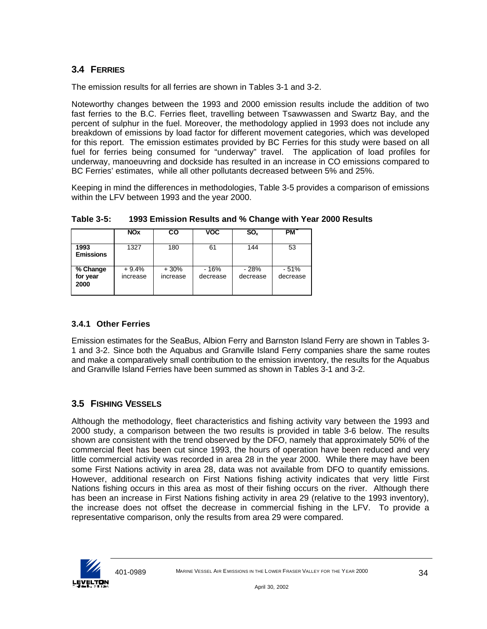## **3.4 FERRIES**

The emission results for all ferries are shown in Tables 3-1 and 3-2.

Noteworthy changes between the 1993 and 2000 emission results include the addition of two fast ferries to the B.C. Ferries fleet, travelling between Tsawwassen and Swartz Bay, and the percent of sulphur in the fuel. Moreover, the methodology applied in 1993 does not include any breakdown of emissions by load factor for different movement categories, which was developed for this report. The emission estimates provided by BC Ferries for this study were based on all fuel for ferries being consumed for "underway" travel. The application of load profiles for underway, manoeuvring and dockside has resulted in an increase in CO emissions compared to BC Ferries' estimates, while all other pollutants decreased between 5% and 25%.

Keeping in mind the differences in methodologies, Table 3-5 provides a comparison of emissions within the LFV between 1993 and the year 2000.

|                              | <b>NO<sub>X</sub></b> | CO                 | <b>VOC</b>        | $SO_{x}$           | PM                 |
|------------------------------|-----------------------|--------------------|-------------------|--------------------|--------------------|
| 1993<br><b>Emissions</b>     | 1327                  | 180                | 61                | 144                | 53                 |
| % Change<br>for year<br>2000 | $+9.4%$<br>increase   | $+30%$<br>increase | - 16%<br>decrease | $-28%$<br>decrease | $-51%$<br>decrease |

**Table 3-5: 1993 Emission Results and % Change with Year 2000 Results**

## **3.4.1 Other Ferries**

Emission estimates for the SeaBus, Albion Ferry and Barnston Island Ferry are shown in Tables 3- 1 and 3-2. Since both the Aquabus and Granville Island Ferry companies share the same routes and make a comparatively small contribution to the emission inventory, the results for the Aquabus and Granville Island Ferries have been summed as shown in Tables 3-1 and 3-2.

## **3.5 FISHING VESSELS**

Although the methodology, fleet characteristics and fishing activity vary between the 1993 and 2000 study, a comparison between the two results is provided in table 3-6 below. The results shown are consistent with the trend observed by the DFO, namely that approximately 50% of the commercial fleet has been cut since 1993, the hours of operation have been reduced and very little commercial activity was recorded in area 28 in the year 2000. While there may have been some First Nations activity in area 28, data was not available from DFO to quantify emissions. However, additional research on First Nations fishing activity indicates that very little First Nations fishing occurs in this area as most of their fishing occurs on the river. Although there has been an increase in First Nations fishing activity in area 29 (relative to the 1993 inventory), the increase does not offset the decrease in commercial fishing in the LFV. To provide a representative comparison, only the results from area 29 were compared.

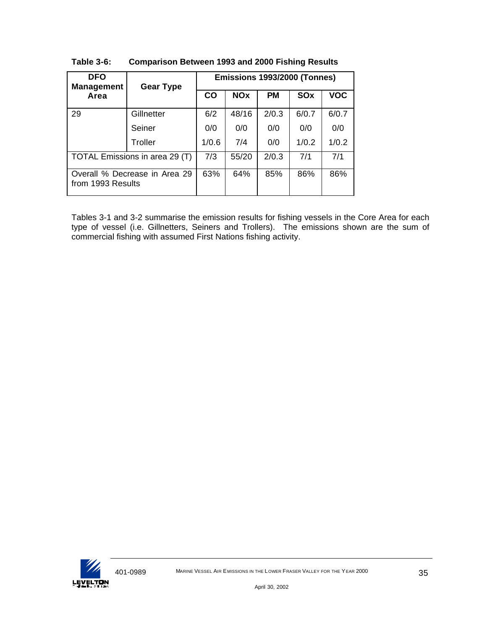| <b>DFO</b><br><b>Management</b> | <b>Gear Type</b>              | Emissions 1993/2000 (Tonnes) |            |           |       |            |  |  |
|---------------------------------|-------------------------------|------------------------------|------------|-----------|-------|------------|--|--|
| Area                            |                               | $\mathbf{CO}$                | <b>NOx</b> | <b>PM</b> | SOx   | <b>VOC</b> |  |  |
| 29                              | Gillnetter                    | 6/2                          | 48/16      | 2/0.3     | 6/0.7 | 6/0.7      |  |  |
|                                 | Seiner                        | 0/0                          | 0/0        | 0/0       | 0/0   | 0/0        |  |  |
|                                 | Troller                       | 1/0.6                        | 7/4        | 0/0       | 1/0.2 | 1/0.2      |  |  |
| TOTAL Emissions in area 29 (T)  |                               | 7/3                          | 55/20      | 2/0.3     | 7/1   | 7/1        |  |  |
| from 1993 Results               | Overall % Decrease in Area 29 | 63%                          | 64%        | 85%       | 86%   | 86%        |  |  |

**Table 3-6: Comparison Between 1993 and 2000 Fishing Results**

Tables 3-1 and 3-2 summarise the emission results for fishing vessels in the Core Area for each type of vessel (i.e. Gillnetters, Seiners and Trollers). The emissions shown are the sum of commercial fishing with assumed First Nations fishing activity.

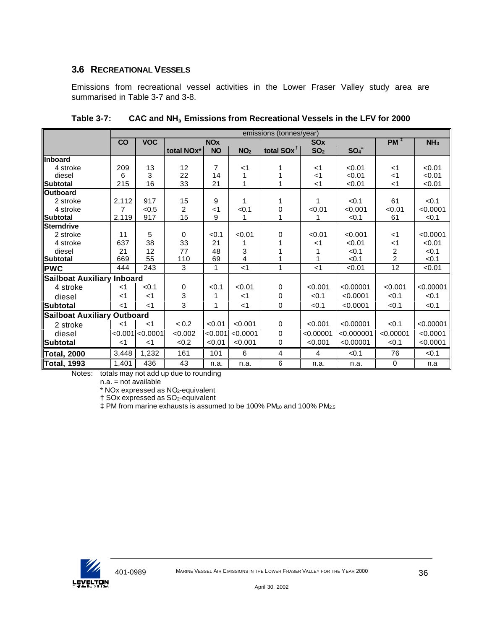### **3.6 RECREATIONAL VESSELS**

Emissions from recreational vessel activities in the Lower Fraser Valley study area are summarised in Table 3-7 and 3-8.

|                                    |       |                  |            |                |                 | emissions (tonnes/year) |                 |                     |                 |                 |
|------------------------------------|-------|------------------|------------|----------------|-----------------|-------------------------|-----------------|---------------------|-----------------|-----------------|
|                                    | CO    | <b>VOC</b>       |            | <b>NOx</b>     |                 |                         | <b>SOx</b>      |                     | PM <sup>‡</sup> | NH <sub>3</sub> |
|                                    |       |                  | total NOx* | <b>NO</b>      | NO <sub>2</sub> | total SOx <sup>1</sup>  | SO <sub>2</sub> | $SO_4$ <sup>=</sup> |                 |                 |
| <b>Inboard</b>                     |       |                  |            |                |                 |                         |                 |                     |                 |                 |
| 4 stroke                           | 209   | 13               | 12         | $\overline{7}$ | $<$ 1           | 1                       | $<$ 1           | < 0.01              | $<$ 1           | < 0.01          |
| diesel                             | 6     | 3                | 22         | 14             |                 |                         | ا>              | < 0.01              | ا>              | < 0.01          |
| Subtotal                           | 215   | 16               | 33         | 21             |                 | 1                       | $<$ 1           | < 0.01              | $<$ 1           | < 0.01          |
| <b>Outboard</b>                    |       |                  |            |                |                 |                         |                 |                     |                 |                 |
| 2 stroke                           | 2,112 | 917              | 15         | 9              |                 | 1                       | 1               | < 0.1               | 61              | < 0.1           |
| 4 stroke                           | 7     | < 0.5            | 2          | $<$ 1          | < 0.1           | 0                       | < 0.01          | < 0.001             | < 0.01          | < 0.0001        |
| <b>Subtotal</b>                    | 2,119 | 917              | 15         | 9              |                 |                         | 1               | < 0.1               | 61              | < 0.1           |
| <b>Sterndrive</b>                  |       |                  |            |                |                 |                         |                 |                     |                 |                 |
| 2 stroke                           | 11    | 5                | 0          | < 0.1          | < 0.01          | $\Omega$                | < 0.01          | < 0.001             | $<$ 1           | < 0.0001        |
| 4 stroke                           | 637   | 38               | 33         | 21             |                 |                         | $<$ 1           | < 0.01              | $<$ 1           | < 0.01          |
| diesel                             | 21    | 12               | 77         | 48             | 3               |                         |                 | < 0.1               | $\frac{2}{2}$   | < 0.1           |
| <b>Subtotal</b>                    | 669   | 55               | 110        | 69             | 4               |                         |                 | < 0.1               |                 | < 0.1           |
| <b>PWC</b>                         | 444   | 243              | 3          | $\mathbf{1}$   | $<$ 1           | 1                       | $<$ 1           | < 0.01              | 12              | < 0.01          |
| <b>Sailboat Auxiliary Inboard</b>  |       |                  |            |                |                 |                         |                 |                     |                 |                 |
| 4 stroke                           | $<$ 1 | < 0.1            | 0          | < 0.1          | < 0.01          | 0                       | < 0.001         | < 0.00001           | < 0.001         | < 0.00001       |
| diesel                             | ا>    | $<$ 1            | 3          |                | $<$ 1           | 0                       | < 0.1           | < 0.0001            | < 0.1           | < 0.1           |
| <b>Subtotal</b>                    | $<$ 1 | $<$ 1            | 3          | 1              | $<$ 1           | 0                       | < 0.1           | < 0.0001            | < 0.1           | < 0.1           |
| <b>Sailboat Auxiliary Outboard</b> |       |                  |            |                |                 |                         |                 |                     |                 |                 |
| 2 stroke                           | $<$ 1 | $<$ 1            | < 0.2      | < 0.01         | < 0.001         | 0                       | < 0.001         | < 0.00001           | < 0.1           | < 0.00001       |
| diesel                             |       | < 0.001 < 0.0001 | < 0.002    | < 0.001        | < 0.0001        | $\Omega$                | < 0.00001       | < 0.000001          | < 0.00001       | < 0.0001        |
| <b>Subtotal</b>                    | $<$ 1 | $<$ 1            | < 0.2      | < 0.01         | < 0.001         | 0                       | < 0.001         | < 0.00001           | < 0.1           | < 0.0001        |
| <b>Total, 2000</b>                 | 3,448 | 1,232            | 161        | 101            | 6               | 4                       | 4               | < 0.1               | 76              | < 0.1           |
| <b>Total, 1993</b>                 | 1,401 | 436              | 43         | n.a.           | n.a.            | 6                       | n.a.            | n.a.                | $\mathbf 0$     | n.a             |

**Table 3-7: CAC and NH<sup>3</sup> Emissions from Recreational Vessels in the LFV for 2000**

Notes: totals may not add up due to rounding

n.a. = not available

\* NOx expressed as NO2-equivalent

† SOx expressed as SO2-equivalent

 $\ddagger$  PM from marine exhausts is assumed to be 100% PM<sub>10</sub> and 100% PM<sub>2.5</sub>

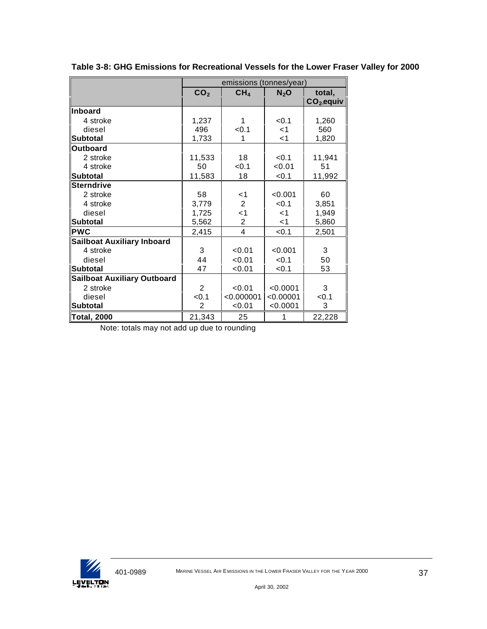|                                    | emissions (tonnes/year) |                 |           |             |  |  |
|------------------------------------|-------------------------|-----------------|-----------|-------------|--|--|
|                                    | CO <sub>2</sub>         | CH <sub>4</sub> | $N_2$ O   | total,      |  |  |
|                                    |                         |                 |           | $CO2$ equiv |  |  |
| <b>Inboard</b>                     |                         |                 |           |             |  |  |
| 4 stroke                           | 1,237                   | 1               | < 0.1     | 1,260       |  |  |
| diesel                             | 496                     | < 0.1           | ا>        | 560         |  |  |
| <b>Subtotal</b>                    | 1,733                   |                 | <1        | 1,820       |  |  |
| Outboard                           |                         |                 |           |             |  |  |
| 2 stroke                           | 11,533                  | 18              | < 0.1     | 11,941      |  |  |
| 4 stroke                           | 50                      | < 0.1           | < 0.01    | 51          |  |  |
| ∥Subtotal                          | 11,583                  | 18              | < 0.1     | 11,992      |  |  |
| Sterndrive                         |                         |                 |           |             |  |  |
| 2 stroke                           | 58                      | ا>              | < 0.001   | 60          |  |  |
| 4 stroke                           | 3,779                   | 2               | < 0.1     | 3,851       |  |  |
| diesel                             | 1,725                   | $<$ 1           | $<$ 1     | 1,949       |  |  |
| Subtotal                           | 5,562                   | 2               | <1        | 5,860       |  |  |
| <b>PWC</b>                         | 2,415                   | 4               | < 0.1     | 2,501       |  |  |
| Sailboat Auxiliary Inboard         |                         |                 |           |             |  |  |
| 4 stroke                           | 3                       | < 0.01          | < 0.001   | 3           |  |  |
| diesel                             | 44                      | < 0.01          | < 0.1     | 50          |  |  |
| <b>Subtotal</b>                    | 47                      | 0.01            | < 0.1     | 53          |  |  |
| <b>Sailboat Auxiliary Outboard</b> |                         |                 |           |             |  |  |
| 2 stroke                           | $\overline{2}$          | < 0.01          | < 0.0001  | 3           |  |  |
| diesel                             | < 0.1                   | < 0.000001      | < 0.00001 | < 0.1       |  |  |
| <b>Subtotal</b>                    | 2                       | < 0.01          | < 0.0001  | 3           |  |  |
| Total, 2000                        | 21,343                  | 25              | 1         | 22,228      |  |  |

**Table 3-8: GHG Emissions for Recreational Vessels for the Lower Fraser Valley for 2000**

Note: totals may not add up due to rounding

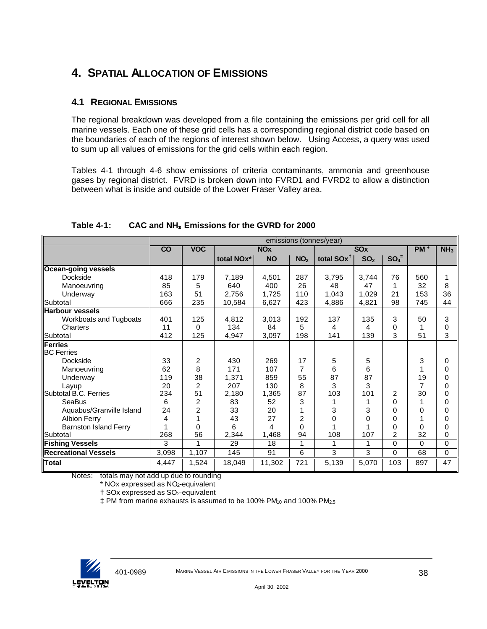# **4. SPATIAL ALLOCATION OF EMISSIONS**

## **4.1 REGIONAL EMISSIONS**

The regional breakdown was developed from a file containing the emissions per grid cell for all marine vessels. Each one of these grid cells has a corresponding regional district code based on the boundaries of each of the regions of interest shown below. Using Access, a query was used to sum up all values of emissions for the grid cells within each region.

Tables 4-1 through 4-6 show emissions of criteria contaminants, ammonia and greenhouse gases by regional district. FVRD is broken down into FVRD1 and FVRD2 to allow a distinction between what is inside and outside of the Lower Fraser Valley area.

|                              |                 | emissions (tonnes/year) |                       |           |                 |                       |                 |                |                 |                 |
|------------------------------|-----------------|-------------------------|-----------------------|-----------|-----------------|-----------------------|-----------------|----------------|-----------------|-----------------|
|                              | $\overline{co}$ | <b>VOC</b>              | <b>NO<sub>x</sub></b> |           |                 | <b>SOx</b>            |                 |                | PM <sub>1</sub> | NH <sub>3</sub> |
|                              |                 |                         | total NOx*            | <b>NO</b> | NO <sub>2</sub> | total $SOx^{\dagger}$ | SO <sub>2</sub> | $SO_4^-$       |                 |                 |
| <b>Ocean-going vessels</b>   |                 |                         |                       |           |                 |                       |                 |                |                 |                 |
| Dockside                     | 418             | 179                     | 7,189                 | 4,501     | 287             | 3,795                 | 3,744           | 76             | 560             | 1               |
| Manoeuvring                  | 85              | 5                       | 640                   | 400       | 26              | 48                    | 47              | 1              | 32              | 8               |
| Underway                     | 163             | 51                      | 2.756                 | 1,725     | 110             | 1.043                 | 1,029           | 21             | 153             | 36              |
| Subtotal                     | 666             | 235                     | 10,584                | 6,627     | 423             | 4,886                 | 4,821           | 98             | 745             | 44              |
| <b>Harbour vessels</b>       |                 |                         |                       |           |                 |                       |                 |                |                 |                 |
| Workboats and Tugboats       | 401             | 125                     | 4,812                 | 3,013     | 192             | 137                   | 135             | 3              | 50              | 3               |
| Charters                     | 11              | 0                       | 134                   | 84        | 5               | 4                     | 4               | 0              | 1               | 0               |
| Subtotal                     | 412             | 125                     | 4,947                 | 3,097     | 198             | 141                   | 139             | 3              | 51              | 3               |
| <b>Ferries</b>               |                 |                         |                       |           |                 |                       |                 |                |                 |                 |
| <b>BC</b> Ferries            |                 |                         |                       |           |                 |                       |                 |                |                 |                 |
| Dockside                     | 33              | 2                       | 430                   | 269       | 17              | 5                     | 5               |                | 3               | 0               |
| Manoeuvring                  | 62              | 8                       | 171                   | 107       | 7               | 6                     | 6               |                |                 | 0               |
| Underway                     | 119             | 38                      | 1,371                 | 859       | 55              | 87                    | 87              |                | 19              | 0               |
| Layup                        | 20              | 2                       | 207                   | 130       | 8               | 3                     | 3               |                | 7               | 0               |
| Subtotal B.C. Ferries        | 234             | 51                      | 2,180                 | 1,365     | 87              | 103                   | 101             | $\overline{2}$ | 30              | $\Omega$        |
| SeaBus                       | 6               | 2                       | 83                    | 52        | 3               |                       |                 | 0              |                 | 0               |
| Aquabus/Granville Island     | 24              | $\overline{c}$          | 33                    | 20        |                 | 3                     | 3               | 0              | $\Omega$        | 0               |
| <b>Albion Ferry</b>          | 4               | 1                       | 43                    | 27        | 2               | 0                     | 0               | 0              |                 | 0               |
| <b>Barnston Island Ferry</b> |                 | 0                       | 6                     | 4         | 0               |                       | 1               | 0              | $\Omega$        | 0               |
| Subtotal                     | 268             | 56                      | 2,344                 | 1,468     | 94              | 108                   | 107             | 2              | 32              | 0               |
| <b>Fishing Vessels</b>       | 3               | 1                       | 29                    | 18        | 1               | 1                     | 1               | 0              | $\Omega$        | 0               |
| <b>Recreational Vessels</b>  | 3,098           | 1,107                   | 145                   | 91        | 6               | 3                     | 3               | 0              | 68              | 0               |
| <b>Total</b>                 | 4,447           | 1,524                   | 18,049                | 11,302    | 721             | 5,139                 | 5,070           | 103            | 897             | 47              |

**Table 4-1: CAC and NH<sup>3</sup> Emissions for the GVRD for 2000**

Notes: totals may not add up due to rounding

 $*$  NOx expressed as NO<sub>2</sub>-equivalent

† SOx expressed as SO2-equivalent

 $\pm$  PM from marine exhausts is assumed to be 100% PM $_{10}$  and 100% PM $_{25}$ 

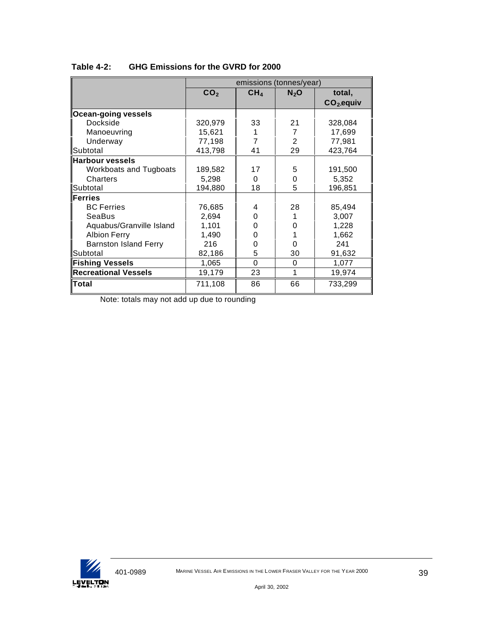|                               |                 | emissions (tonnes/year) |         |             |
|-------------------------------|-----------------|-------------------------|---------|-------------|
|                               | CO <sub>2</sub> | CH <sub>4</sub>         | $N_2$ O | total,      |
|                               |                 |                         |         | $CO2$ equiv |
| Ocean-going vessels           |                 |                         |         |             |
| Dockside                      | 320,979         | 33                      | 21      | 328,084     |
| Manoeuvring                   | 15,621          |                         | 7       | 17,699      |
| Underway                      | 77,198          | 7                       | 2       | 77,981      |
| <b>I</b> Subtotal             | 413,798         | 41                      | 29      | 423,764     |
| <b>Harbour vessels</b>        |                 |                         |         |             |
| <b>Workboats and Tugboats</b> | 189,582         | 17                      | 5       | 191,500     |
| Charters                      | 5,298           | 0                       | 0       | 5,352       |
| <b>Subtotal</b>               | 194,880         | 18                      | 5       | 196,851     |
| Ferries                       |                 |                         |         |             |
| <b>BC</b> Ferries             | 76,685          | 4                       | 28      | 85,494      |
| SeaBus                        | 2,694           | 0                       |         | 3,007       |
| Aquabus/Granville Island      | 1,101           | 0                       | 0       | 1,228       |
| <b>Albion Ferry</b>           | 1,490           | O                       |         | 1,662       |
| <b>Barnston Island Ferry</b>  | 216             | 0                       | 0       | 241         |
| <b>I</b> Subtotal             | 82,186          | 5                       | 30      | 91,632      |
| <b>Fishing Vessels</b>        | 1,065           | $\Omega$                | 0       | 1,077       |
| <b>Recreational Vessels</b>   | 19,179          | 23                      | 1       | 19,974      |
| Total                         | 711,108         | 86                      | 66      | 733,299     |

### **Table 4-2: GHG Emissions for the GVRD for 2000**

Note: totals may not add up due to rounding

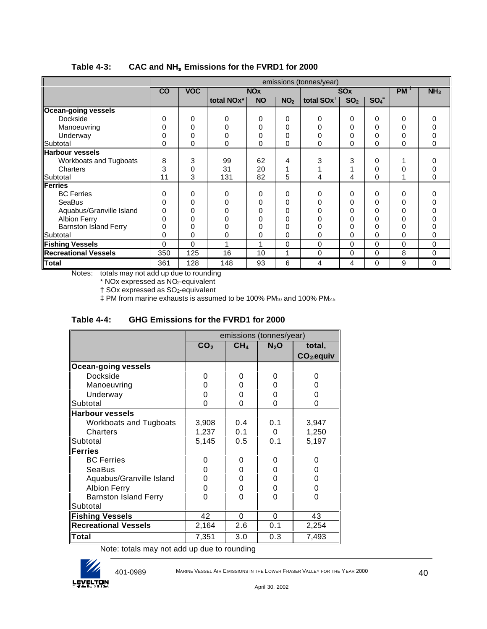|                              |          | emissions (tonnes/year) |                         |                       |                 |               |                       |          |                 |                 |
|------------------------------|----------|-------------------------|-------------------------|-----------------------|-----------------|---------------|-----------------------|----------|-----------------|-----------------|
|                              | CO       | <b>VOC</b>              |                         | <b>NO<sub>x</sub></b> |                 |               | <b>SO<sub>x</sub></b> |          | PM <sup>†</sup> | NH <sub>3</sub> |
|                              |          |                         | total NO <sub>x</sub> * | <b>NO</b>             | NO <sub>2</sub> | total $SOX^T$ | SO <sub>2</sub>       | $SO_4^-$ |                 |                 |
| <b>Ocean-going vessels</b>   |          |                         |                         |                       |                 |               |                       |          |                 |                 |
| Dockside                     | 0        | 0                       | O                       | 0                     | $\Omega$        | $\Omega$      | $\Omega$              | 0        | 0               |                 |
| Manoeuvring                  | $\Omega$ | 0                       |                         |                       | 0               |               | $\Omega$              | 0        | 0               |                 |
| Underway                     | 0        | 0                       |                         |                       | 0               |               | 0                     | 0        | 0               |                 |
| Subtotal                     | 0        | 0                       | 0                       | 0                     | $\Omega$        | 0             | $\Omega$              | 0        | 0               | 0               |
| <b>Harbour vessels</b>       |          |                         |                         |                       |                 |               |                       |          |                 |                 |
| Workboats and Tugboats       | 8        | 3                       | 99                      | 62                    | 4               | 3             | 3                     | 0        |                 |                 |
| Charters                     | 3        | 0                       | 31                      | 20                    |                 |               |                       | 0        | 0               |                 |
| Subtotal                     | 11       | 3                       | 131                     | 82                    | 5               | 4             | 4                     | 0        |                 | 0               |
| <b>Ferries</b>               |          |                         |                         |                       |                 |               |                       |          |                 |                 |
| <b>BC</b> Ferries            | 0        | 0                       | ∩                       | 0                     | $\Omega$        | 0             | $\Omega$              | 0        | 0               | O               |
| SeaBus                       | 0        | 0                       |                         |                       | 0               |               | 0                     | 0        | 0               |                 |
| Aquabus/Granville Island     | 0        | U                       |                         |                       | 0               |               | 0                     |          | ი               |                 |
| <b>Albion Ferry</b>          | 0        | 0                       |                         |                       | 0               |               | 0                     | 0        | 0               |                 |
| <b>Barnston Island Ferry</b> | 0        | 0                       |                         |                       | 0               |               | 0                     | 0        | 0               |                 |
| Subtotal                     | 0        | 0                       | 0                       | 0                     | 0               | 0             | 0                     | 0        | 0               | 0               |
| <b>Fishing Vessels</b>       | $\Omega$ | 0                       |                         |                       | $\Omega$        | 0             | $\Omega$              | 0        | 0               | 0               |
| <b>Recreational Vessels</b>  | 350      | 125                     | 16                      | 10                    | 1               | 0             | $\mathbf 0$           | 0        | 8               | 0               |
| <b>Total</b>                 | 361      | 128                     | 148                     | 93                    | 6               | 4             | 4                     | 0        | 9               | 0               |

#### **Table 4-3: CAC and NH<sup>3</sup> Emissions for the FVRD1 for 2000**

Notes: totals may not add up due to rounding

\* NOx expressed as NO2-equivalent

† SOx expressed as SO2-equivalent

 $\text{\#}$  PM from marine exhausts is assumed to be 100% PM<sub>10</sub> and 100% PM<sub>2.5</sub>

|  | Table 4-4: | GHG Emissions for the FVRD1 for 2000 |
|--|------------|--------------------------------------|
|--|------------|--------------------------------------|

|                               |                 |                 | emissions (tonnes/year) |             |
|-------------------------------|-----------------|-----------------|-------------------------|-------------|
|                               | CO <sub>2</sub> | CH <sub>4</sub> | $N_2$ O                 | total,      |
|                               |                 |                 |                         | $CO2$ equiv |
| Ocean-going vessels           |                 |                 |                         |             |
| Dockside                      | O               | 0               | 0                       | 0           |
| Manoeuvring                   |                 | 0               | U                       | ი           |
| Underway                      | O)              | 0               | O                       | 0           |
| Subtotal                      | O               | O               | 0                       | 0           |
| <b>Harbour vessels</b>        |                 |                 |                         |             |
| <b>Workboats and Tugboats</b> | 3,908           | 0.4             | 0.1                     | 3,947       |
| Charters                      | 1,237           | 0.1             | 0                       | 1,250       |
| Subtotal                      | 5,145           | 0.5             | 0.1                     | 5,197       |
| Ferries                       |                 |                 |                         |             |
| <b>BC</b> Ferries             | O               | 0               | 0                       | 0           |
| SeaBus                        | U               | 0               | O                       | 0           |
| Aquabus/Granville Island      | ი               | 0               | 0                       | 0           |
| <b>Albion Ferry</b>           | 0               | 0               | 0                       | 0           |
| <b>Barnston Island Ferry</b>  | O               | 0               | 0                       | 0           |
| Subtotal                      |                 |                 |                         |             |
| <b>Fishing Vessels</b>        | 42              | 0               | 0                       | 43          |
| <b>Recreational Vessels</b>   | 2,164           | 2.6             | 0.1                     | 2,254       |
| Total                         | 7,351           | 3.0             | 0.3                     | 7,493       |

Note: totals may not add up due to rounding



401-0989 MARINE VESSEL AIR E MISSIONS IN THE LOWER FRASER VALLEY FOR THE YEAR 2000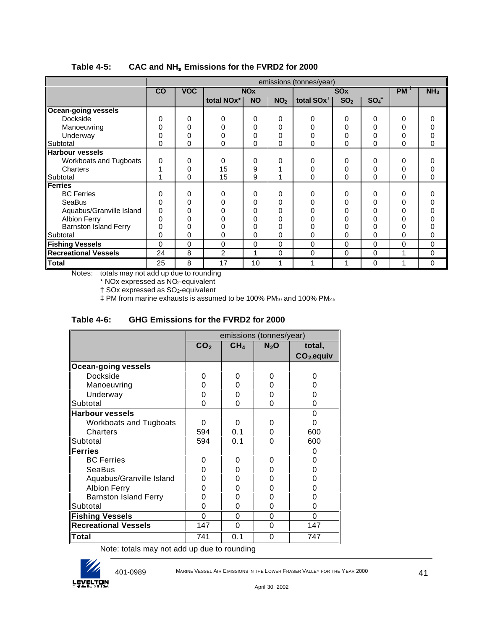|                              |          | emissions (tonnes/year) |                                    |           |                 |                       |                 |          |                 |                 |
|------------------------------|----------|-------------------------|------------------------------------|-----------|-----------------|-----------------------|-----------------|----------|-----------------|-----------------|
|                              | CO       | <b>VOC</b>              | <b>NO<sub>x</sub></b>              |           |                 | <b>SO<sub>x</sub></b> |                 |          | PM <sub>1</sub> | NH <sub>3</sub> |
|                              |          |                         | total NO <sub>x</sub> <sup>*</sup> | <b>NO</b> | NO <sub>2</sub> | total $SOX^T$         | SO <sub>2</sub> | $SO_4^-$ |                 |                 |
| <b>Ocean-going vessels</b>   |          |                         |                                    |           |                 |                       |                 |          |                 |                 |
| Dockside                     | 0        | $\Omega$                | 0                                  | 0         | 0               | O                     | 0               | $\Omega$ | 0               | 0               |
|                              |          |                         |                                    |           |                 |                       |                 |          |                 |                 |
| Manoeuvring                  |          | 0                       |                                    | 0         | 0               |                       | 0               | 0        |                 |                 |
| Underway                     |          | 0                       |                                    | 0         | 0               |                       | 0               |          | 0               | 0               |
| Subtotal                     | 0        | $\Omega$                | 0                                  | 0         | 0               | 0                     | 0               | 0        | 0               | 0               |
| <b>Harbour vessels</b>       |          |                         |                                    |           |                 |                       |                 |          |                 |                 |
| Workboats and Tugboats       | 0        | $\Omega$                | $\Omega$                           | 0         | 0               | U                     | 0               | $\Omega$ | 0               | 0               |
| Charters                     |          | 0                       | 15                                 | 9         |                 |                       | 0               | $\Omega$ | 0               | 0               |
| Subtotal                     |          | $\mathbf 0$             | 15                                 | 9         |                 | 0                     | 0               | 0        | 0               | 0               |
| Ferries                      |          |                         |                                    |           |                 |                       |                 |          |                 |                 |
| <b>BC</b> Ferries            | 0        | $\Omega$                | O                                  | 0         | $\Omega$        | ∩                     | 0               | 0        | 0               | 0               |
| <b>SeaBus</b>                | U        | 0                       |                                    | 0         | 0               |                       |                 | 0        |                 | 0               |
| Aquabus/Granville Island     | 0        | 0                       |                                    | 0         | 0               |                       | ი               | 0        |                 |                 |
| <b>Albion Ferry</b>          |          | 0                       |                                    | 0         | 0               |                       |                 |          |                 |                 |
| <b>Barnston Island Ferry</b> |          | $\Omega$                |                                    |           | 0               |                       | 0               |          |                 |                 |
| Subtotal                     | 0        | 0                       | ი                                  | 0         | 0               | 0                     | 0               | 0        | 0               | 0               |
| <b>Fishing Vessels</b>       | $\Omega$ | 0                       | $\Omega$                           | 0         | $\Omega$        | 0                     | 0               | $\Omega$ | 0               | 0               |
| <b>Recreational Vessels</b>  | 24       | 8                       | 2                                  | 1         | $\Omega$        | 0                     | 0               | $\Omega$ | 1               | 0               |
| <b>Total</b>                 | 25       | 8                       | 17                                 | 10        |                 |                       |                 | $\Omega$ | и               | 0               |

#### **Table 4-5: CAC and NH<sup>3</sup> Emissions for the FVRD2 for 2000**

Notes: totals may not add up due to rounding

\* NOx expressed as NO2-equivalent

† SOx expressed as SO2-equivalent

 $\text{\#}$  PM from marine exhausts is assumed to be 100% PM<sub>10</sub> and 100% PM<sub>2.5</sub>

| <b>GHG Emissions for the FVRD2 for 2000</b><br>Table 4-6: |
|-----------------------------------------------------------|
|-----------------------------------------------------------|

|                              |                 |                 | emissions (tonnes/year) |             |
|------------------------------|-----------------|-----------------|-------------------------|-------------|
|                              | CO <sub>2</sub> | CH <sub>4</sub> | $N_2$ O                 | total,      |
|                              |                 |                 |                         | $CO2$ equiv |
| <b>Ocean-going vessels</b>   |                 |                 |                         |             |
| Dockside                     | 0               | 0               | 0                       | O           |
| Manoeuvring                  |                 | 0               | O                       |             |
| Underway                     | O               | 0               | O                       |             |
| Subtotal                     | 0               | 0               | 0                       | 0           |
| <b>Harbour vessels</b>       |                 |                 |                         | 0           |
| Workboats and Tugboats       | O               | $\Omega$        | $\mathbf{0}$            |             |
| Charters                     | 594             | 0.1             | O                       | 600         |
| Subtotal                     | 594             | 0.1             | O                       | 600         |
| Ferries                      |                 |                 |                         | U           |
| <b>BC Ferries</b>            | O               | 0               | Ω                       |             |
| SeaBus                       | O               | 0               | O                       |             |
| Aquabus/Granville Island     | O               | 0               | 0                       |             |
| <b>Albion Ferry</b>          | n               | 0               | 0                       |             |
| <b>Barnston Island Ferry</b> | O               | 0               | 0                       | O           |
| Subtotal                     | ∩               | 0               | 0                       | ი           |
| <b>Fishing Vessels</b>       | 0               | $\mathbf 0$     | 0                       | 0           |
| <b>Recreational Vessels</b>  | 147             | $\Omega$        | $\Omega$                | 147         |
| <b>Total</b>                 | 741             | 0.1             | 0                       | 747         |

Note: totals may not add up due to rounding



401-0989 MARINE VESSEL AIR E MISSIONS IN THE LOWER FRASER VALLEY FOR THE YEAR 2000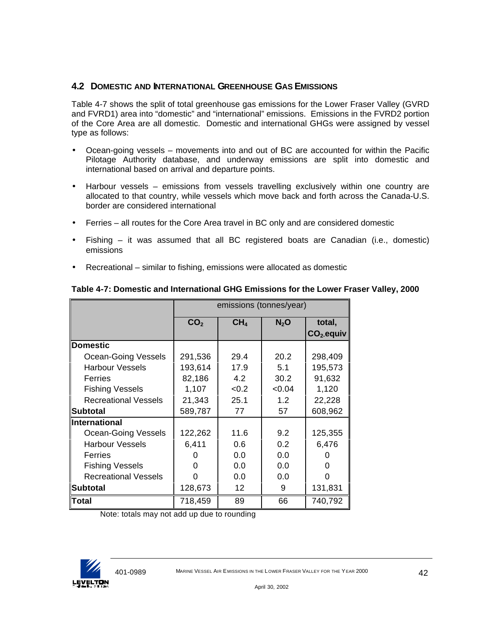### **4.2 DOMESTIC AND INTERNATIONAL GREENHOUSE GAS EMISSIONS**

Table 4-7 shows the split of total greenhouse gas emissions for the Lower Fraser Valley (GVRD and FVRD1) area into "domestic" and "international" emissions. Emissions in the FVRD2 portion of the Core Area are all domestic. Domestic and international GHGs were assigned by vessel type as follows:

- Ocean-going vessels movements into and out of BC are accounted for within the Pacific Pilotage Authority database, and underway emissions are split into domestic and international based on arrival and departure points.
- Harbour vessels emissions from vessels travelling exclusively within one country are allocated to that country, while vessels which move back and forth across the Canada-U.S. border are considered international
- Ferries all routes for the Core Area travel in BC only and are considered domestic
- Fishing it was assumed that all BC registered boats are Canadian (i.e., domestic) emissions
- Recreational similar to fishing, emissions were allocated as domestic

|                             | emissions (tonnes/year) |                 |         |              |  |  |
|-----------------------------|-------------------------|-----------------|---------|--------------|--|--|
|                             | CO <sub>2</sub>         | CH <sub>4</sub> | $N_2$ O | total,       |  |  |
|                             |                         |                 |         | $CO2$ -equiv |  |  |
| Domestic                    |                         |                 |         |              |  |  |
| Ocean-Going Vessels         | 291,536                 | 29.4            | 20.2    | 298,409      |  |  |
| <b>Harbour Vessels</b>      | 193,614                 | 17.9            | 5.1     | 195,573      |  |  |
| Ferries                     | 82,186                  | 4.2             | 30.2    | 91,632       |  |  |
| <b>Fishing Vessels</b>      | 1,107                   | <0.2            | < 0.04  | 1,120        |  |  |
| <b>Recreational Vessels</b> | 21,343                  | 25.1            | 1.2     | 22,228       |  |  |
| <b>Subtotal</b>             | 589,787                 | 77              | 57      | 608,962      |  |  |
| <b>International</b>        |                         |                 |         |              |  |  |
| <b>Ocean-Going Vessels</b>  | 122,262                 | 11.6            | 9.2     | 125,355      |  |  |
| <b>Harbour Vessels</b>      | 6,411                   | 0.6             | 0.2     | 6,476        |  |  |
| Ferries                     |                         | 0.0             | 0.0     |              |  |  |
| <b>Fishing Vessels</b>      |                         | 0.0             | 0.0     |              |  |  |
| <b>Recreational Vessels</b> |                         | 0.0             | 0.0     |              |  |  |
| Subtotal                    | 128,673                 | 12              | 9       | 131,831      |  |  |
| Total                       | 718,459                 | 89              | 66      | 740,792      |  |  |

#### **Table 4-7: Domestic and International GHG Emissions for the Lower Fraser Valley, 2000**

Note: totals may not add up due to rounding

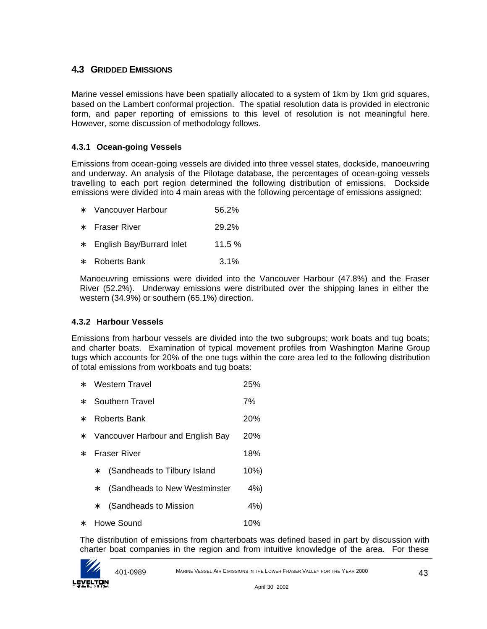## **4.3 GRIDDED EMISSIONS**

Marine vessel emissions have been spatially allocated to a system of 1km by 1km grid squares, based on the Lambert conformal projection. The spatial resolution data is provided in electronic form, and paper reporting of emissions to this level of resolution is not meaningful here. However, some discussion of methodology follows.

#### **4.3.1 Ocean-going Vessels**

Emissions from ocean-going vessels are divided into three vessel states, dockside, manoeuvring and underway. An analysis of the Pilotage database, the percentages of ocean-going vessels travelling to each port region determined the following distribution of emissions. Dockside emissions were divided into 4 main areas with the following percentage of emissions assigned:

| $\ast$ | Vancouver Harbour | 56.2% |
|--------|-------------------|-------|
|--------|-------------------|-------|

- ∗ Fraser River 29.2%
- ∗ English Bay/Burrard Inlet 11.5 %
- ∗ Roberts Bank 3.1%

Manoeuvring emissions were divided into the Vancouver Harbour (47.8%) and the Fraser River (52.2%). Underway emissions were distributed over the shipping lanes in either the western (34.9%) or southern (65.1%) direction.

#### **4.3.2 Harbour Vessels**

Emissions from harbour vessels are divided into the two subgroups; work boats and tug boats; and charter boats. Examination of typical movement profiles from Washington Marine Group tugs which accounts for 20% of the one tugs within the core area led to the following distribution of total emissions from workboats and tug boats:

- ∗ Western Travel 25%
- ∗ Southern Travel 7%
- ∗ Roberts Bank 20%
- ∗ Vancouver Harbour and English Bay 20%
- ∗ Fraser River 18%
	- ∗ (Sandheads to Tilbury Island 10%)
	- ∗ (Sandheads to New Westminster 4%)
	- ∗ (Sandheads to Mission 4%)
- ∗ Howe Sound 10%

The distribution of emissions from charterboats was defined based in part by discussion with charter boat companies in the region and from intuitive knowledge of the area. For these

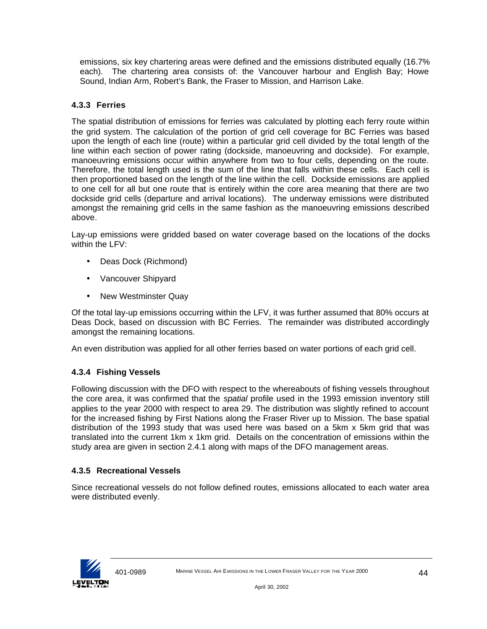emissions, six key chartering areas were defined and the emissions distributed equally (16.7% each). The chartering area consists of: the Vancouver harbour and English Bay; Howe Sound, Indian Arm, Robert's Bank, the Fraser to Mission, and Harrison Lake.

## **4.3.3 Ferries**

The spatial distribution of emissions for ferries was calculated by plotting each ferry route within the grid system. The calculation of the portion of grid cell coverage for BC Ferries was based upon the length of each line (route) within a particular grid cell divided by the total length of the line within each section of power rating (dockside, manoeuvring and dockside). For example, manoeuvring emissions occur within anywhere from two to four cells, depending on the route. Therefore, the total length used is the sum of the line that falls within these cells. Each cell is then proportioned based on the length of the line within the cell. Dockside emissions are applied to one cell for all but one route that is entirely within the core area meaning that there are two dockside grid cells (departure and arrival locations). The underway emissions were distributed amongst the remaining grid cells in the same fashion as the manoeuvring emissions described above.

Lay-up emissions were gridded based on water coverage based on the locations of the docks within the LFV:

- Deas Dock (Richmond)
- Vancouver Shipyard
- New Westminster Quay

Of the total lay-up emissions occurring within the LFV, it was further assumed that 80% occurs at Deas Dock, based on discussion with BC Ferries. The remainder was distributed accordingly amongst the remaining locations.

An even distribution was applied for all other ferries based on water portions of each grid cell.

## **4.3.4 Fishing Vessels**

Following discussion with the DFO with respect to the whereabouts of fishing vessels throughout the core area, it was confirmed that the *spatial* profile used in the 1993 emission inventory still applies to the year 2000 with respect to area 29. The distribution was slightly refined to account for the increased fishing by First Nations along the Fraser River up to Mission. The base spatial distribution of the 1993 study that was used here was based on a 5km x 5km grid that was translated into the current 1km x 1km grid. Details on the concentration of emissions within the study area are given in section 2.4.1 along with maps of the DFO management areas.

#### **4.3.5 Recreational Vessels**

Since recreational vessels do not follow defined routes, emissions allocated to each water area were distributed evenly.

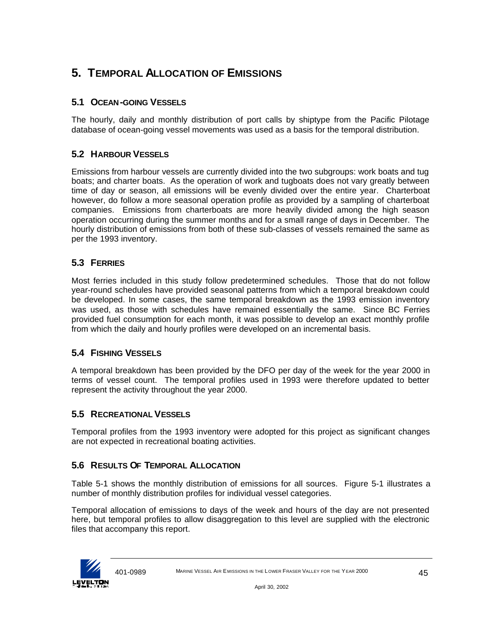# **5. TEMPORAL ALLOCATION OF EMISSIONS**

## **5.1 OCEAN-GOING VESSELS**

The hourly, daily and monthly distribution of port calls by shiptype from the Pacific Pilotage database of ocean-going vessel movements was used as a basis for the temporal distribution.

## **5.2 HARBOUR VESSELS**

Emissions from harbour vessels are currently divided into the two subgroups: work boats and tug boats; and charter boats. As the operation of work and tugboats does not vary greatly between time of day or season, all emissions will be evenly divided over the entire year. Charterboat however, do follow a more seasonal operation profile as provided by a sampling of charterboat companies. Emissions from charterboats are more heavily divided among the high season operation occurring during the summer months and for a small range of days in December. The hourly distribution of emissions from both of these sub-classes of vessels remained the same as per the 1993 inventory.

## **5.3 FERRIES**

Most ferries included in this study follow predetermined schedules. Those that do not follow year-round schedules have provided seasonal patterns from which a temporal breakdown could be developed. In some cases, the same temporal breakdown as the 1993 emission inventory was used, as those with schedules have remained essentially the same. Since BC Ferries provided fuel consumption for each month, it was possible to develop an exact monthly profile from which the daily and hourly profiles were developed on an incremental basis.

## **5.4 FISHING VESSELS**

A temporal breakdown has been provided by the DFO per day of the week for the year 2000 in terms of vessel count. The temporal profiles used in 1993 were therefore updated to better represent the activity throughout the year 2000.

## **5.5 RECREATIONAL VESSELS**

Temporal profiles from the 1993 inventory were adopted for this project as significant changes are not expected in recreational boating activities.

## **5.6 RESULTS OF TEMPORAL ALLOCATION**

Table 5-1 shows the monthly distribution of emissions for all sources. Figure 5-1 illustrates a number of monthly distribution profiles for individual vessel categories.

Temporal allocation of emissions to days of the week and hours of the day are not presented here, but temporal profiles to allow disaggregation to this level are supplied with the electronic files that accompany this report.

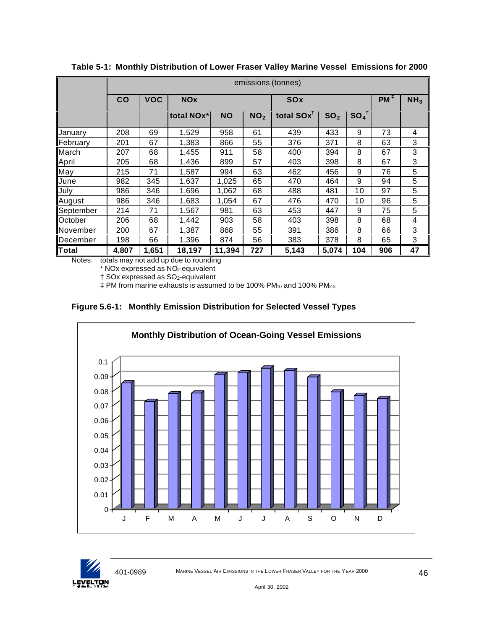|              | emissions (tonnes) |            |            |           |                 |               |                 |                     |     |    |  |  |
|--------------|--------------------|------------|------------|-----------|-----------------|---------------|-----------------|---------------------|-----|----|--|--|
|              | CO                 | <b>VOC</b> | <b>NOx</b> |           |                 | <b>SOx</b>    | $PM^{\ddagger}$ | NH <sub>3</sub>     |     |    |  |  |
|              |                    |            | total NOx* | <b>NO</b> | NO <sub>2</sub> | total $SOX^T$ | SO <sub>2</sub> | $SO_4$ <sup>=</sup> |     |    |  |  |
| Januarv      | 208                | 69         | 1,529      | 958       | 61              | 439           | 433             | 9                   | 73  | 4  |  |  |
| February     | 201                | 67         | 1,383      | 866       | 55              | 376           | 371             | 8                   | 63  | 3  |  |  |
| March        | 207                | 68         | 1,455      | 911       | 58              | 400           | 394             | 8                   | 67  | 3  |  |  |
| April        | 205                | 68         | 1,436      | 899       | 57              | 403           | 398             | 8                   | 67  | 3  |  |  |
| May          | 215                | 71         | 1,587      | 994       | 63              | 462           | 456             | 9                   | 76  | 5  |  |  |
| June         | 982                | 345        | 1,637      | 1,025     | 65              | 470           | 464             | 9                   | 94  | 5  |  |  |
| July         | 986                | 346        | 1,696      | 1,062     | 68              | 488           | 481             | 10                  | 97  | 5  |  |  |
| August       | 986                | 346        | 1,683      | 1,054     | 67              | 476           | 470             | 10                  | 96  | 5  |  |  |
| September    | 214                | 71         | 1,567      | 981       | 63              | 453           | 447             | 9                   | 75  | 5  |  |  |
| October      | 206                | 68         | 1,442      | 903       | 58              | 403           | 398             | 8                   | 68  | 4  |  |  |
| lNovember    | 200                | 67         | 1,387      | 868       | 55              | 391           | 386             | 8                   | 66  | 3  |  |  |
| December     | 198                | 66         | 1,396      | 874       | 56              | 383           | 378             | 8                   | 65  | 3  |  |  |
| <b>Total</b> | 4.807              | 1,651      | 18,197     | 11,394    | 727             | 5,143         | 5,074           | 104                 | 906 | 47 |  |  |

**Table 5-1: Monthly Distribution of Lower Fraser Valley Marine Vessel Emissions for 2000**

Notes: totals may not add up due to rounding

\* NOx expressed as NO2-equivalent

† SOx expressed as SO2-equivalent

 $\ddagger$  PM from marine exhausts is assumed to be 100% PM<sub>10</sub> and 100% PM<sub>2.5</sub>





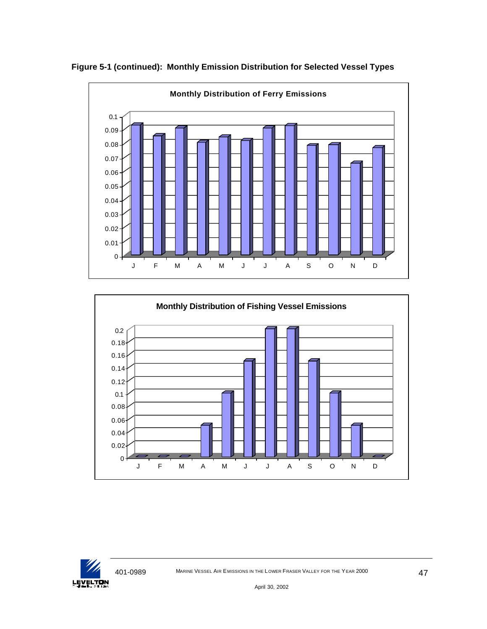

**Figure 5-1 (continued): Monthly Emission Distribution for Selected Vessel Types**



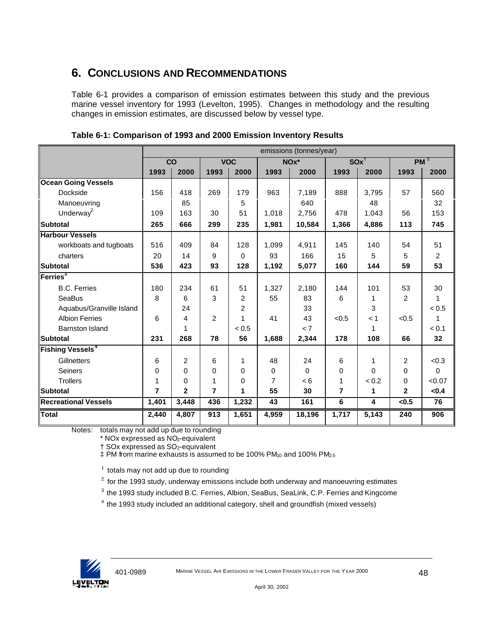# **6. CONCLUSIONS AND RECOMMENDATIONS**

Table 6-1 provides a comparison of emission estimates between this study and the previous marine vessel inventory for 1993 (Levelton, 1995). Changes in methodology and the resulting changes in emission estimates, are discussed below by vessel type.

|                                    | emissions (tonnes/year) |              |                |                |       |          |                    |          |                |                 |
|------------------------------------|-------------------------|--------------|----------------|----------------|-------|----------|--------------------|----------|----------------|-----------------|
|                                    |                         | CO           |                | <b>VOC</b>     |       | NOx*     | $SOx$ <sup>T</sup> |          |                | PM <sup>1</sup> |
|                                    | 1993                    | 2000         | 1993           | 2000           | 1993  | 2000     | 1993               | 2000     | 1993           | 2000            |
| <b>Ocean Going Vessels</b>         |                         |              |                |                |       |          |                    |          |                |                 |
| Dockside                           | 156                     | 418          | 269            | 179            | 963   | 7,189    | 888                | 3,795    | 57             | 560             |
| Manoeuvring                        |                         | 85           |                | 5              |       | 640      |                    | 48       |                | 32              |
| Underway <sup>2</sup>              | 109                     | 163          | 30             | 51             | 1,018 | 2,756    | 478                | 1,043    | 56             | 153             |
| <b>Subtotal</b>                    | 265                     | 666          | 299            | 235            | 1,981 | 10,584   | 1,366              | 4,886    | 113            | 745             |
| <b>Harbour Vessels</b>             |                         |              |                |                |       |          |                    |          |                |                 |
| workboats and tugboats             | 516                     | 409          | 84             | 128            | 1,099 | 4,911    | 145                | 140      | 54             | 51              |
| charters                           | 20                      | 14           | 9              | $\Omega$       | 93    | 166      | 15                 | 5        | 5              | 2               |
| <b>Subtotal</b>                    | 536                     | 423          | 93             | 128            | 1,192 | 5,077    | 160                | 144      | 59             | 53              |
| Ferries <sup>3</sup>               |                         |              |                |                |       |          |                    |          |                |                 |
| <b>B.C. Ferries</b>                | 180                     | 234          | 61             | 51             | 1,327 | 2,180    | 144                | 101      | 53             | 30              |
| <b>SeaBus</b>                      | 8                       | 6            | 3              | $\overline{2}$ | 55    | 83       | 6                  | 1        | 2              |                 |
| Aquabus/Granville Island           |                         | 24           |                | 2              |       | 33       |                    | 3        |                | < 0.5           |
| <b>Albion Ferries</b>              | 6                       | 4            | $\overline{2}$ | 1              | 41    | 43       | < 0.5              | < 1      | < 0.5          | 1               |
| <b>Barnston Island</b>             |                         | 1            |                | < 0.5          |       | < 7      |                    | 1        |                | < 0.1           |
| <b>Subtotal</b>                    | 231                     | 268          | 78             | 56             | 1,688 | 2,344    | 178                | 108      | 66             | 32              |
| <b>Fishing Vessels<sup>4</sup></b> |                         |              |                |                |       |          |                    |          |                |                 |
| Gillnetters                        | 6                       | 2            | 6              | 1              | 48    | 24       | 6                  | 1        | 2              | < 0.3           |
| <b>Seiners</b>                     | $\Omega$                | $\Omega$     | $\Omega$       | $\Omega$       | 0     | $\Omega$ | 0                  | $\Omega$ | 0              | $\Omega$        |
| <b>Trollers</b>                    | 1                       | 0            | 1              | $\Omega$       | 7     | < 6      | 1                  | < 0.2    | 0              | < 0.07          |
| <b>Subtotal</b>                    | 7                       | $\mathbf{2}$ | 7              | 1              | 55    | 30       | $\overline{7}$     | 1        | $\overline{2}$ | < 0.4           |
| <b>Recreational Vessels</b>        | 1,401                   | 3,448        | 436            | 1,232          | 43    | 161      | 6                  | 4        | < 0.5          | 76              |
| <b>Total</b>                       | 2,440                   | 4,807        | 913            | 1,651          | 4,959 | 18,196   | 1,717              | 5,143    | 240            | 906             |

**Table 6-1: Comparison of 1993 and 2000 Emission Inventory Results**

Notes: totals may not add up due to rounding

\* NOx expressed as NO2-equivalent

† SOx expressed as SO2-equivalent

 $\ddagger$  PM from marine exhausts is assumed to be 100% PM $_{10}$  and 100% PM $_{25}$ 

 $<sup>1</sup>$  totals may not add up due to rounding</sup>

 $2$  for the 1993 study, underway emissions include both underway and manoeuvring estimates

<sup>3</sup> the 1993 study included B.C. Ferries, Albion, SeaBus, SeaLink, C.P. Ferries and Kingcome

 $4$  the 1993 study included an additional category, shell and groundfish (mixed vessels)

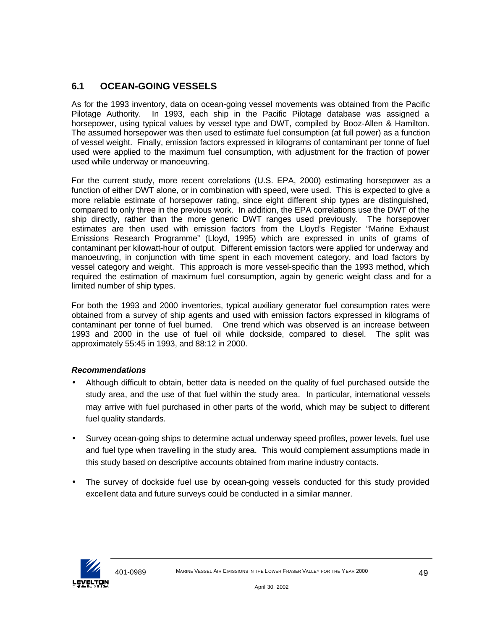## **6.1 OCEAN-GOING VESSELS**

As for the 1993 inventory, data on ocean-going vessel movements was obtained from the Pacific Pilotage Authority. In 1993, each ship in the Pacific Pilotage database was assigned a horsepower, using typical values by vessel type and DWT, compiled by Booz-Allen & Hamilton. The assumed horsepower was then used to estimate fuel consumption (at full power) as a function of vessel weight. Finally, emission factors expressed in kilograms of contaminant per tonne of fuel used were applied to the maximum fuel consumption, with adjustment for the fraction of power used while underway or manoeuvring.

For the current study, more recent correlations (U.S. EPA, 2000) estimating horsepower as a function of either DWT alone, or in combination with speed, were used. This is expected to give a more reliable estimate of horsepower rating, since eight different ship types are distinguished, compared to only three in the previous work. In addition, the EPA correlations use the DWT of the ship directly, rather than the more generic DWT ranges used previously. The horsepower estimates are then used with emission factors from the Lloyd's Register "Marine Exhaust Emissions Research Programme" (Lloyd, 1995) which are expressed in units of grams of contaminant per kilowatt-hour of output. Different emission factors were applied for underway and manoeuvring, in conjunction with time spent in each movement category, and load factors by vessel category and weight. This approach is more vessel-specific than the 1993 method, which required the estimation of maximum fuel consumption, again by generic weight class and for a limited number of ship types.

For both the 1993 and 2000 inventories, typical auxiliary generator fuel consumption rates were obtained from a survey of ship agents and used with emission factors expressed in kilograms of contaminant per tonne of fuel burned. One trend which was observed is an increase between 1993 and 2000 in the use of fuel oil while dockside, compared to diesel. The split was approximately 55:45 in 1993, and 88:12 in 2000.

#### *Recommendations*

- Although difficult to obtain, better data is needed on the quality of fuel purchased outside the study area, and the use of that fuel within the study area. In particular, international vessels may arrive with fuel purchased in other parts of the world, which may be subject to different fuel quality standards.
- Survey ocean-going ships to determine actual underway speed profiles, power levels, fuel use and fuel type when travelling in the study area. This would complement assumptions made in this study based on descriptive accounts obtained from marine industry contacts.
- The survey of dockside fuel use by ocean-going vessels conducted for this study provided excellent data and future surveys could be conducted in a similar manner.

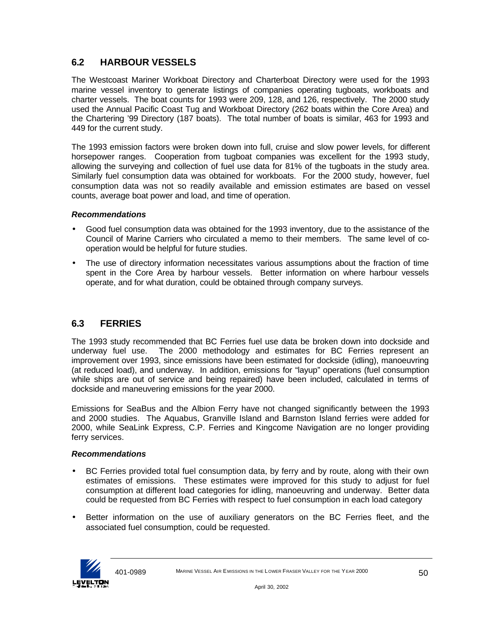## **6.2 HARBOUR VESSELS**

The Westcoast Mariner Workboat Directory and Charterboat Directory were used for the 1993 marine vessel inventory to generate listings of companies operating tugboats, workboats and charter vessels. The boat counts for 1993 were 209, 128, and 126, respectively. The 2000 study used the Annual Pacific Coast Tug and Workboat Directory (262 boats within the Core Area) and the Chartering '99 Directory (187 boats). The total number of boats is similar, 463 for 1993 and 449 for the current study.

The 1993 emission factors were broken down into full, cruise and slow power levels, for different horsepower ranges. Cooperation from tugboat companies was excellent for the 1993 study, allowing the surveying and collection of fuel use data for 81% of the tugboats in the study area. Similarly fuel consumption data was obtained for workboats. For the 2000 study, however, fuel consumption data was not so readily available and emission estimates are based on vessel counts, average boat power and load, and time of operation.

#### *Recommendations*

- Good fuel consumption data was obtained for the 1993 inventory, due to the assistance of the Council of Marine Carriers who circulated a memo to their members. The same level of cooperation would be helpful for future studies.
- The use of directory information necessitates various assumptions about the fraction of time spent in the Core Area by harbour vessels. Better information on where harbour vessels operate, and for what duration, could be obtained through company surveys.

## **6.3 FERRIES**

The 1993 study recommended that BC Ferries fuel use data be broken down into dockside and underway fuel use. The 2000 methodology and estimates for BC Ferries represent an improvement over 1993, since emissions have been estimated for dockside (idling), manoeuvring (at reduced load), and underway. In addition, emissions for "layup" operations (fuel consumption while ships are out of service and being repaired) have been included, calculated in terms of dockside and maneuvering emissions for the year 2000.

Emissions for SeaBus and the Albion Ferry have not changed significantly between the 1993 and 2000 studies. The Aquabus, Granville Island and Barnston Island ferries were added for 2000, while SeaLink Express, C.P. Ferries and Kingcome Navigation are no longer providing ferry services.

#### *Recommendations*

- BC Ferries provided total fuel consumption data, by ferry and by route, along with their own estimates of emissions. These estimates were improved for this study to adjust for fuel consumption at different load categories for idling, manoeuvring and underway. Better data could be requested from BC Ferries with respect to fuel consumption in each load category
- Better information on the use of auxiliary generators on the BC Ferries fleet, and the associated fuel consumption, could be requested.

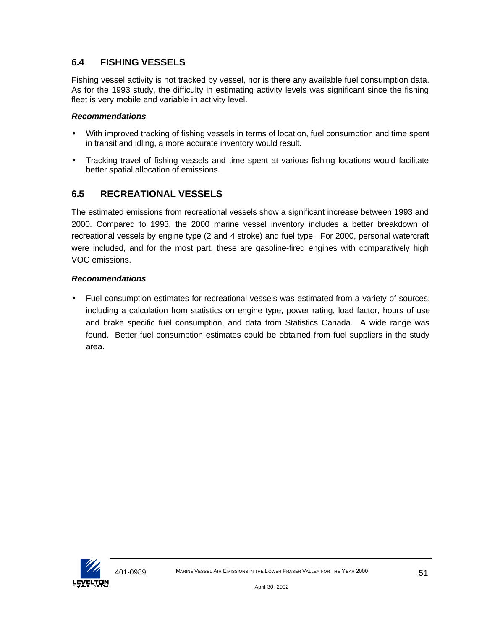## **6.4 FISHING VESSELS**

Fishing vessel activity is not tracked by vessel, nor is there any available fuel consumption data. As for the 1993 study, the difficulty in estimating activity levels was significant since the fishing fleet is very mobile and variable in activity level.

#### *Recommendations*

- With improved tracking of fishing vessels in terms of location, fuel consumption and time spent in transit and idling, a more accurate inventory would result.
- Tracking travel of fishing vessels and time spent at various fishing locations would facilitate better spatial allocation of emissions.

## **6.5 RECREATIONAL VESSELS**

The estimated emissions from recreational vessels show a significant increase between 1993 and 2000. Compared to 1993, the 2000 marine vessel inventory includes a better breakdown of recreational vessels by engine type (2 and 4 stroke) and fuel type. For 2000, personal watercraft were included, and for the most part, these are gasoline-fired engines with comparatively high VOC emissions.

### *Recommendations*

• Fuel consumption estimates for recreational vessels was estimated from a variety of sources, including a calculation from statistics on engine type, power rating, load factor, hours of use and brake specific fuel consumption, and data from Statistics Canada. A wide range was found. Better fuel consumption estimates could be obtained from fuel suppliers in the study area.

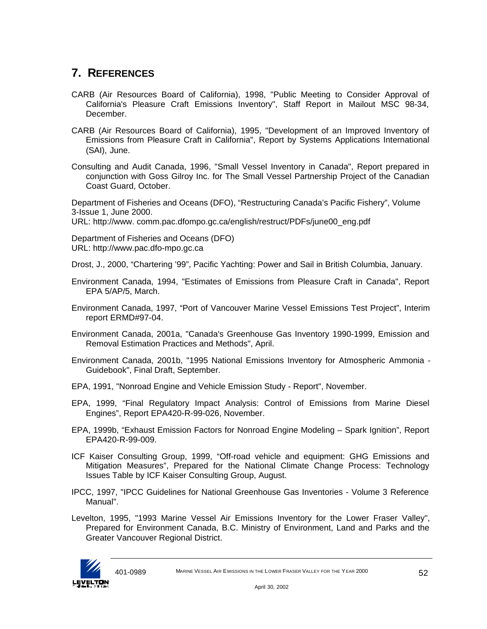# **7. REFERENCES**

- CARB (Air Resources Board of California), 1998, "Public Meeting to Consider Approval of California's Pleasure Craft Emissions Inventory", Staff Report in Mailout MSC 98-34, December.
- CARB (Air Resources Board of California), 1995, "Development of an Improved Inventory of Emissions from Pleasure Craft in California", Report by Systems Applications International (SAI), June.
- Consulting and Audit Canada, 1996, "Small Vessel Inventory in Canada", Report prepared in conjunction with Goss Gilroy Inc. for The Small Vessel Partnership Project of the Canadian Coast Guard, October.

Department of Fisheries and Oceans (DFO), "Restructuring Canada's Pacific Fishery", Volume 3-Issue 1, June 2000.

URL: http://www. comm.pac.dfompo.gc.ca/english/restruct/PDFs/june00\_eng.pdf

Department of Fisheries and Oceans (DFO) URL: http://www.pac.dfo-mpo.gc.ca

Drost, J., 2000, "Chartering '99", Pacific Yachting: Power and Sail in British Columbia, January.

- Environment Canada, 1994, "Estimates of Emissions from Pleasure Craft in Canada", Report EPA 5/AP/5, March.
- Environment Canada, 1997, "Port of Vancouver Marine Vessel Emissions Test Project", Interim report ERMD#97-04.
- Environment Canada, 2001a, "Canada's Greenhouse Gas Inventory 1990-1999, Emission and Removal Estimation Practices and Methods", April.
- Environment Canada, 2001b, "1995 National Emissions Inventory for Atmospheric Ammonia Guidebook", Final Draft, September.
- EPA, 1991, "Nonroad Engine and Vehicle Emission Study Report", November.
- EPA, 1999, "Final Regulatory Impact Analysis: Control of Emissions from Marine Diesel Engines", Report EPA420-R-99-026, November.
- EPA, 1999b, "Exhaust Emission Factors for Nonroad Engine Modeling Spark Ignition", Report EPA420-R-99-009.
- ICF Kaiser Consulting Group, 1999, "Off-road vehicle and equipment: GHG Emissions and Mitigation Measures", Prepared for the National Climate Change Process: Technology Issues Table by ICF Kaiser Consulting Group, August.
- IPCC, 1997, "IPCC Guidelines for National Greenhouse Gas Inventories Volume 3 Reference Manual".
- Levelton, 1995, "1993 Marine Vessel Air Emissions Inventory for the Lower Fraser Valley", Prepared for Environment Canada, B.C. Ministry of Environment, Land and Parks and the Greater Vancouver Regional District.

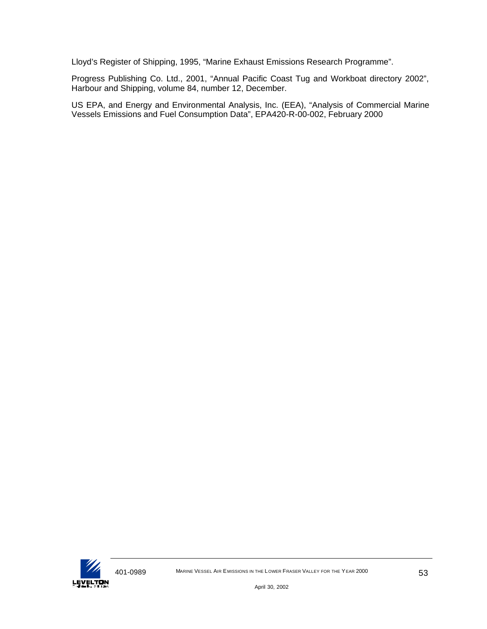Lloyd's Register of Shipping, 1995, "Marine Exhaust Emissions Research Programme".

Progress Publishing Co. Ltd., 2001, "Annual Pacific Coast Tug and Workboat directory 2002", Harbour and Shipping, volume 84, number 12, December.

US EPA, and Energy and Environmental Analysis, Inc. (EEA), "Analysis of Commercial Marine Vessels Emissions and Fuel Consumption Data", EPA420-R-00-002, February 2000

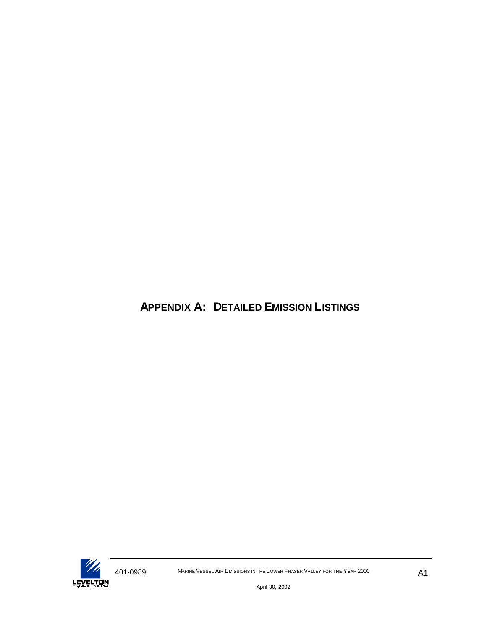# **APPENDIX A: DETAILED EMISSION LISTINGS**

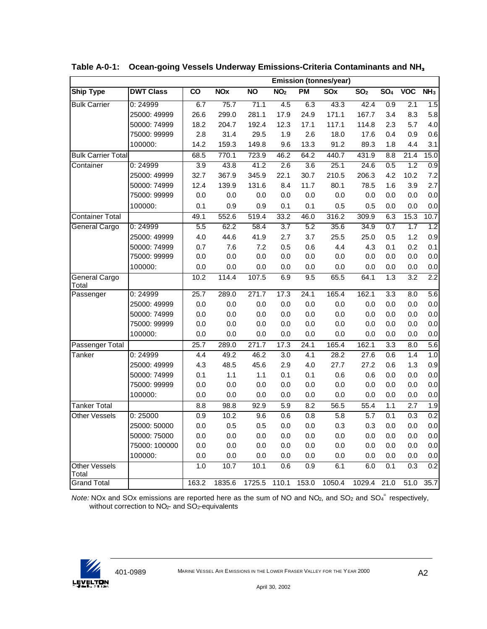|                               |                  |       |                       |           |                  |                  | <b>Emission (tonnes/year)</b> |                 |                  |                   |                  |
|-------------------------------|------------------|-------|-----------------------|-----------|------------------|------------------|-------------------------------|-----------------|------------------|-------------------|------------------|
| <b>Ship Type</b>              | <b>DWT Class</b> | CO    | <b>NO<sub>x</sub></b> | <b>NO</b> | NO <sub>2</sub>  | <b>PM</b>        | $\overline{\text{SOX}}$       | SO <sub>2</sub> | SO <sub>4</sub>  | <b>VOC</b>        | NH <sub>3</sub>  |
| <b>Bulk Carrier</b>           | 0:24999          | 6.7   | 75.7                  | 71.1      | 4.5              | 6.3              | 43.3                          | 42.4            | 0.9              | 2.1               | 1.5              |
|                               | 25000: 49999     | 26.6  | 299.0                 | 281.1     | 17.9             | 24.9             | 171.1                         | 167.7           | 3.4              | 8.3               | 5.8              |
|                               | 50000: 74999     | 18.2  | 204.7                 | 192.4     | 12.3             | 17.1             | 117.1                         | 114.8           | 2.3              | 5.7               | 4.0              |
|                               | 75000: 99999     | 2.8   | 31.4                  | 29.5      | 1.9              | 2.6              | 18.0                          | 17.6            | 0.4              | 0.9               | 0.6              |
|                               | 100000:          | 14.2  | 159.3                 | 149.8     | 9.6              | 13.3             | 91.2                          | 89.3            | 1.8              | 4.4               | 3.1              |
| <b>Bulk Carrier Total</b>     |                  | 68.5  | 770.1                 | 723.9     | 46.2             | 64.2             | 440.7                         | 431.9           | 8.8              | $\overline{21.4}$ | 15.0             |
| Container                     | 0:24999          | 3.9   | 43.8                  | 41.2      | 2.6              | 3.6              | 25.1                          | 24.6            | 0.5              | 1.2               | 0.9              |
|                               | 25000: 49999     | 32.7  | 367.9                 | 345.9     | 22.1             | 30.7             | 210.5                         | 206.3           | 4.2              | 10.2              | 7.2              |
|                               | 50000: 74999     | 12.4  | 139.9                 | 131.6     | 8.4              | 11.7             | 80.1                          | 78.5            | 1.6              | 3.9               | 2.7              |
|                               | 75000: 99999     | 0.0   | 0.0                   | 0.0       | 0.0              | 0.0              | 0.0                           | 0.0             | 0.0              | 0.0               | 0.0              |
|                               | 100000:          | 0.1   | 0.9                   | 0.9       | 0.1              | 0.1              | 0.5                           | 0.5             | 0.0              | 0.0               | 0.0              |
| <b>Container Total</b>        |                  | 49.1  | 552.6                 | 519.4     | 33.2             | 46.0             | 316.2                         | 309.9           | 6.3              | 15.3              | 10.7             |
| <b>General Cargo</b>          | 0:24999          | 5.5   | 62.2                  | 58.4      | 3.7              | 5.2              | 35.6                          | 34.9            | 0.7              | 1.7               | 1.2              |
|                               | 25000: 49999     | 4.0   | 44.6                  | 41.9      | 2.7              | 3.7              | 25.5                          | 25.0            | 0.5              | 1.2               | 0.9              |
|                               | 50000: 74999     | 0.7   | 7.6                   | 7.2       | 0.5              | 0.6              | 4.4                           | 4.3             | 0.1              | 0.2               | 0.1              |
|                               | 75000: 99999     | 0.0   | 0.0                   | 0.0       | 0.0              | 0.0              | 0.0                           | 0.0             | 0.0              | 0.0               | 0.0              |
|                               | 100000:          | 0.0   | 0.0                   | 0.0       | 0.0              | 0.0              | 0.0                           | 0.0             | 0.0              | 0.0               | 0.0              |
| General Cargo<br>Total        |                  | 10.2  | 114.4                 | 107.5     | 6.9              | 9.5              | 65.5                          | 64.1            | 1.3              | $\overline{3.2}$  | 2.2              |
| Passenger                     | 0:24999          | 25.7  | 289.0                 | 271.7     | 17.3             | 24.1             | 165.4                         | 162.1           | $\overline{3.3}$ | $\overline{8.0}$  | 5.6              |
|                               | 25000: 49999     | 0.0   | 0.0                   | 0.0       | 0.0              | 0.0              | 0.0                           | 0.0             | 0.0              | 0.0               | $0.0\,$          |
|                               | 50000: 74999     | 0.0   | 0.0                   | 0.0       | 0.0              | 0.0              | 0.0                           | 0.0             | 0.0              | 0.0               | 0.0              |
|                               | 75000: 99999     | 0.0   | 0.0                   | 0.0       | 0.0              | 0.0              | 0.0                           | 0.0             | 0.0              | 0.0               | 0.0              |
|                               | 100000:          | 0.0   | 0.0                   | 0.0       | 0.0              | 0.0              | 0.0                           | 0.0             | 0.0              | 0.0               | 0.0              |
| Passenger Total               |                  | 25.7  | 289.0                 | 271.7     | 17.3             | 24.1             | 165.4                         | 162.1           | $\overline{3.3}$ | 8.0               | 5.6              |
| Tanker                        | 0:24999          | 4.4   | 49.2                  | 46.2      | $\overline{3.0}$ | $\overline{4.1}$ | 28.2                          | 27.6            | 0.6              | 1.4               | 1.0              |
|                               | 25000: 49999     | 4.3   | 48.5                  | 45.6      | 2.9              | 4.0              | 27.7                          | 27.2            | 0.6              | 1.3               | 0.9              |
|                               | 50000: 74999     | 0.1   | 1.1                   | 1.1       | 0.1              | 0.1              | 0.6                           | 0.6             | 0.0              | 0.0               | 0.0              |
|                               | 75000: 99999     | 0.0   | 0.0                   | 0.0       | 0.0              | 0.0              | 0.0                           | 0.0             | 0.0              | 0.0               | 0.0              |
|                               | 100000:          | 0.0   | 0.0                   | 0.0       | 0.0              | 0.0              | 0.0                           | 0.0             | 0.0              | 0.0               | 0.0              |
| <b>Tanker Total</b>           |                  | 8.8   | 98.8                  | 92.9      | 5.9              | 8.2              | 56.5                          | 55.4            | 1.1              | 2.7               | 1.9              |
| <b>Other Vessels</b>          | 0:25000          | 0.9   | 10.2                  | 9.6       | 0.6              | 0.8              | 5.8                           | 5.7             | 0.1              | 0.3               | 0.2              |
|                               | 25000: 50000     | 0.0   | 0.5                   | 0.5       | 0.0              | 0.0              | 0.3                           | 0.3             | 0.0              | 0.0               | 0.0              |
|                               | 50000: 75000     | 0.0   | 0.0                   | 0.0       | 0.0              | 0.0              | 0.0                           | 0.0             | 0.0              | 0.0               | 0.0              |
|                               | 75000: 100000    | 0.0   | 0.0                   | 0.0       | 0.0              | 0.0              | 0.0                           | 0.0             | 0.0              | 0.0               | 0.0              |
|                               | 100000:          | 0.0   | 0.0                   | 0.0       | 0.0              | 0.0              | 0.0                           | 0.0             | 0.0              | 0.0               | $0.0\,$          |
| <b>Other Vessels</b><br>Total |                  | 1.0   | 10.7                  | 10.1      | 0.6              | $\overline{0.9}$ | 6.1                           | 6.0             | 0.1              | 0.3               | $\overline{0.2}$ |
| Grand Total                   |                  | 163.2 | 1835.6                | 1725.5    | 110.1            | 153.0            | 1050.4                        | 1029.4          | 21.0             | 51.0              | 35.7             |

**Table A-0-1: Ocean-going Vessels Underway Emissions-Criteria Contaminants and NH<sup>3</sup>**

Note: NOx and SOx emissions are reported here as the sum of NO and NO<sub>2</sub>, and SO<sub>2</sub> and SO<sub>4</sub><sup>-</sup> respectively, without correction to NO<sub>2</sub>- and SO<sub>2</sub>-equivalents

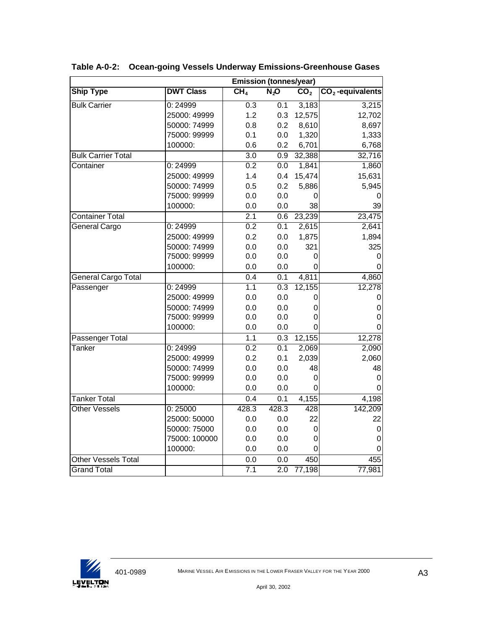|                            |                  | <b>Emission (tonnes/year)</b> |                  |                   |                    |  |  |  |  |
|----------------------------|------------------|-------------------------------|------------------|-------------------|--------------------|--|--|--|--|
| <b>Ship Type</b>           | <b>DWT Class</b> | CH <sub>4</sub>               | $N_2$ O          | $\overline{CO}_2$ | $CO2$ -equivalents |  |  |  |  |
| <b>Bulk Carrier</b>        | 0:24999          | $\overline{0.3}$              | 0.1              | 3,183             | 3,215              |  |  |  |  |
|                            | 25000: 49999     | 1.2                           | 0.3              | 12,575            | 12,702             |  |  |  |  |
|                            | 50000: 74999     | 0.8                           | 0.2              | 8,610             | 8,697              |  |  |  |  |
|                            | 75000: 99999     | 0.1                           | 0.0              | 1,320             | 1,333              |  |  |  |  |
|                            | 100000:          | 0.6                           | 0.2              | 6,701             | 6,768              |  |  |  |  |
| <b>Bulk Carrier Total</b>  |                  | $\overline{3.0}$              | 0.9              | 32,388            | 32,716             |  |  |  |  |
| Container                  | 0:24999          | 0.2                           | 0.0              | 1,841             | 1,860              |  |  |  |  |
|                            | 25000: 49999     | 1.4                           | 0.4              | 15,474            | 15,631             |  |  |  |  |
|                            | 50000: 74999     | 0.5                           | 0.2              | 5,886             | 5,945              |  |  |  |  |
|                            | 75000: 99999     | 0.0                           | 0.0              | 0                 | O                  |  |  |  |  |
|                            | 100000:          | 0.0                           | 0.0              | 38                | 39                 |  |  |  |  |
| <b>Container Total</b>     |                  | $\overline{2.1}$              | 0.6              | 23,239            | 23,475             |  |  |  |  |
| General Cargo              | 0:24999          | 0.2                           | 0.1              | 2,615             | 2,641              |  |  |  |  |
|                            | 25000: 49999     | 0.2                           | 0.0              | 1,875             | 1,894              |  |  |  |  |
|                            | 50000: 74999     | 0.0                           | 0.0              | 321               | 325                |  |  |  |  |
|                            | 75000: 99999     | 0.0                           | 0.0              | $\Omega$          | 0                  |  |  |  |  |
|                            | 100000:          | 0.0                           | 0.0              | 0                 | 0                  |  |  |  |  |
| General Cargo Total        |                  | 0.4                           | 0.1              | 4,811             | 4,860              |  |  |  |  |
| Passenger                  | 0:24999          | 1.1                           | 0.3              | 12,155            | 12,278             |  |  |  |  |
|                            | 25000: 49999     | 0.0                           | 0.0              | 0                 | 0                  |  |  |  |  |
|                            | 50000: 74999     | 0.0                           | 0.0              | 0                 | 0                  |  |  |  |  |
|                            | 75000: 99999     | 0.0                           | 0.0              | 0                 | 0                  |  |  |  |  |
|                            | 100000:          | 0.0                           | 0.0              | ი                 | 0                  |  |  |  |  |
| Passenger Total            |                  | 1.1                           | 0.3              | 12,155            | 12,278             |  |  |  |  |
| Tanker                     | 0:24999          | 0.2                           | $\overline{0.1}$ | 2,069             | 2,090              |  |  |  |  |
|                            | 25000: 49999     | 0.2                           | 0.1              | 2,039             | 2,060              |  |  |  |  |
|                            | 50000: 74999     | 0.0                           | 0.0              | 48                | 48                 |  |  |  |  |
|                            | 75000: 99999     | 0.0                           | 0.0              | 0                 | 0                  |  |  |  |  |
|                            | 100000:          | 0.0                           | 0.0              | 0                 | 0                  |  |  |  |  |
| <b>Tanker Total</b>        |                  | 0.4                           | 0.1              | 4,155             | 4,198              |  |  |  |  |
| <b>Other Vessels</b>       | 0:25000          | 428.3                         | 428.3            | 428               | 142,209            |  |  |  |  |
|                            | 25000: 50000     | 0.0                           | 0.0              | 22                | 22                 |  |  |  |  |
|                            | 50000: 75000     | 0.0                           | 0.0              | 0                 | 0                  |  |  |  |  |
|                            | 75000: 100000    | 0.0                           | 0.0              | 0                 | 0                  |  |  |  |  |
|                            | 100000:          | 0.0                           | 0.0              | 0                 | 0                  |  |  |  |  |
| <b>Other Vessels Total</b> |                  | 0.0                           | 0.0              | 450               | 455                |  |  |  |  |
| <b>Grand Total</b>         |                  | 7.1                           | 2.0              | 77,198            | 77,981             |  |  |  |  |

**Table A-0-2: Ocean-going Vessels Underway Emissions-Greenhouse Gases**

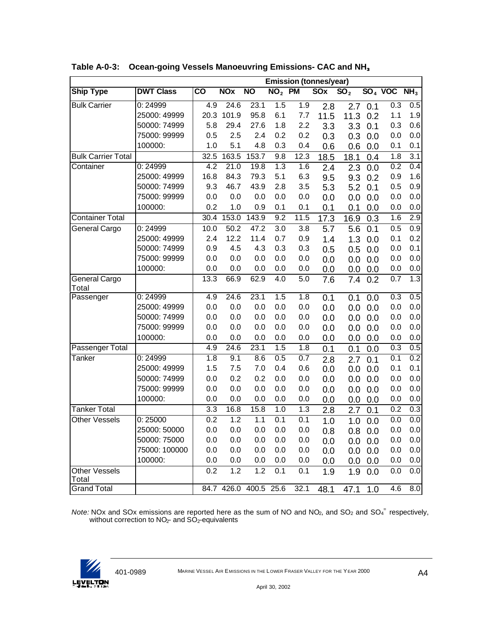|                           |                  | <b>Emission (tonnes/year)</b> |            |                       |                 |           |      |                   |            |           |                  |
|---------------------------|------------------|-------------------------------|------------|-----------------------|-----------------|-----------|------|-------------------|------------|-----------|------------------|
| <b>Ship Type</b>          | <b>DWT Class</b> | $\overline{\text{co}}$        | <b>NOx</b> | <b>NO</b>             | NO <sub>2</sub> | <b>PM</b> | SOX  | $\overline{SO}_2$ |            | $SO4$ VOC | NH <sub>3</sub>  |
| <b>Bulk Carrier</b>       | 0:24999          | $\overline{4.9}$              | 24.6       | 23.1                  | 1.5             | 1.9       | 2.8  | 2.7               | 0.1        | 0.3       | 0.5              |
|                           | 25000: 49999     | 20.3                          | 101.9      | 95.8                  | 6.1             | 7.7       | 11.5 | 11.3              | 0.2        | 1.1       | 1.9              |
|                           | 50000: 74999     | 5.8                           | 29.4       | 27.6                  | 1.8             | 2.2       | 3.3  | 3.3               | 0.1        | 0.3       | 0.6              |
|                           | 75000: 99999     | 0.5                           | 2.5        | 2.4                   | 0.2             | 0.2       | 0.3  | 0.3               | 0.0        | 0.0       | 0.0              |
|                           | 100000:          | 1.0                           | 5.1        | 4.8                   | 0.3             | 0.4       | 0.6  | 0.6               | 0.0        | 0.1       | 0.1              |
| <b>Bulk Carrier Total</b> |                  | 32.5                          | 163.5      | 153.7                 | 9.8             | 12.3      | 18.5 | 18.1              | 0.4        | 1.8       | $\overline{3.1}$ |
| Container                 | 0:24999          | 4.2                           | 21.0       | 19.8                  | 1.3             | 1.6       | 2.4  | 2.3               | 0.0        | 0.2       | 0.4              |
|                           | 25000: 49999     | 16.8                          | 84.3       | 79.3                  | 5.1             | 6.3       | 9.5  | 9.3               | 0.2        | 0.9       | 1.6              |
|                           | 50000: 74999     | 9.3                           | 46.7       | 43.9                  | 2.8             | 3.5       | 5.3  | 5.2               | 0.1        | 0.5       | 0.9              |
|                           | 75000: 99999     | 0.0                           | 0.0        | 0.0                   | 0.0             | 0.0       | 0.0  | 0.0               | 0.0        | 0.0       | 0.0              |
|                           | 100000:          | 0.2                           | 1.0        | 0.9                   | 0.1             | 0.1       | 0.1  | 0.1               | 0.0        | 0.0       | 0.0              |
| <b>Container Total</b>    |                  | 30.4                          | 153.0      | 143.9                 | 9.2             | 11.5      | 17.3 | 16.9              | 0.3        | 1.6       | 2.9              |
| General Cargo             | 0:24999          | 10.0                          | 50.2       | 47.2                  | 3.0             | 3.8       | 5.7  | 5.6               | 0.1        | 0.5       | $\overline{0.9}$ |
|                           | 25000: 49999     | 2.4                           | 12.2       | 11.4                  | 0.7             | 0.9       | 1.4  | 1.3               | 0.0        | 0.1       | 0.2              |
|                           | 50000: 74999     | 0.9                           | 4.5        | 4.3                   | 0.3             | 0.3       | 0.5  | 0.5               | 0.0        | 0.0       | 0.1              |
|                           | 75000: 99999     | 0.0                           | 0.0        | 0.0                   | 0.0             | 0.0       | 0.0  | 0.0               | 0.0        | 0.0       | 0.0              |
|                           | 100000:          | 0.0                           | 0.0        | 0.0                   | 0.0             | 0.0       | 0.0  | 0.0               | 0.0        | 0.0       | 0.0              |
| General Cargo<br>Total    |                  | 13.3                          | 66.9       | 62.9                  | 4.0             | 5.0       | 7.6  | 7.4               | 0.2        | 0.7       | 1.3              |
| Passenger                 | 0:24999          | 4.9                           | 24.6       | 23.1                  | 1.5             | 1.8       | 0.1  | 0.1               | 0.0        | 0.3       | 0.5              |
|                           | 25000: 49999     | 0.0                           | 0.0        | 0.0                   | 0.0             | 0.0       | 0.0  | 0.0               | 0.0        | 0.0       | 0.0              |
|                           | 50000: 74999     | 0.0                           | 0.0        | 0.0                   | 0.0             | 0.0       | 0.0  | 0.0               | 0.0        | 0.0       | 0.0              |
|                           | 75000: 99999     | 0.0                           | 0.0        | 0.0                   | 0.0             | 0.0       | 0.0  | 0.0               | 0.0        | 0.0       | 0.0              |
|                           | 100000:          | 0.0                           | 0.0        | 0.0                   | 0.0             | 0.0       | 0.0  | 0.0               | 0.0        | 0.0       | 0.0              |
| Passenger Total           |                  | 4.9                           | 24.6       | 23.1                  | 1.5             | 1.8       | 0.1  | 0.1               | 0.0        | 0.3       | 0.5              |
| Tanker                    | 0:24999          | 1.8                           | 9.1        | 8.6                   | 0.5             | 0.7       | 2.8  | 2.7               | 0.1        | 0.1       | 0.2              |
|                           | 25000: 49999     | 1.5                           | 7.5        | 7.0                   | 0.4             | 0.6       | 0.0  | 0.0               | 0.0        | 0.1       | 0.1              |
|                           | 50000: 74999     | 0.0                           | 0.2        | 0.2                   | 0.0             | 0.0       | 0.0  | 0.0               | 0.0        | 0.0       | 0.0              |
|                           | 75000: 99999     | 0.0                           | 0.0        | 0.0                   | 0.0             | 0.0       | 0.0  | 0.0               | 0.0        | 0.0       | 0.0              |
|                           | 100000:          | 0.0                           | 0.0        | 0.0                   | 0.0             | 0.0       | 0.0  | 0.0               | 0.0        | 0.0       | 0.0              |
| <b>Tanker Total</b>       |                  | 3.3                           | 16.8       | 15.8                  | 1.0             | 1.3       | 2.8  | 2.7               | 0.1        | 0.2       | 0.3              |
| <b>Other Vessels</b>      | 0:25000          | $\overline{0.2}$              | 1.2        | 1.1                   | 0.1             | 0.1       | 1.0  | 1.0               | 0.0        | 0.0       | 0.0              |
|                           | 25000: 50000     | 0.0                           | 0.0        | 0.0                   | 0.0             | 0.0       | 0.8  |                   | $0.8\ 0.0$ | 0.0       | 0.0              |
|                           | 50000: 75000     | 0.0                           | 0.0        | 0.0                   | 0.0             | 0.0       | 0.0  |                   | $0.0\ 0.0$ | 0.0       | 0.0              |
|                           | 75000: 100000    | 0.0                           | 0.0        | 0.0                   | 0.0             | 0.0       | 0.0  | 0.0               | 0.0        | 0.0       | 0.0              |
|                           | 100000:          | 0.0                           | 0.0        | 0.0                   | 0.0             | 0.0       | 0.0  |                   | $0.0\ 0.0$ | 0.0       | 0.0              |
| Other Vessels<br>Total    |                  | 0.2                           | 1.2        | 1.2                   | 0.1             | 0.1       | 1.9  | 1.9               | 0.0        | 0.0       | 0.0              |
| <b>Grand Total</b>        |                  |                               |            | 84.7 426.0 400.5 25.6 |                 | 32.1      | 48.1 | 47.1              | 1.0        | 4.6       | 8.0              |

**Table A-0-3: Ocean-going Vessels Manoeuvring Emissions- CAC and NH<sup>3</sup>**

Note: NOx and SOx emissions are reported here as the sum of NO and NO<sub>2</sub>, and SO<sub>2</sub> and SO<sub>4</sub><sup>-</sup> respectively, without correction to  $NO<sub>2</sub>$ - and  $SO<sub>2</sub>$ -equivalents

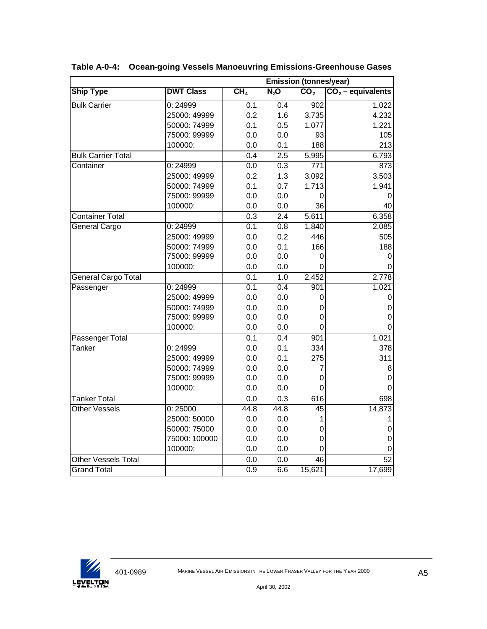|                            |                  |                  | <b>Emission (tonnes/year)</b> |                  |                     |  |  |  |  |
|----------------------------|------------------|------------------|-------------------------------|------------------|---------------------|--|--|--|--|
| <b>Ship Type</b>           | <b>DWT Class</b> | CH <sub>4</sub>  | $N_2$ O                       | CO <sub>2</sub>  | $CO2$ – equivalents |  |  |  |  |
| <b>Bulk Carrier</b>        | 0:24999          | $\overline{0.1}$ | 0.4                           | $\overline{902}$ | 1,022               |  |  |  |  |
|                            | 25000: 49999     | 0.2              | 1.6                           | 3,735            | 4,232               |  |  |  |  |
|                            | 50000: 74999     | 0.1              | 0.5                           | 1,077            | 1,221               |  |  |  |  |
|                            | 75000: 99999     | 0.0              | 0.0                           | 93               | 105                 |  |  |  |  |
|                            | 100000:          | 0.0              | 0.1                           | 188              | 213                 |  |  |  |  |
| <b>Bulk Carrier Total</b>  |                  | 0.4              | $\overline{2.5}$              | 5,995            | 6,793               |  |  |  |  |
| Container                  | 0:24999          | 0.0              | 0.3                           | 771              | 873                 |  |  |  |  |
|                            | 25000: 49999     | 0.2              | 1.3                           | 3,092            | 3,503               |  |  |  |  |
|                            | 50000: 74999     | 0.1              | 0.7                           | 1,713            | 1,941               |  |  |  |  |
|                            | 75000: 99999     | 0.0              | 0.0                           | 0                | 0                   |  |  |  |  |
|                            | 100000:          | 0.0              | 0.0                           | 36               | 40                  |  |  |  |  |
| <b>Container Total</b>     |                  | 0.3              | 2.4                           | 5,611            | 6,358               |  |  |  |  |
| <b>General Cargo</b>       | 0:24999          | 0.1              | $\overline{0.8}$              | 1,840            | 2,085               |  |  |  |  |
|                            | 25000: 49999     | 0.0              | 0.2                           | 446              | 505                 |  |  |  |  |
|                            | 50000: 74999     | 0.0              | 0.1                           | 166              | 188                 |  |  |  |  |
|                            | 75000: 99999     | 0.0              | 0.0                           | 0                | 0                   |  |  |  |  |
|                            | 100000:          | 0.0              | 0.0                           | $\Omega$         | 0                   |  |  |  |  |
| General Cargo Total        |                  | 0.1              | 1.0                           | 2,452            | 2,778               |  |  |  |  |
| Passenger                  | 0:24999          | 0.1              | 0.4                           | 901              | 1,021               |  |  |  |  |
|                            | 25000: 49999     | 0.0              | 0.0                           | 0                | 0                   |  |  |  |  |
|                            | 50000: 74999     | 0.0              | 0.0                           | 0                | $\mathbf 0$         |  |  |  |  |
|                            | 75000: 99999     | 0.0              | 0.0                           | $\mathbf 0$      | $\mathsf 0$         |  |  |  |  |
|                            | 100000:          | 0.0              | 0.0                           | $\mathbf 0$      | $\mathsf 0$         |  |  |  |  |
| Passenger Total            |                  | 0.1              | 0.4                           | 901              | 1,021               |  |  |  |  |
| Tanker                     | 0:24999          | 0.0              | $\overline{0.1}$              | 334              | $\overline{378}$    |  |  |  |  |
|                            | 25000: 49999     | 0.0              | 0.1                           | 275              | 311                 |  |  |  |  |
|                            | 50000: 74999     | 0.0              | 0.0                           | 7                | 8                   |  |  |  |  |
|                            | 75000: 99999     | 0.0              | 0.0                           | 0                | $\mathsf 0$         |  |  |  |  |
|                            | 100000:          | 0.0              | 0.0                           | $\Omega$         | $\Omega$            |  |  |  |  |
| <b>Tanker Total</b>        |                  | 0.0              | 0.3                           | 616              | 698                 |  |  |  |  |
| <b>Other Vessels</b>       | 0:25000          | 44.8             | 44.8                          | 45               | 14,873              |  |  |  |  |
|                            | 25000: 50000     | 0.0              | 0.0                           | 1                | 1                   |  |  |  |  |
|                            | 50000: 75000     | 0.0              | 0.0                           | $\mathbf 0$      | 0                   |  |  |  |  |
|                            | 75000: 100000    | 0.0              | 0.0                           | $\mathbf 0$      | 0                   |  |  |  |  |
|                            | 100000:          | 0.0              | 0.0                           | $\mathbf 0$      | 0                   |  |  |  |  |
| <b>Other Vessels Total</b> |                  | 0.0              | 0.0                           | 46               | 52                  |  |  |  |  |
| <b>Grand Total</b>         |                  | 0.9              | 6.6                           | 15,621           | 17,699              |  |  |  |  |

**Table A-0-4: Ocean-going Vessels Manoeuvring Emissions-Greenhouse Gases**

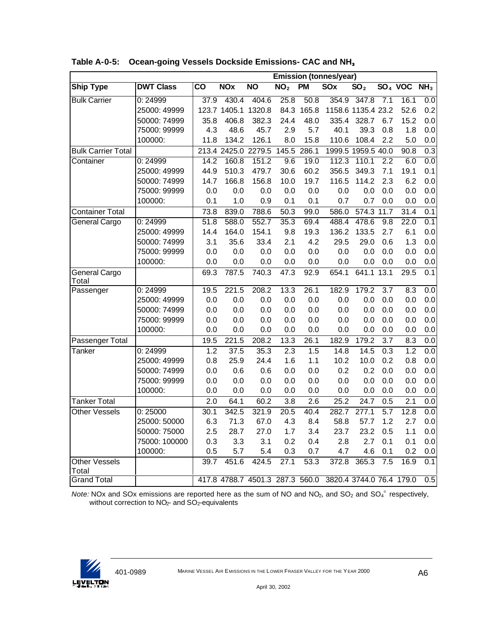|                               |                  | <b>Emission (tonnes/year)</b> |            |                                 |                 |                   |                          |                    |                  |           |                          |
|-------------------------------|------------------|-------------------------------|------------|---------------------------------|-----------------|-------------------|--------------------------|--------------------|------------------|-----------|--------------------------|
| <b>Ship Type</b>              | <b>DWT Class</b> | $\overline{\text{co}}$        | <b>NOx</b> | <b>NO</b>                       | NO <sub>2</sub> | <b>PM</b>         | <b>SOx</b>               | SO <sub>2</sub>    |                  | $SO4$ VOC | $\overline{\text{NH}_3}$ |
| <b>Bulk Carrier</b>           | 0:24999          | 37.9                          | 430.4      | 404.6                           | 25.8            | 50.8              | 354.9                    | 347.8              | 7.1              | 16.1      | 0.0                      |
|                               | 25000: 49999     |                               |            | 123.7 1405.1 1320.8             | 84.3            | 165.8             |                          | 1158.6 1135.4 23.2 |                  | 52.6      | 0.2                      |
|                               | 50000: 74999     | 35.8                          | 406.8      | 382.3                           | 24.4            | 48.0              | 335.4                    | 328.7              | 6.7              | 15.2      | 0.0                      |
|                               | 75000: 99999     | 4.3                           | 48.6       | 45.7                            | 2.9             | 5.7               | 40.1                     | 39.3               | 0.8              | 1.8       | 0.0                      |
|                               | 100000:          | 11.8                          | 134.2      | 126.1                           | 8.0             | 15.8              | 110.6                    | 108.4              | 2.2              | 5.0       | 0.0                      |
| <b>Bulk Carrier Total</b>     |                  |                               |            | 213.4 2425.0 2279.5             | 145.5           | 286.1             |                          | 1999.5 1959.5 40.0 |                  | 90.8      | $\overline{0.3}$         |
| Container                     | 0:24999          | 14.2                          | 160.8      | 151.2                           | 9.6             | 19.0              | 112.3                    | 110.1              | $\overline{2.2}$ | 6.0       | 0.0                      |
|                               | 25000: 49999     | 44.9                          | 510.3      | 479.7                           | 30.6            | 60.2              | 356.5                    | 349.3              | 7.1              | 19.1      | 0.1                      |
|                               | 50000: 74999     | 14.7                          | 166.8      | 156.8                           | 10.0            | 19.7              | 116.5                    | 114.2              | 2.3              | 6.2       | 0.0                      |
|                               | 75000: 99999     | 0.0                           | 0.0        | 0.0                             | 0.0             | 0.0               | 0.0                      | 0.0                | 0.0              | 0.0       | 0.0                      |
|                               | 100000:          | 0.1                           | 1.0        | 0.9                             | 0.1             | 0.1               | 0.7                      | 0.7                | 0.0              | 0.0       | 0.0                      |
| <b>Container Total</b>        |                  | 73.8                          | 839.0      | 788.6                           | 50.3            | 99.0              | 586.0                    | 574.3 11.7         |                  | 31.4      | 0.1                      |
| <b>General Cargo</b>          | 0:24999          | 51.8                          | 588.0      | 552.7                           | 35.3            | 69.4              | 488.4                    | 478.6              | 9.8              | 22.0      | 0.1                      |
|                               | 25000: 49999     | 14.4                          | 164.0      | 154.1                           | 9.8             | 19.3              | 136.2                    | 133.5              | 2.7              | 6.1       | 0.0                      |
|                               | 50000: 74999     | 3.1                           | 35.6       | 33.4                            | 2.1             | 4.2               | 29.5                     | 29.0               | 0.6              | 1.3       | 0.0                      |
|                               | 75000: 99999     | 0.0                           | 0.0        | 0.0                             | 0.0             | 0.0               | 0.0                      | 0.0                | 0.0              | 0.0       | 0.0                      |
|                               | 100000:          | 0.0                           | 0.0        | 0.0                             | 0.0             | 0.0               | 0.0                      | 0.0                | 0.0              | 0.0       | 0.0                      |
| General Cargo<br>Total        |                  | 69.3                          | 787.5      | 740.3                           | 47.3            | 92.9              | 654.1                    | 641.1              | 13.1             | 29.5      | 0.1                      |
| Passenger                     | 0:24999          | 19.5                          | 221.5      | 208.2                           | 13.3            | 26.1              | 182.9                    | 179.2              | $\overline{3.7}$ | 8.3       | $\overline{0.0}$         |
|                               | 25000: 49999     | 0.0                           | 0.0        | 0.0                             | 0.0             | 0.0               | 0.0                      | 0.0                | 0.0              | 0.0       | 0.0                      |
|                               | 50000: 74999     | 0.0                           | 0.0        | 0.0                             | 0.0             | 0.0               | 0.0                      | 0.0                | 0.0              | 0.0       | 0.0                      |
|                               | 75000: 99999     | 0.0                           | 0.0        | 0.0                             | 0.0             | 0.0               | 0.0                      | 0.0                | 0.0              | 0.0       | 0.0                      |
|                               | 100000:          | 0.0                           | 0.0        | 0.0                             | 0.0             | 0.0               | 0.0                      | 0.0                | 0.0              | 0.0       | 0.0                      |
| Passenger Total               |                  | 19.5                          | 221.5      | 208.2                           | 13.3            | $\overline{26.1}$ | 182.9                    | 179.2              | 3.7              | 8.3       | 0.0                      |
| Tanker                        | 0:24999          | 1.2                           | 37.5       | 35.3                            | 2.3             | 1.5               | 14.8                     | 14.5               | 0.3              | 1.2       | $\overline{0.0}$         |
|                               | 25000: 49999     | 0.8                           | 25.9       | 24.4                            | 1.6             | 1.1               | 10.2                     | 10.0               | 0.2              | 0.8       | 0.0                      |
|                               | 50000: 74999     | 0.0                           | 0.6        | 0.6                             | 0.0             | 0.0               | 0.2                      | 0.2                | 0.0              | 0.0       | 0.0                      |
|                               | 75000: 99999     | 0.0                           | 0.0        | 0.0                             | 0.0             | 0.0               | 0.0                      | 0.0                | 0.0              | 0.0       | 0.0                      |
|                               | 100000:          | 0.0                           | 0.0        | 0.0                             | 0.0             | 0.0               | 0.0                      | 0.0                | 0.0              | 0.0       | 0.0                      |
| <b>Tanker Total</b>           |                  | 2.0                           | 64.1       | 60.2                            | 3.8             | 2.6               | 25.2                     | 24.7               | 0.5              | 2.1       | 0.0                      |
| <b>Other Vessels</b>          | 0:25000          | 30.1                          | 342.5      | 321.9                           | 20.5            | 40.4              | 282.7                    | 277.1              | 5.7              | 12.8      | 0.0                      |
|                               | 25000: 50000     | 6.3                           | 71.3       | 67.0                            | 4.3             | 8.4               | 58.8                     | 57.7               | 1.2              | 2.7       | 0.0                      |
|                               | 50000: 75000     | 2.5                           | 28.7       | 27.0                            | 1.7             | 3.4               | 23.7                     | 23.2               | 0.5              | 1.1       | 0.0                      |
|                               | 75000: 100000    | 0.3                           | 3.3        | 3.1                             | 0.2             | 0.4               | 2.8                      | 2.7                | 0.1              | 0.1       | 0.0                      |
|                               | 100000:          | 0.5                           | 5.7        | 5.4                             | 0.3             | 0.7               | 4.7                      | 4.6                | 0.1              | 0.2       | 0.0                      |
| <b>Other Vessels</b><br>Total |                  | 39.7                          | 451.6      | 424.5                           | 27.1            | 53.3              | 372.8                    | 365.3              | 7.5              | 16.9      | 0.1                      |
| <b>Grand Total</b>            |                  |                               |            | 417.8 4788.7 4501.3 287.3 560.0 |                 |                   | 3820.4 3744.0 76.4 179.0 |                    |                  |           | 0.5                      |

**Table A-0-5: Ocean-going Vessels Dockside Emissions- CAC and NH<sup>3</sup>**

Note: NOx and SOx emissions are reported here as the sum of NO and NO<sub>2</sub>, and SO<sub>2</sub> and SO<sub>4</sub><sup>-</sup> respectively, without correction to  $NO<sub>2</sub>$ - and  $SO<sub>2</sub>$ -equivalents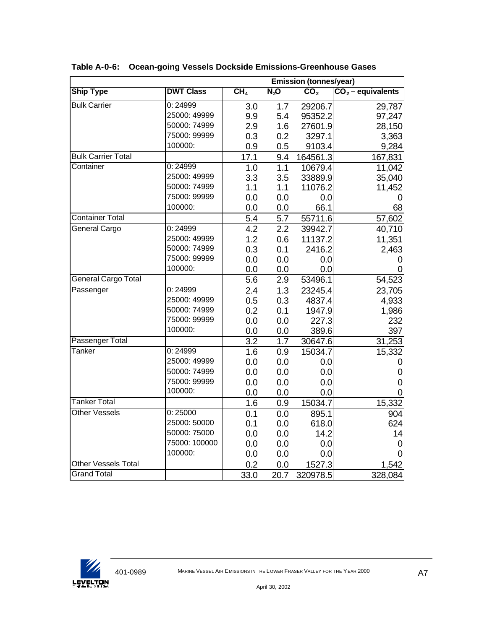|                           |                  | <b>Emission (tonnes/year)</b> |         |                 |                     |  |  |  |  |
|---------------------------|------------------|-------------------------------|---------|-----------------|---------------------|--|--|--|--|
| <b>Ship Type</b>          | <b>DWT Class</b> | CH <sub>4</sub>               | $N_2$ O | CO <sub>2</sub> | $CO2$ – equivalents |  |  |  |  |
| <b>Bulk Carrier</b>       | 0:24999          | 3.0                           | 1.7     | 29206.7         | 29,787              |  |  |  |  |
|                           | 25000: 49999     | 9.9                           | 5.4     | 95352.2         | 97,247              |  |  |  |  |
|                           | 50000: 74999     | 2.9                           | 1.6     | 27601.9         | 28,150              |  |  |  |  |
|                           | 75000: 99999     | 0.3                           | 0.2     | 3297.1          | 3,363               |  |  |  |  |
|                           | 100000:          | 0.9                           | 0.5     | 9103.4          | 9,284               |  |  |  |  |
| <b>Bulk Carrier Total</b> |                  | 17.1                          | 9.4     | 164561.3        | 167,831             |  |  |  |  |
| Container                 | 0:24999          | 1.0                           | 1.1     | 10679.4         | 11,042              |  |  |  |  |
|                           | 25000: 49999     | 3.3                           | 3.5     | 33889.9         | 35,040              |  |  |  |  |
|                           | 50000: 74999     | 1.1                           | 1.1     | 11076.2         | 11,452              |  |  |  |  |
|                           | 75000: 99999     | 0.0                           | 0.0     | 0.0             |                     |  |  |  |  |
|                           | 100000:          | 0.0                           | 0.0     | 66.1            | 68                  |  |  |  |  |
| Container Total           |                  | 5.4                           | 5.7     | 55711.6         | 57,602              |  |  |  |  |
| General Cargo             | 0:24999          | 4.2                           | 2.2     | 39942.7         | 40,710              |  |  |  |  |
|                           | 25000: 49999     | 1.2                           | 0.6     | 11137.2         | 11,351              |  |  |  |  |
|                           | 50000: 74999     | 0.3                           | 0.1     | 2416.2          | 2,463               |  |  |  |  |
|                           | 75000: 99999     | 0.0                           | 0.0     | 0.0             | O                   |  |  |  |  |
|                           | 100000:          | 0.0                           | 0.0     | 0.0             |                     |  |  |  |  |
| General Cargo Total       |                  | 5.6                           | 2.9     | 53496.1         | 54,523              |  |  |  |  |
| Passenger                 | 0:24999          | $\overline{2.4}$              | 1.3     | 23245.4         | 23,705              |  |  |  |  |
|                           | 25000: 49999     | 0.5                           | 0.3     | 4837.4          | 4,933               |  |  |  |  |
|                           | 50000: 74999     | 0.2                           | 0.1     | 1947.9          | 1,986               |  |  |  |  |
|                           | 75000: 99999     | 0.0                           | 0.0     | 227.3           | 232                 |  |  |  |  |
|                           | 100000:          | 0.0                           | 0.0     | 389.6           | 397                 |  |  |  |  |
| <b>Passenger Total</b>    |                  | $\overline{3.2}$              | 1.7     | 30647.6         | 31,253              |  |  |  |  |
| Tanker                    | 0:24999          | 1.6                           | 0.9     | 15034.7         | 15,332              |  |  |  |  |
|                           | 25000: 49999     | 0.0                           | 0.0     | 0.0             | O                   |  |  |  |  |
|                           | 50000: 74999     | 0.0                           | 0.0     | 0.0             | 0                   |  |  |  |  |
|                           | 75000: 99999     | 0.0                           | 0.0     | 0.0             | 0                   |  |  |  |  |
|                           | 100000:          | 0.0                           | 0.0     | 0.0             | 0                   |  |  |  |  |
| <b>Tanker Total</b>       |                  | 1.6                           | 0.9     | 15034.7         | 15,332              |  |  |  |  |
| <b>Other Vessels</b>      | 0:25000          | 0.1                           | 0.0     | 895.1           | 904                 |  |  |  |  |
|                           | 25000: 50000     | 0.1                           | 0.0     | 618.0           | 624                 |  |  |  |  |
|                           | 50000: 75000     | 0.0                           | 0.0     | 14.2            | 14                  |  |  |  |  |
|                           | 75000: 100000    | 0.0                           | 0.0     | 0.0             | 0                   |  |  |  |  |
|                           | 100000:          | 0.0                           | 0.0     | 0.0             |                     |  |  |  |  |
| Other Vessels Total       |                  | 0.2                           | 0.0     | 1527.3          | 1,542               |  |  |  |  |
| <b>Grand Total</b>        |                  | 33.0                          | 20.7    | 320978.5        | 328,084             |  |  |  |  |

**Table A-0-6: Ocean-going Vessels Dockside Emissions-Greenhouse Gases**

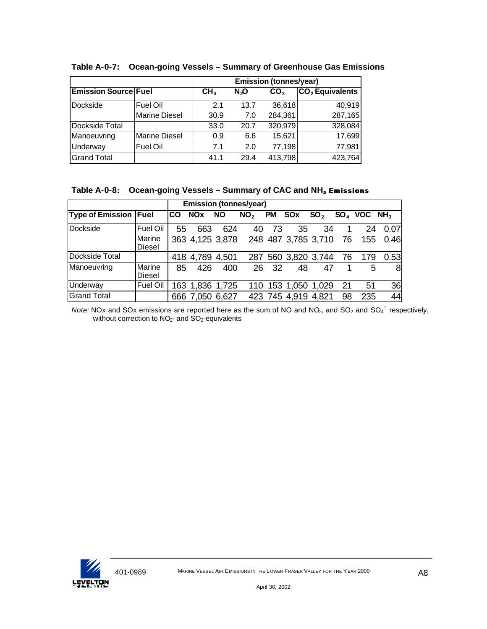|                             |                      |                 |      | <b>Emission (tonnes/year)</b> |                   |
|-----------------------------|----------------------|-----------------|------|-------------------------------|-------------------|
| <b>Emission Source Fuel</b> |                      | CH <sub>4</sub> | N,O  | CO <sub>2</sub>               | $CO2$ Equivalents |
| Dockside                    | <b>Fuel Oil</b>      | 2.1             | 13.7 | 36,618                        | 40,919            |
|                             | <b>Marine Diesel</b> | 30.9            | 7.0  | 284,361                       | 287,165           |
| Dockside Total              |                      | 33.0            | 20.7 | 320,979                       | 328,084           |
| Manoeuvring                 | <b>Marine Diesel</b> | 0.9             | 6.6  | 15,621                        | 17,699            |
| Underway                    | <b>Fuel Oil</b>      | 7.1             | 2.0  | 77,198                        | 77,981            |
| <b>Grand Total</b>          |                      | 41.1            | 29.4 | 413,798                       | 423,764           |

**Table A-0-7: Ocean-going Vessels – Summary of Greenhouse Gas Emissions**

#### **Table A-0-8: Ocean-going Vessels – Summary of CAC and NH3 Emissions**

| <b>Emission (tonnes/year)</b> |                         |           |                       |           |                                        |     |                     |                 |      |                           |      |
|-------------------------------|-------------------------|-----------|-----------------------|-----------|----------------------------------------|-----|---------------------|-----------------|------|---------------------------|------|
| <b>Type of Emission Fuel</b>  |                         | <b>CO</b> | <b>NO<sub>x</sub></b> | <b>NO</b> | NO <sub>2</sub>                        | PM  | SOx                 | SO <sub>2</sub> |      | $SOA$ VOC NH <sub>3</sub> |      |
| Dockside                      | Fuel Oil                | 55        | 663                   | 624       | 40                                     | 73  | 35                  | 34              |      | 24                        | 0.07 |
|                               | Marine<br>Diesel        |           |                       |           | 363 4,125 3,878 248 487 3,785 3,710 76 |     |                     |                 |      | 155                       | 0.46 |
| Dockside Total                |                         |           | 418 4,789 4,501       |           |                                        |     | 287 560 3,820 3,744 |                 | - 76 | 179                       | 0.53 |
| Manoeuvring                   | Marine<br><b>Diesel</b> | 85        | 426                   | 400       | 26                                     | -32 | 48                  | 47              |      | 5                         | 8    |
| Underway                      | Fuel Oil                |           | 163 1,836 1,725       |           |                                        |     | 110 153 1,050 1,029 |                 | 21   | 51                        | 36   |
| <b>Grand Total</b>            |                         |           | 666 7,050 6,627       |           |                                        |     | 423 745 4,919 4,821 |                 | 98   | 235                       | 44   |

Note: NOx and SOx emissions are reported here as the sum of NO and NO<sub>2</sub>, and SO<sub>2</sub> and SO<sub>4</sub><sup>-</sup> respectively, without correction to NO<sub>2</sub>- and SO<sub>2</sub>-equivalents

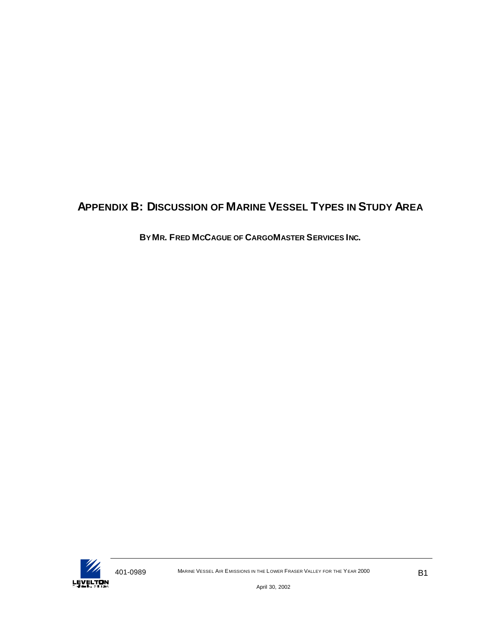# **APPENDIX B: DISCUSSION OF MARINE VESSEL TYPES IN STUDY AREA**

**BY MR. FRED MCCAGUE OF CARGOMASTER SERVICES INC.**

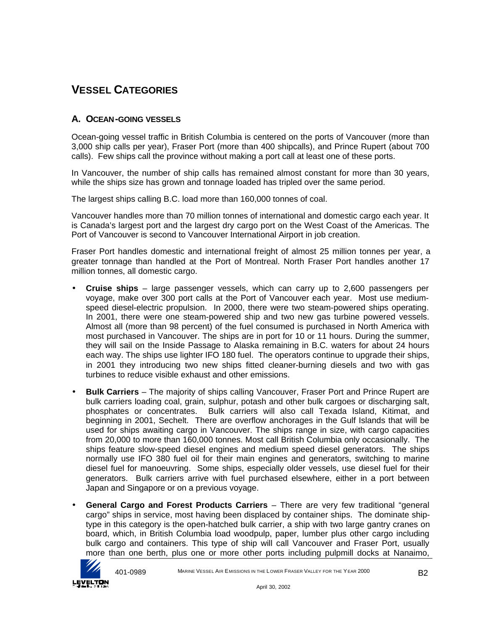# **VESSEL CATEGORIES**

#### **A. OCEAN-GOING VESSELS**

Ocean-going vessel traffic in British Columbia is centered on the ports of Vancouver (more than 3,000 ship calls per year), Fraser Port (more than 400 shipcalls), and Prince Rupert (about 700 calls). Few ships call the province without making a port call at least one of these ports.

In Vancouver, the number of ship calls has remained almost constant for more than 30 years, while the ships size has grown and tonnage loaded has tripled over the same period.

The largest ships calling B.C. load more than 160,000 tonnes of coal.

Vancouver handles more than 70 million tonnes of international and domestic cargo each year. It is Canada's largest port and the largest dry cargo port on the West Coast of the Americas. The Port of Vancouver is second to Vancouver International Airport in job creation.

Fraser Port handles domestic and international freight of almost 25 million tonnes per year, a greater tonnage than handled at the Port of Montreal. North Fraser Port handles another 17 million tonnes, all domestic cargo.

- **Cruise ships** large passenger vessels, which can carry up to 2,600 passengers per voyage, make over 300 port calls at the Port of Vancouver each year. Most use mediumspeed diesel-electric propulsion. In 2000, there were two steam-powered ships operating. In 2001, there were one steam-powered ship and two new gas turbine powered vessels. Almost all (more than 98 percent) of the fuel consumed is purchased in North America with most purchased in Vancouver. The ships are in port for 10 or 11 hours. During the summer, they will sail on the Inside Passage to Alaska remaining in B.C. waters for about 24 hours each way. The ships use lighter IFO 180 fuel. The operators continue to upgrade their ships, in 2001 they introducing two new ships fitted cleaner-burning diesels and two with gas turbines to reduce visible exhaust and other emissions.
- **Bulk Carriers** The majority of ships calling Vancouver, Fraser Port and Prince Rupert are bulk carriers loading coal, grain, sulphur, potash and other bulk cargoes or discharging salt, phosphates or concentrates. Bulk carriers will also call Texada Island, Kitimat, and beginning in 2001, Sechelt. There are overflow anchorages in the Gulf Islands that will be used for ships awaiting cargo in Vancouver. The ships range in size, with cargo capacities from 20,000 to more than 160,000 tonnes. Most call British Columbia only occasionally. The ships feature slow-speed diesel engines and medium speed diesel generators. The ships normally use IFO 380 fuel oil for their main engines and generators, switching to marine diesel fuel for manoeuvring. Some ships, especially older vessels, use diesel fuel for their generators. Bulk carriers arrive with fuel purchased elsewhere, either in a port between Japan and Singapore or on a previous voyage.
- **General Cargo and Forest Products Carriers** There are very few traditional "general cargo" ships in service, most having been displaced by container ships. The dominate shiptype in this category is the open-hatched bulk carrier, a ship with two large gantry cranes on board, which, in British Columbia load woodpulp, paper, lumber plus other cargo including bulk cargo and containers. This type of ship will call Vancouver and Fraser Port, usually more than one berth, plus one or more other ports including pulpmill docks at Nanaimo,

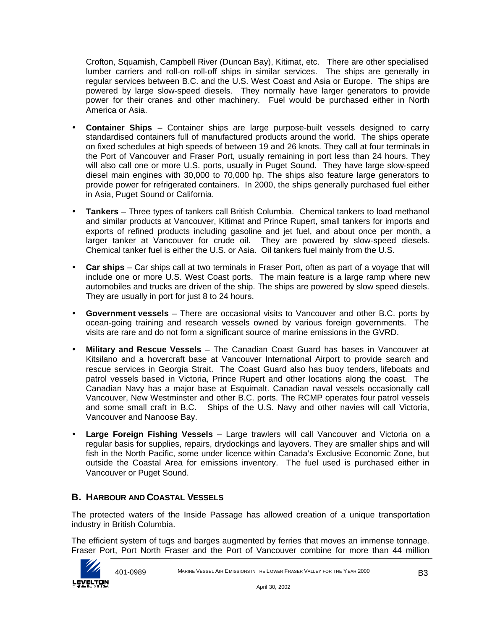Crofton, Squamish, Campbell River (Duncan Bay), Kitimat, etc. There are other specialised lumber carriers and roll-on roll-off ships in similar services. The ships are generally in regular services between B.C. and the U.S. West Coast and Asia or Europe. The ships are powered by large slow-speed diesels. They normally have larger generators to provide power for their cranes and other machinery. Fuel would be purchased either in North America or Asia.

- **Container Ships** Container ships are large purpose-built vessels designed to carry standardised containers full of manufactured products around the world. The ships operate on fixed schedules at high speeds of between 19 and 26 knots. They call at four terminals in the Port of Vancouver and Fraser Port, usually remaining in port less than 24 hours. They will also call one or more U.S. ports, usually in Puget Sound. They have large slow-speed diesel main engines with 30,000 to 70,000 hp. The ships also feature large generators to provide power for refrigerated containers. In 2000, the ships generally purchased fuel either in Asia, Puget Sound or California.
- **Tankers** Three types of tankers call British Columbia. Chemical tankers to load methanol and similar products at Vancouver, Kitimat and Prince Rupert, small tankers for imports and exports of refined products including gasoline and jet fuel, and about once per month, a larger tanker at Vancouver for crude oil. They are powered by slow-speed diesels. Chemical tanker fuel is either the U.S. or Asia. Oil tankers fuel mainly from the U.S.
- **Car ships** Car ships call at two terminals in Fraser Port, often as part of a voyage that will include one or more U.S. West Coast ports. The main feature is a large ramp where new automobiles and trucks are driven of the ship. The ships are powered by slow speed diesels. They are usually in port for just 8 to 24 hours.
- **Government vessels** There are occasional visits to Vancouver and other B.C. ports by ocean-going training and research vessels owned by various foreign governments. The visits are rare and do not form a significant source of marine emissions in the GVRD.
- **Military and Rescue Vessels**  The Canadian Coast Guard has bases in Vancouver at Kitsilano and a hovercraft base at Vancouver International Airport to provide search and rescue services in Georgia Strait. The Coast Guard also has buoy tenders, lifeboats and patrol vessels based in Victoria, Prince Rupert and other locations along the coast. The Canadian Navy has a major base at Esquimalt. Canadian naval vessels occasionally call Vancouver, New Westminster and other B.C. ports. The RCMP operates four patrol vessels and some small craft in B.C. Ships of the U.S. Navy and other navies will call Victoria, Vancouver and Nanoose Bay.
- **Large Foreign Fishing Vessels** Large trawlers will call Vancouver and Victoria on a regular basis for supplies, repairs, drydockings and layovers. They are smaller ships and will fish in the North Pacific, some under licence within Canada's Exclusive Economic Zone, but outside the Coastal Area for emissions inventory. The fuel used is purchased either in Vancouver or Puget Sound.

## **B. HARBOUR AND COASTAL VESSELS**

The protected waters of the Inside Passage has allowed creation of a unique transportation industry in British Columbia.

The efficient system of tugs and barges augmented by ferries that moves an immense tonnage. Fraser Port, Port North Fraser and the Port of Vancouver combine for more than 44 million

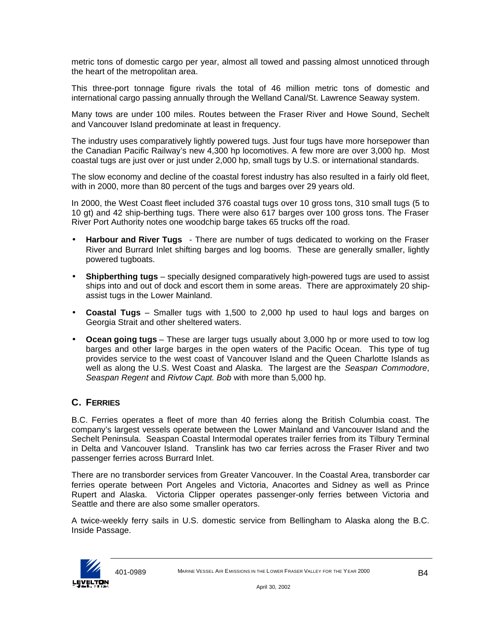metric tons of domestic cargo per year, almost all towed and passing almost unnoticed through the heart of the metropolitan area.

This three-port tonnage figure rivals the total of 46 million metric tons of domestic and international cargo passing annually through the Welland Canal/St. Lawrence Seaway system.

Many tows are under 100 miles. Routes between the Fraser River and Howe Sound, Sechelt and Vancouver Island predominate at least in frequency.

The industry uses comparatively lightly powered tugs. Just four tugs have more horsepower than the Canadian Pacific Railway's new 4,300 hp locomotives. A few more are over 3,000 hp. Most coastal tugs are just over or just under 2,000 hp, small tugs by U.S. or international standards.

The slow economy and decline of the coastal forest industry has also resulted in a fairly old fleet, with in 2000, more than 80 percent of the tugs and barges over 29 years old.

In 2000, the West Coast fleet included 376 coastal tugs over 10 gross tons, 310 small tugs (5 to 10 gt) and 42 ship-berthing tugs. There were also 617 barges over 100 gross tons. The Fraser River Port Authority notes one woodchip barge takes 65 trucks off the road.

- **Harbour and River Tugs**  There are number of tugs dedicated to working on the Fraser River and Burrard Inlet shifting barges and log booms. These are generally smaller, lightly powered tugboats.
- **Shipberthing tugs**  specially designed comparatively high-powered tugs are used to assist ships into and out of dock and escort them in some areas. There are approximately 20 shipassist tugs in the Lower Mainland.
- **Coastal Tugs** Smaller tugs with 1,500 to 2,000 hp used to haul logs and barges on Georgia Strait and other sheltered waters.
- **Ocean going tugs**  These are larger tugs usually about 3,000 hp or more used to tow log barges and other large barges in the open waters of the Pacific Ocean. This type of tug provides service to the west coast of Vancouver Island and the Queen Charlotte Islands as well as along the U.S. West Coast and Alaska. The largest are the *Seaspan Commodore*, *Seaspan Regent* and *Rivtow Capt. Bob* with more than 5,000 hp.

### **C. FERRIES**

B.C. Ferries operates a fleet of more than 40 ferries along the British Columbia coast. The company's largest vessels operate between the Lower Mainland and Vancouver Island and the Sechelt Peninsula. Seaspan Coastal Intermodal operates trailer ferries from its Tilbury Terminal in Delta and Vancouver Island. Translink has two car ferries across the Fraser River and two passenger ferries across Burrard Inlet.

There are no transborder services from Greater Vancouver. In the Coastal Area, transborder car ferries operate between Port Angeles and Victoria, Anacortes and Sidney as well as Prince Rupert and Alaska. Victoria Clipper operates passenger-only ferries between Victoria and Seattle and there are also some smaller operators.

A twice-weekly ferry sails in U.S. domestic service from Bellingham to Alaska along the B.C. Inside Passage.

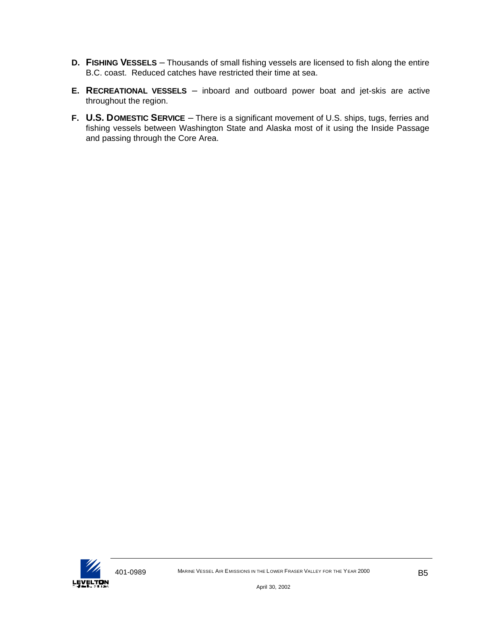- **D. FISHING VESSELS** Thousands of small fishing vessels are licensed to fish along the entire B.C. coast. Reduced catches have restricted their time at sea.
- **E. RECREATIONAL VESSELS** inboard and outboard power boat and jet-skis are active throughout the region.
- **F. U.S. DOMESTIC SERVICE** There is a significant movement of U.S. ships, tugs, ferries and fishing vessels between Washington State and Alaska most of it using the Inside Passage and passing through the Core Area.

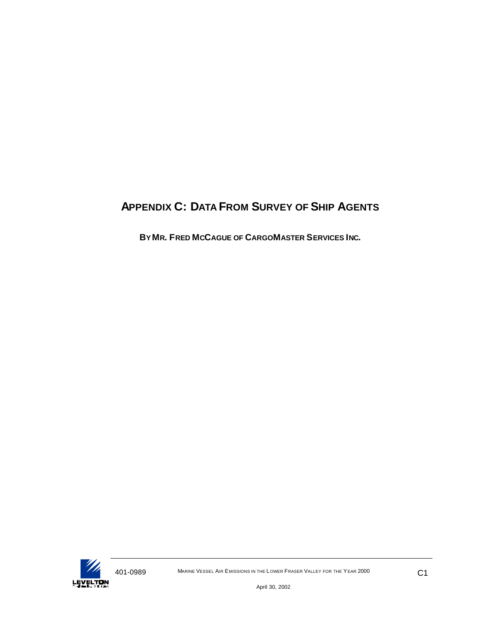# **APPENDIX C: DATA FROM SURVEY OF SHIP AGENTS**

**BY MR. FRED MCCAGUE OF CARGOMASTER SERVICES INC.**